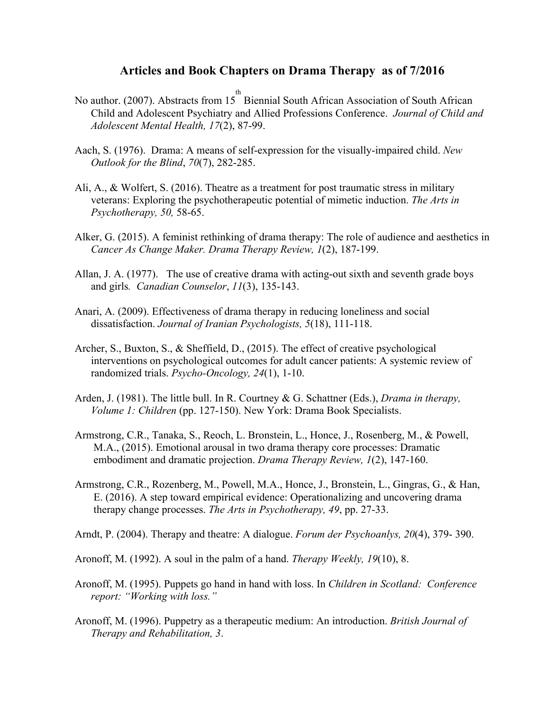## **Articles and Book Chapters on Drama Therapy as of 7/2016**

- No author. (2007). Abstracts from  $15^{th}$  Biennial South African Association of South African Child and Adolescent Psychiatry and Allied Professions Conference. *Journal of Child and Adolescent Mental Health, 17*(2), 87-99.
- Aach, S. (1976). Drama: A means of self-expression for the visually-impaired child. *New Outlook for the Blind*, *70*(7), 282-285.
- Ali, A., & Wolfert, S. (2016). Theatre as a treatment for post traumatic stress in military veterans: Exploring the psychotherapeutic potential of mimetic induction. *The Arts in Psychotherapy, 50,* 58-65.
- Alker, G. (2015). A feminist rethinking of drama therapy: The role of audience and aesthetics in *Cancer As Change Maker. Drama Therapy Review, 1*(2), 187-199.
- Allan, J. A. (1977). The use of creative drama with acting-out sixth and seventh grade boys and girls*. Canadian Counselor*, *11*(3), 135-143.
- Anari, A. (2009). Effectiveness of drama therapy in reducing loneliness and social dissatisfaction. *Journal of Iranian Psychologists, 5*(18), 111-118.
- Archer, S., Buxton, S., & Sheffield, D., (2015). The effect of creative psychological interventions on psychological outcomes for adult cancer patients: A systemic review of randomized trials. *Psycho-Oncology, 24*(1), 1-10.
- Arden, J. (1981). The little bull. In R. Courtney & G. Schattner (Eds.), *Drama in therapy, Volume 1: Children* (pp. 127-150). New York: Drama Book Specialists.
- Armstrong, C.R., Tanaka, S., Reoch, L. Bronstein, L., Honce, J., Rosenberg, M., & Powell, M.A., (2015). Emotional arousal in two drama therapy core processes: Dramatic embodiment and dramatic projection. *Drama Therapy Review, 1*(2), 147-160.
- Armstrong, C.R., Rozenberg, M., Powell, M.A., Honce, J., Bronstein, L., Gingras, G., & Han, E. (2016). A step toward empirical evidence: Operationalizing and uncovering drama therapy change processes. *The Arts in Psychotherapy, 49*, pp. 27-33.
- Arndt, P. (2004). Therapy and theatre: A dialogue. *Forum der Psychoanlys, 20*(4), 379- 390.
- Aronoff, M. (1992). A soul in the palm of a hand. *Therapy Weekly, 19*(10), 8.
- Aronoff, M. (1995). Puppets go hand in hand with loss. In *Children in Scotland: Conference report: "Working with loss."*
- Aronoff, M. (1996). Puppetry as a therapeutic medium: An introduction. *British Journal of Therapy and Rehabilitation, 3*.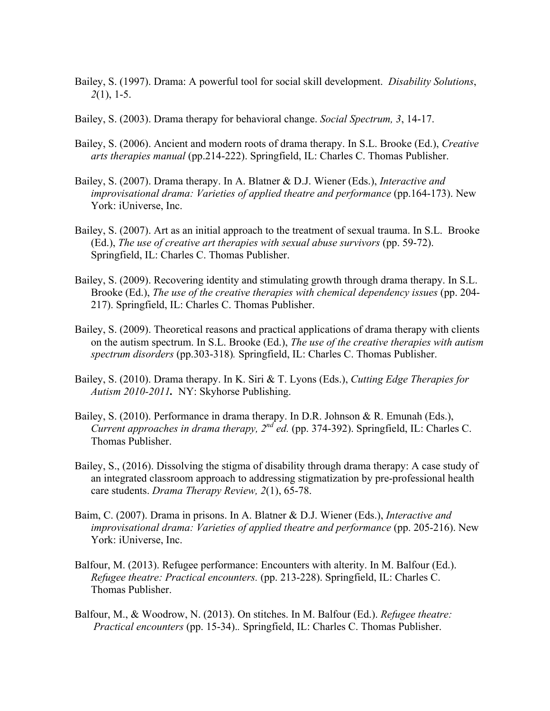- Bailey, S. (1997). Drama: A powerful tool for social skill development. *Disability Solutions*, *2*(1), 1-5.
- Bailey, S. (2003). Drama therapy for behavioral change. *Social Spectrum, 3*, 14-17.
- Bailey, S. (2006). Ancient and modern roots of drama therapy. In S.L. Brooke (Ed.), *Creative arts therapies manual* (pp.214-222). Springfield, IL: Charles C. Thomas Publisher.
- Bailey, S. (2007). Drama therapy. In A. Blatner & D.J. Wiener (Eds.), *Interactive and improvisational drama: Varieties of applied theatre and performance* (pp.164-173). New York: iUniverse, Inc.
- Bailey, S. (2007). Art as an initial approach to the treatment of sexual trauma. In S.L. Brooke (Ed.), *The use of creative art therapies with sexual abuse survivors* (pp. 59-72). Springfield, IL: Charles C. Thomas Publisher.
- Bailey, S. (2009). Recovering identity and stimulating growth through drama therapy. In S.L. Brooke (Ed.), *The use of the creative therapies with chemical dependency issues* (pp. 204- 217). Springfield, IL: Charles C. Thomas Publisher.
- Bailey, S. (2009). Theoretical reasons and practical applications of drama therapy with clients on the autism spectrum. In S.L. Brooke (Ed.), *The use of the creative therapies with autism spectrum disorders* (pp.303-318)*.* Springfield, IL: Charles C. Thomas Publisher.
- Bailey, S. (2010). Drama therapy. In K. Siri & T. Lyons (Eds.), *Cutting Edge Therapies for Autism 2010-2011.* NY: Skyhorse Publishing.
- Bailey, S. (2010). Performance in drama therapy. In D.R. Johnson & R. Emunah (Eds.), *Current approaches in drama therapy, 2nd ed.* (pp. 374-392). Springfield, IL: Charles C. Thomas Publisher.
- Bailey, S., (2016). Dissolving the stigma of disability through drama therapy: A case study of an integrated classroom approach to addressing stigmatization by pre-professional health care students. *Drama Therapy Review, 2*(1), 65-78.
- Baim, C. (2007). Drama in prisons. In A. Blatner & D.J. Wiener (Eds.), *Interactive and improvisational drama: Varieties of applied theatre and performance* (pp. 205-216). New York: iUniverse, Inc.
- Balfour, M. (2013). Refugee performance: Encounters with alterity. In M. Balfour (Ed.). *Refugee theatre: Practical encounters.* (pp. 213-228). Springfield, IL: Charles C. Thomas Publisher.
- Balfour, M., & Woodrow, N. (2013). On stitches. In M. Balfour (Ed.). *Refugee theatre: Practical encounters* (pp. 15-34).*.* Springfield, IL: Charles C. Thomas Publisher.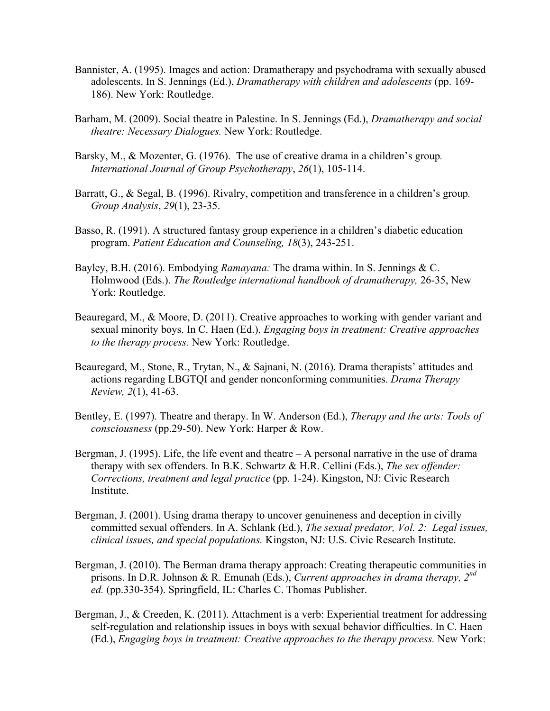- Bannister, A. (1995). Images and action: Dramatherapy and psychodrama with sexually abused adolescents. In S. Jennings (Ed.), *Dramatherapy with children and adolescents* (pp. 169- 186). New York: Routledge.
- Barham, M. (2009). Social theatre in Palestine. In S. Jennings (Ed.), *Dramatherapy and social theatre: Necessary Dialogues.* New York: Routledge.
- Barsky, M., & Mozenter, G. (1976). The use of creative drama in a children's group*. International Journal of Group Psychotherapy*, *26*(1), 105-114.
- Barratt, G., & Segal, B. (1996). Rivalry, competition and transference in a children's group*. Group Analysis*, *29*(1), 23-35.
- Basso, R. (1991). A structured fantasy group experience in a children's diabetic education program. *Patient Education and Counseling, 18*(3), 243-251.
- Bayley, B.H. (2016). Embodying *Ramayana:* The drama within. In S. Jennings & C. Holmwood (Eds.). *The Routledge international handbook of dramatherapy,* 26-35, New York: Routledge.
- Beauregard, M., & Moore, D. (2011). Creative approaches to working with gender variant and sexual minority boys. In C. Haen (Ed.), *Engaging boys in treatment: Creative approaches to the therapy process.* New York: Routledge.
- Beauregard, M., Stone, R., Trytan, N., & Sajnani, N. (2016). Drama therapists' attitudes and actions regarding LBGTQI and gender nonconforming communities. *Drama Therapy Review, 2*(1), 41-63.
- Bentley, E. (1997). Theatre and therapy. In W. Anderson (Ed.), *Therapy and the arts: Tools of consciousness* (pp.29-50). New York: Harper & Row.
- Bergman, J. (1995). Life, the life event and theatre A personal narrative in the use of drama therapy with sex offenders. In B.K. Schwartz & H.R. Cellini (Eds.), *The sex offender: Corrections, treatment and legal practice* (pp. 1-24). Kingston, NJ: Civic Research **Institute**
- Bergman, J. (2001). Using drama therapy to uncover genuineness and deception in civilly committed sexual offenders. In A. Schlank (Ed.), *The sexual predator, Vol. 2: Legal issues, clinical issues, and special populations.* Kingston, NJ: U.S. Civic Research Institute.
- Bergman, J. (2010). The Berman drama therapy approach: Creating therapeutic communities in prisons. In D.R. Johnson & R. Emunah (Eds.), *Current approaches in drama therapy, 2nd ed.* (pp.330-354). Springfield, IL: Charles C. Thomas Publisher.
- Bergman, J., & Creeden, K. (2011). Attachment is a verb: Experiential treatment for addressing self-regulation and relationship issues in boys with sexual behavior difficulties. In C. Haen (Ed.), *Engaging boys in treatment: Creative approaches to the therapy process.* New York: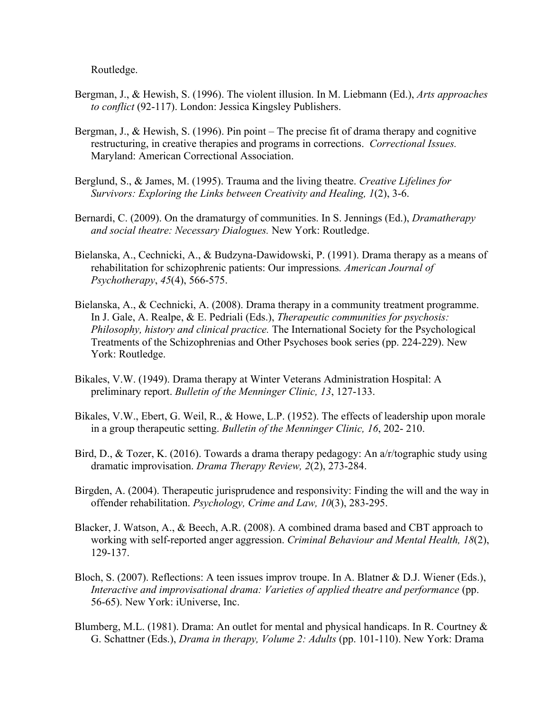Routledge.

- Bergman, J., & Hewish, S. (1996). The violent illusion. In M. Liebmann (Ed.), *Arts approaches to conflict* (92-117). London: Jessica Kingsley Publishers.
- Bergman, J., & Hewish, S. (1996). Pin point The precise fit of drama therapy and cognitive restructuring, in creative therapies and programs in corrections. *Correctional Issues.* Maryland: American Correctional Association.
- Berglund, S., & James, M. (1995). Trauma and the living theatre. *Creative Lifelines for Survivors: Exploring the Links between Creativity and Healing, 1*(2), 3-6.
- Bernardi, C. (2009). On the dramaturgy of communities. In S. Jennings (Ed.), *Dramatherapy and social theatre: Necessary Dialogues.* New York: Routledge.
- Bielanska, A., Cechnicki, A., & Budzyna-Dawidowski, P. (1991). Drama therapy as a means of rehabilitation for schizophrenic patients: Our impressions*. American Journal of Psychotherapy*, *45*(4), 566-575.
- Bielanska, A., & Cechnicki, A. (2008). Drama therapy in a community treatment programme. In J. Gale, A. Realpe, & E. Pedriali (Eds.), *Therapeutic communities for psychosis: Philosophy, history and clinical practice.* The International Society for the Psychological Treatments of the Schizophrenias and Other Psychoses book series (pp. 224-229). New York: Routledge.
- Bikales, V.W. (1949). Drama therapy at Winter Veterans Administration Hospital: A preliminary report. *Bulletin of the Menninger Clinic, 13*, 127-133.
- Bikales, V.W., Ebert, G. Weil, R., & Howe, L.P. (1952). The effects of leadership upon morale in a group therapeutic setting. *Bulletin of the Menninger Clinic, 16*, 202- 210.
- Bird, D., & Tozer, K. (2016). Towards a drama therapy pedagogy: An a/r/tographic study using dramatic improvisation. *Drama Therapy Review, 2*(2), 273-284.
- Birgden, A. (2004). Therapeutic jurisprudence and responsivity: Finding the will and the way in offender rehabilitation. *Psychology, Crime and Law, 10*(3), 283-295.
- Blacker, J. Watson, A., & Beech, A.R. (2008). A combined drama based and CBT approach to working with self-reported anger aggression. *Criminal Behaviour and Mental Health, 18*(2), 129-137.
- Bloch, S. (2007). Reflections: A teen issues improv troupe. In A. Blatner & D.J. Wiener (Eds.), *Interactive and improvisational drama: Varieties of applied theatre and performance* (pp. 56-65). New York: iUniverse, Inc.
- Blumberg, M.L. (1981). Drama: An outlet for mental and physical handicaps. In R. Courtney & G. Schattner (Eds.), *Drama in therapy, Volume 2: Adults* (pp. 101-110). New York: Drama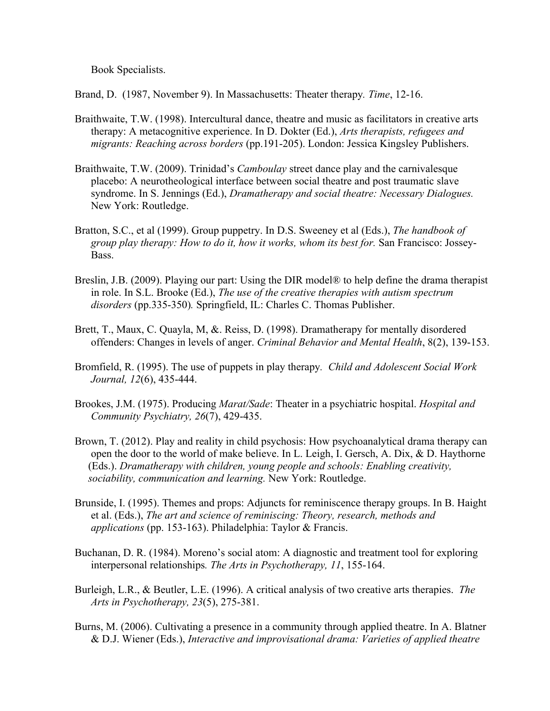Book Specialists.

Brand, D. (1987, November 9). In Massachusetts: Theater therapy*. Time*, 12-16.

- Braithwaite, T.W. (1998). Intercultural dance, theatre and music as facilitators in creative arts therapy: A metacognitive experience. In D. Dokter (Ed.), *Arts therapists, refugees and migrants: Reaching across borders* (pp.191-205). London: Jessica Kingsley Publishers.
- Braithwaite, T.W. (2009). Trinidad's *Camboulay* street dance play and the carnivalesque placebo: A neurotheological interface between social theatre and post traumatic slave syndrome. In S. Jennings (Ed.), *Dramatherapy and social theatre: Necessary Dialogues.* New York: Routledge.
- Bratton, S.C., et al (1999). Group puppetry. In D.S. Sweeney et al (Eds.), *The handbook of group play therapy: How to do it, how it works, whom its best for.* San Francisco: Jossey-Bass.
- Breslin, J.B. (2009). Playing our part: Using the DIR model® to help define the drama therapist in role. In S.L. Brooke (Ed.), *The use of the creative therapies with autism spectrum disorders* (pp.335-350)*.* Springfield, IL: Charles C. Thomas Publisher.
- Brett, T., Maux, C. Quayla, M, &. Reiss, D. (1998). Dramatherapy for mentally disordered offenders: Changes in levels of anger. *Criminal Behavior and Mental Health*, 8(2), 139-153.
- Bromfield, R. (1995). The use of puppets in play therapy*. Child and Adolescent Social Work Journal, 12*(6), 435-444.
- Brookes, J.M. (1975). Producing *Marat/Sade*: Theater in a psychiatric hospital. *Hospital and Community Psychiatry, 26*(7), 429-435.
- Brown, T. (2012). Play and reality in child psychosis: How psychoanalytical drama therapy can open the door to the world of make believe. In L. Leigh, I. Gersch, A. Dix, & D. Haythorne (Eds.). *Dramatherapy with children, young people and schools: Enabling creativity, sociability, communication and learning.* New York: Routledge.
- Brunside, I. (1995). Themes and props: Adjuncts for reminiscence therapy groups. In B. Haight et al. (Eds.), *The art and science of reminiscing: Theory, research, methods and applications* (pp. 153-163). Philadelphia: Taylor & Francis.
- Buchanan, D. R. (1984). Moreno's social atom: A diagnostic and treatment tool for exploring interpersonal relationships*. The Arts in Psychotherapy, 11*, 155-164.
- Burleigh, L.R., & Beutler, L.E. (1996). A critical analysis of two creative arts therapies. *The Arts in Psychotherapy, 23*(5), 275-381.
- Burns, M. (2006). Cultivating a presence in a community through applied theatre. In A. Blatner & D.J. Wiener (Eds.), *Interactive and improvisational drama: Varieties of applied theatre*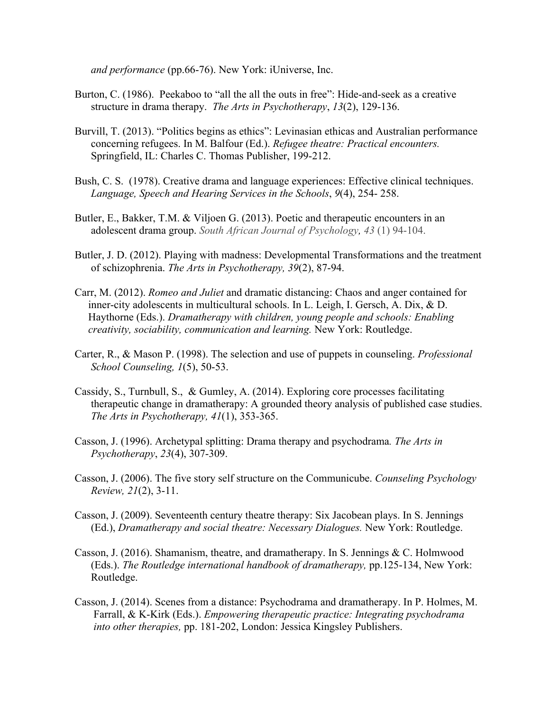*and performance* (pp.66-76). New York: iUniverse, Inc.

- Burton, C. (1986). Peekaboo to "all the all the outs in free": Hide-and-seek as a creative structure in drama therapy. *The Arts in Psychotherapy*, *13*(2), 129-136.
- Burvill, T. (2013). "Politics begins as ethics": Levinasian ethicas and Australian performance concerning refugees. In M. Balfour (Ed.). *Refugee theatre: Practical encounters.* Springfield, IL: Charles C. Thomas Publisher, 199-212.
- Bush, C. S. (1978). Creative drama and language experiences: Effective clinical techniques. *Language, Speech and Hearing Services in the Schools*, *9*(4), 254- 258.
- Butler, E., Bakker, T.M. & Viljoen G. (2013). Poetic and therapeutic encounters in an adolescent drama group. *South African Journal of Psychology, 43* (1) 94-104.
- Butler, J. D. (2012). Playing with madness: Developmental Transformations and the treatment of schizophrenia. *The Arts in Psychotherapy, 39*(2), 87-94.
- Carr, M. (2012). *Romeo and Juliet* and dramatic distancing: Chaos and anger contained for inner-city adolescents in multicultural schools. In L. Leigh, I. Gersch, A. Dix, & D. Haythorne (Eds.). *Dramatherapy with children, young people and schools: Enabling creativity, sociability, communication and learning.* New York: Routledge.
- Carter, R., & Mason P. (1998). The selection and use of puppets in counseling. *Professional School Counseling, 1*(5), 50-53.
- Cassidy, S., Turnbull, S., & Gumley, A. (2014). Exploring core processes facilitating therapeutic change in dramatherapy: A grounded theory analysis of published case studies. *The Arts in Psychotherapy, 41*(1), 353-365.
- Casson, J. (1996). Archetypal splitting: Drama therapy and psychodrama*. The Arts in Psychotherapy*, *23*(4), 307-309.
- Casson, J. (2006). The five story self structure on the Communicube. *Counseling Psychology Review, 21*(2), 3-11.
- Casson, J. (2009). Seventeenth century theatre therapy: Six Jacobean plays. In S. Jennings (Ed.), *Dramatherapy and social theatre: Necessary Dialogues.* New York: Routledge.
- Casson, J. (2016). Shamanism, theatre, and dramatherapy. In S. Jennings & C. Holmwood (Eds.). *The Routledge international handbook of dramatherapy,* pp.125-134, New York: Routledge.
- Casson, J. (2014). Scenes from a distance: Psychodrama and dramatherapy. In P. Holmes, M. Farrall, & K-Kirk (Eds.). *Empowering therapeutic practice: Integrating psychodrama into other therapies,* pp. 181-202, London: Jessica Kingsley Publishers.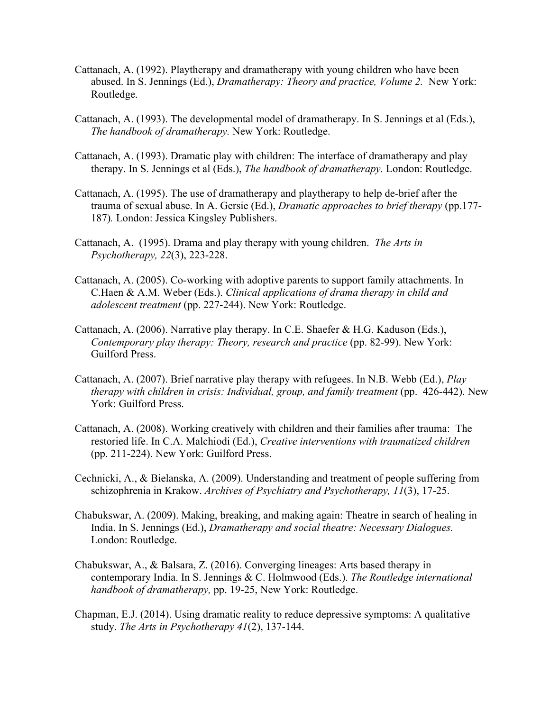- Cattanach, A. (1992). Playtherapy and dramatherapy with young children who have been abused. In S. Jennings (Ed.), *Dramatherapy: Theory and practice, Volume 2.* New York: Routledge.
- Cattanach, A. (1993). The developmental model of dramatherapy. In S. Jennings et al (Eds.), *The handbook of dramatherapy.* New York: Routledge.
- Cattanach, A. (1993). Dramatic play with children: The interface of dramatherapy and play therapy. In S. Jennings et al (Eds.), *The handbook of dramatherapy.* London: Routledge.
- Cattanach, A. (1995). The use of dramatherapy and playtherapy to help de-brief after the trauma of sexual abuse. In A. Gersie (Ed.), *Dramatic approaches to brief therapy* (pp.177- 187)*.* London: Jessica Kingsley Publishers.
- Cattanach, A. (1995). Drama and play therapy with young children. *The Arts in Psychotherapy, 22*(3), 223-228.
- Cattanach, A. (2005). Co-working with adoptive parents to support family attachments. In C.Haen & A.M. Weber (Eds.). *Clinical applications of drama therapy in child and adolescent treatment* (pp. 227-244). New York: Routledge.
- Cattanach, A. (2006). Narrative play therapy. In C.E. Shaefer & H.G. Kaduson (Eds.), *Contemporary play therapy: Theory, research and practice* (pp. 82-99). New York: Guilford Press.
- Cattanach, A. (2007). Brief narrative play therapy with refugees. In N.B. Webb (Ed.), *Play therapy with children in crisis: Individual, group, and family treatment* (pp. 426-442). New York: Guilford Press.
- Cattanach, A. (2008). Working creatively with children and their families after trauma: The restoried life. In C.A. Malchiodi (Ed.), *Creative interventions with traumatized children* (pp. 211-224). New York: Guilford Press.
- Cechnicki, A., & Bielanska, A. (2009). Understanding and treatment of people suffering from schizophrenia in Krakow. *Archives of Psychiatry and Psychotherapy, 11*(3), 17-25.
- Chabukswar, A. (2009). Making, breaking, and making again: Theatre in search of healing in India. In S. Jennings (Ed.), *Dramatherapy and social theatre: Necessary Dialogues.*  London: Routledge.
- Chabukswar, A., & Balsara, Z. (2016). Converging lineages: Arts based therapy in contemporary India. In S. Jennings & C. Holmwood (Eds.). *The Routledge international handbook of dramatherapy,* pp. 19-25, New York: Routledge.
- Chapman, E.J. (2014). Using dramatic reality to reduce depressive symptoms: A qualitative study. *The Arts in Psychotherapy 41*(2), 137-144.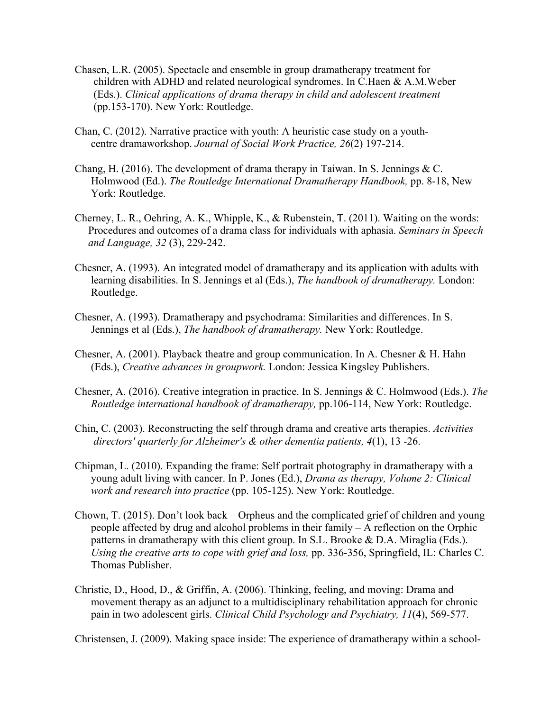- Chasen, L.R. (2005). Spectacle and ensemble in group dramatherapy treatment for children with ADHD and related neurological syndromes. In C.Haen & A.M.Weber (Eds.). *Clinical applications of drama therapy in child and adolescent treatment* (pp.153-170). New York: Routledge.
- Chan, C. (2012). Narrative practice with youth: A heuristic case study on a youth centre dramaworkshop. *Journal of Social Work Practice, 26*(2) 197-214.
- Chang, H. (2016). The development of drama therapy in Taiwan. In S. Jennings  $&C$ . Holmwood (Ed.). *The Routledge International Dramatherapy Handbook,* pp. 8-18, New York: Routledge.
- Cherney, L. R., Oehring, A. K., Whipple, K., & Rubenstein, T. (2011). Waiting on the words: Procedures and outcomes of a drama class for individuals with aphasia. *Seminars in Speech and Language, 32* (3), 229-242.
- Chesner, A. (1993). An integrated model of dramatherapy and its application with adults with learning disabilities. In S. Jennings et al (Eds.), *The handbook of dramatherapy.* London: Routledge.
- Chesner, A. (1993). Dramatherapy and psychodrama: Similarities and differences. In S. Jennings et al (Eds.), *The handbook of dramatherapy.* New York: Routledge.
- Chesner, A. (2001). Playback theatre and group communication. In A. Chesner & H. Hahn (Eds.), *Creative advances in groupwork.* London: Jessica Kingsley Publishers.
- Chesner, A. (2016). Creative integration in practice. In S. Jennings & C. Holmwood (Eds.). *The Routledge international handbook of dramatherapy,* pp.106-114, New York: Routledge.
- Chin, C. (2003). Reconstructing the self through drama and creative arts therapies. *Activities directors' quarterly for Alzheimer's & other dementia patients, 4*(1), 13 -26.
- Chipman, L. (2010). Expanding the frame: Self portrait photography in dramatherapy with a young adult living with cancer. In P. Jones (Ed.), *Drama as therapy, Volume 2: Clinical work and research into practice* (pp. 105-125). New York: Routledge.
- Chown, T. (2015). Don't look back Orpheus and the complicated grief of children and young people affected by drug and alcohol problems in their family – A reflection on the Orphic patterns in dramatherapy with this client group. In S.L. Brooke & D.A. Miraglia (Eds.). *Using the creative arts to cope with grief and loss,* pp. 336-356, Springfield, IL: Charles C. Thomas Publisher.
- Christie, D., Hood, D., & Griffin, A. (2006). Thinking, feeling, and moving: Drama and movement therapy as an adjunct to a multidisciplinary rehabilitation approach for chronic pain in two adolescent girls. *Clinical Child Psychology and Psychiatry, 11*(4), 569-577.

Christensen, J. (2009). Making space inside: The experience of dramatherapy within a school-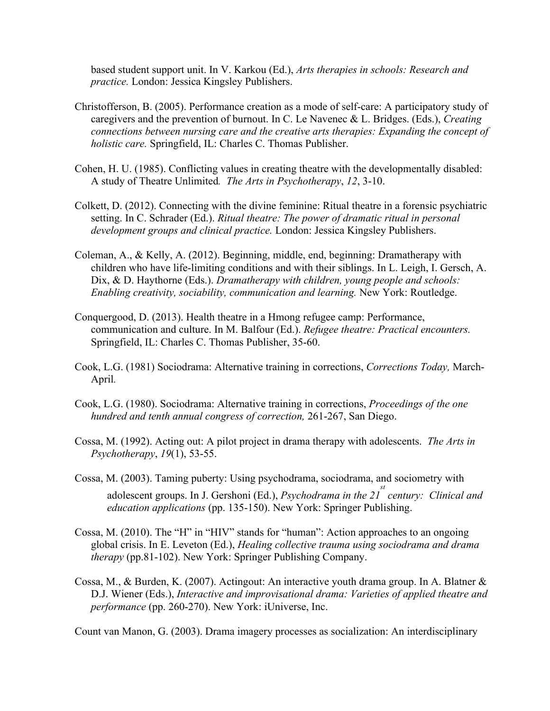based student support unit. In V. Karkou (Ed.), *Arts therapies in schools: Research and practice.* London: Jessica Kingsley Publishers.

- Christofferson, B. (2005). Performance creation as a mode of self-care: A participatory study of caregivers and the prevention of burnout. In C. Le Navenec & L. Bridges. (Eds.), *Creating connections between nursing care and the creative arts therapies: Expanding the concept of holistic care.* Springfield, IL: Charles C. Thomas Publisher.
- Cohen, H. U. (1985). Conflicting values in creating theatre with the developmentally disabled: A study of Theatre Unlimited*. The Arts in Psychotherapy*, *12*, 3-10.
- Colkett, D. (2012). Connecting with the divine feminine: Ritual theatre in a forensic psychiatric setting. In C. Schrader (Ed.). *Ritual theatre: The power of dramatic ritual in personal development groups and clinical practice.* London: Jessica Kingsley Publishers.
- Coleman, A., & Kelly, A. (2012). Beginning, middle, end, beginning: Dramatherapy with children who have life-limiting conditions and with their siblings. In L. Leigh, I. Gersch, A. Dix, & D. Haythorne (Eds.). *Dramatherapy with children, young people and schools: Enabling creativity, sociability, communication and learning.* New York: Routledge.
- Conquergood, D. (2013). Health theatre in a Hmong refugee camp: Performance, communication and culture. In M. Balfour (Ed.). *Refugee theatre: Practical encounters.*  Springfield, IL: Charles C. Thomas Publisher, 35-60.
- Cook, L.G. (1981) Sociodrama: Alternative training in corrections, *Corrections Today,* March-April*.*
- Cook, L.G. (1980). Sociodrama: Alternative training in corrections, *Proceedings of the one hundred and tenth annual congress of correction,* 261-267, San Diego.
- Cossa, M. (1992). Acting out: A pilot project in drama therapy with adolescents. *The Arts in Psychotherapy*, *19*(1), 53-55.
- Cossa, M. (2003). Taming puberty: Using psychodrama, sociodrama, and sociometry with adolescent groups. In J. Gershoni (Ed.), *Psychodrama in the 21<sup>st</sup>* century: Clinical and *education applications* (pp. 135-150). New York: Springer Publishing.
- Cossa, M. (2010). The "H" in "HIV" stands for "human": Action approaches to an ongoing global crisis. In E. Leveton (Ed.), *Healing collective trauma using sociodrama and drama therapy* (pp.81-102). New York: Springer Publishing Company.
- Cossa, M., & Burden, K. (2007). Actingout: An interactive youth drama group. In A. Blatner & D.J. Wiener (Eds.), *Interactive and improvisational drama: Varieties of applied theatre and performance* (pp. 260-270). New York: iUniverse, Inc.

Count van Manon, G. (2003). Drama imagery processes as socialization: An interdisciplinary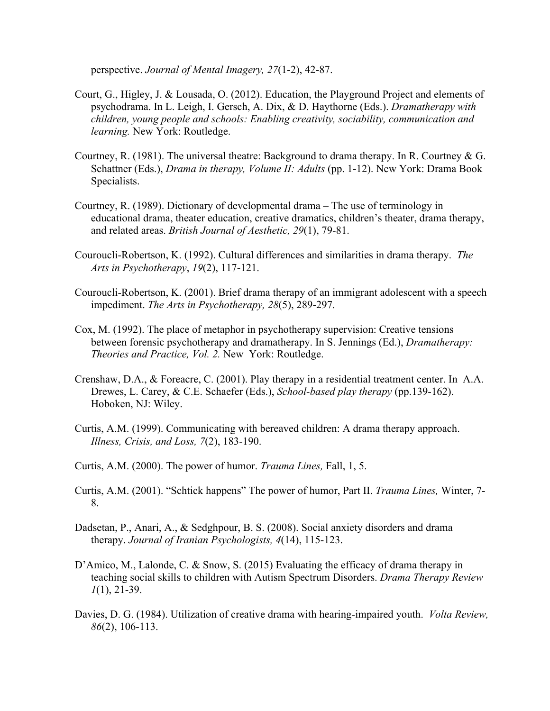perspective. *Journal of Mental Imagery, 27*(1-2), 42-87.

- Court, G., Higley, J. & Lousada, O. (2012). Education, the Playground Project and elements of psychodrama. In L. Leigh, I. Gersch, A. Dix, & D. Haythorne (Eds.). *Dramatherapy with children, young people and schools: Enabling creativity, sociability, communication and learning.* New York: Routledge.
- Courtney, R. (1981). The universal theatre: Background to drama therapy. In R. Courtney & G. Schattner (Eds.), *Drama in therapy, Volume II: Adults* (pp. 1-12). New York: Drama Book Specialists.
- Courtney, R. (1989). Dictionary of developmental drama The use of terminology in educational drama, theater education, creative dramatics, children's theater, drama therapy, and related areas. *British Journal of Aesthetic, 29*(1), 79-81.
- Couroucli-Robertson, K. (1992). Cultural differences and similarities in drama therapy. *The Arts in Psychotherapy*, *19*(2), 117-121.
- Couroucli-Robertson, K. (2001). Brief drama therapy of an immigrant adolescent with a speech impediment. *The Arts in Psychotherapy, 28*(5), 289-297.
- Cox, M. (1992). The place of metaphor in psychotherapy supervision: Creative tensions between forensic psychotherapy and dramatherapy. In S. Jennings (Ed.), *Dramatherapy: Theories and Practice, Vol. 2.* New York: Routledge.
- Crenshaw, D.A., & Foreacre, C. (2001). Play therapy in a residential treatment center. In A.A. Drewes, L. Carey, & C.E. Schaefer (Eds.), *School-based play therapy* (pp.139-162). Hoboken, NJ: Wiley.
- Curtis, A.M. (1999). Communicating with bereaved children: A drama therapy approach. *Illness, Crisis, and Loss, 7*(2), 183-190.
- Curtis, A.M. (2000). The power of humor. *Trauma Lines,* Fall, 1, 5.
- Curtis, A.M. (2001). "Schtick happens" The power of humor, Part II. *Trauma Lines,* Winter, 7- 8.
- Dadsetan, P., Anari, A., & Sedghpour, B. S. (2008). Social anxiety disorders and drama therapy. *Journal of Iranian Psychologists, 4*(14), 115-123.
- D'Amico, M., Lalonde, C. & Snow, S. (2015) Evaluating the efficacy of drama therapy in teaching social skills to children with Autism Spectrum Disorders. *Drama Therapy Review 1*(1), 21-39.
- Davies, D. G. (1984). Utilization of creative drama with hearing-impaired youth. *Volta Review, 86*(2), 106-113.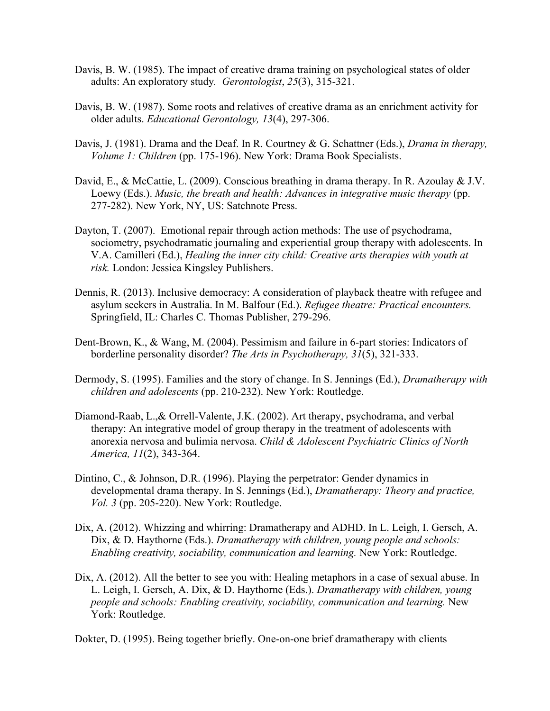- Davis, B. W. (1985). The impact of creative drama training on psychological states of older adults: An exploratory study*. Gerontologist*, *25*(3), 315-321.
- Davis, B. W. (1987). Some roots and relatives of creative drama as an enrichment activity for older adults. *Educational Gerontology, 13*(4), 297-306.
- Davis, J. (1981). Drama and the Deaf. In R. Courtney & G. Schattner (Eds.), *Drama in therapy, Volume 1: Children* (pp. 175-196). New York: Drama Book Specialists.
- David, E., & McCattie, L. (2009). Conscious breathing in drama therapy. In R. Azoulay & J.V. Loewy (Eds.). *Music, the breath and health: Advances in integrative music therapy* (pp. 277-282). New York, NY, US: Satchnote Press.
- Dayton, T. (2007). Emotional repair through action methods: The use of psychodrama, sociometry, psychodramatic journaling and experiential group therapy with adolescents. In V.A. Camilleri (Ed.), *Healing the inner city child: Creative arts therapies with youth at risk.* London: Jessica Kingsley Publishers.
- Dennis, R. (2013). Inclusive democracy: A consideration of playback theatre with refugee and asylum seekers in Australia. In M. Balfour (Ed.). *Refugee theatre: Practical encounters.*  Springfield, IL: Charles C. Thomas Publisher, 279-296.
- Dent-Brown, K., & Wang, M. (2004). Pessimism and failure in 6-part stories: Indicators of borderline personality disorder? *The Arts in Psychotherapy, 31*(5), 321-333.
- Dermody, S. (1995). Families and the story of change. In S. Jennings (Ed.), *Dramatherapy with children and adolescents* (pp. 210-232). New York: Routledge.
- Diamond-Raab, L.,& Orrell-Valente, J.K. (2002). Art therapy, psychodrama, and verbal therapy: An integrative model of group therapy in the treatment of adolescents with anorexia nervosa and bulimia nervosa. *Child & Adolescent Psychiatric Clinics of North America, 11*(2), 343-364.
- Dintino, C., & Johnson, D.R. (1996). Playing the perpetrator: Gender dynamics in developmental drama therapy. In S. Jennings (Ed.), *Dramatherapy: Theory and practice, Vol. 3* (pp. 205-220). New York: Routledge.
- Dix, A. (2012). Whizzing and whirring: Dramatherapy and ADHD. In L. Leigh, I. Gersch, A. Dix, & D. Haythorne (Eds.). *Dramatherapy with children, young people and schools: Enabling creativity, sociability, communication and learning.* New York: Routledge.
- Dix, A. (2012). All the better to see you with: Healing metaphors in a case of sexual abuse. In L. Leigh, I. Gersch, A. Dix, & D. Haythorne (Eds.). *Dramatherapy with children, young people and schools: Enabling creativity, sociability, communication and learning. New* York: Routledge.

Dokter, D. (1995). Being together briefly. One-on-one brief dramatherapy with clients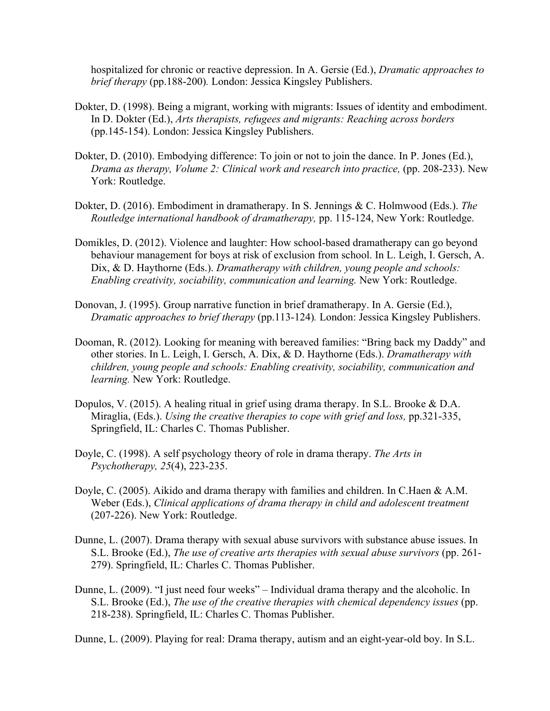hospitalized for chronic or reactive depression. In A. Gersie (Ed.), *Dramatic approaches to brief therapy* (pp.188-200)*.* London: Jessica Kingsley Publishers.

- Dokter, D. (1998). Being a migrant, working with migrants: Issues of identity and embodiment. In D. Dokter (Ed.), *Arts therapists, refugees and migrants: Reaching across borders*  (pp.145-154). London: Jessica Kingsley Publishers.
- Dokter, D. (2010). Embodying difference: To join or not to join the dance. In P. Jones (Ed.), *Drama as therapy, Volume 2: Clinical work and research into practice,* (pp. 208-233). New York: Routledge.
- Dokter, D. (2016). Embodiment in dramatherapy. In S. Jennings & C. Holmwood (Eds.). *The Routledge international handbook of dramatherapy,* pp. 115-124, New York: Routledge.
- Domikles, D. (2012). Violence and laughter: How school-based dramatherapy can go beyond behaviour management for boys at risk of exclusion from school. In L. Leigh, I. Gersch, A. Dix, & D. Haythorne (Eds.). *Dramatherapy with children, young people and schools: Enabling creativity, sociability, communication and learning.* New York: Routledge.
- Donovan, J. (1995). Group narrative function in brief dramatherapy. In A. Gersie (Ed.), *Dramatic approaches to brief therapy* (pp.113-124)*.* London: Jessica Kingsley Publishers.
- Dooman, R. (2012). Looking for meaning with bereaved families: "Bring back my Daddy" and other stories. In L. Leigh, I. Gersch, A. Dix, & D. Haythorne (Eds.). *Dramatherapy with children, young people and schools: Enabling creativity, sociability, communication and learning.* New York: Routledge.
- Dopulos, V. (2015). A healing ritual in grief using drama therapy. In S.L. Brooke & D.A. Miraglia, (Eds.). *Using the creative therapies to cope with grief and loss*, pp.321-335, Springfield, IL: Charles C. Thomas Publisher.
- Doyle, C. (1998). A self psychology theory of role in drama therapy. *The Arts in Psychotherapy, 25*(4), 223-235.
- Doyle, C. (2005). Aikido and drama therapy with families and children. In C.Haen & A.M. Weber (Eds.), *Clinical applications of drama therapy in child and adolescent treatment* (207-226). New York: Routledge.
- Dunne, L. (2007). Drama therapy with sexual abuse survivors with substance abuse issues. In S.L. Brooke (Ed.), *The use of creative arts therapies with sexual abuse survivors* (pp. 261- 279). Springfield, IL: Charles C. Thomas Publisher.
- Dunne, L. (2009). "I just need four weeks" Individual drama therapy and the alcoholic. In S.L. Brooke (Ed.), *The use of the creative therapies with chemical dependency issues* (pp. 218-238). Springfield, IL: Charles C. Thomas Publisher.

Dunne, L. (2009). Playing for real: Drama therapy, autism and an eight-year-old boy. In S.L.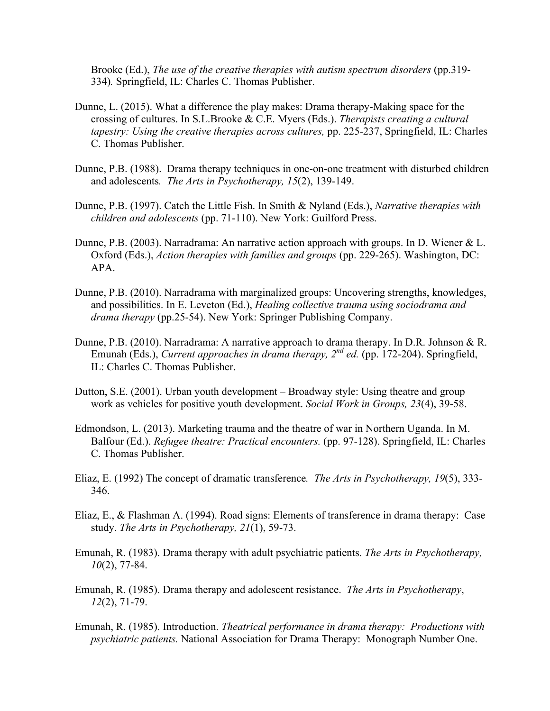Brooke (Ed.), *The use of the creative therapies with autism spectrum disorders* (pp.319- 334)*.* Springfield, IL: Charles C. Thomas Publisher.

- Dunne, L. (2015). What a difference the play makes: Drama therapy-Making space for the crossing of cultures. In S.L.Brooke & C.E. Myers (Eds.). *Therapists creating a cultural tapestry: Using the creative therapies across cultures,* pp. 225-237, Springfield, IL: Charles C. Thomas Publisher.
- Dunne, P.B. (1988). Drama therapy techniques in one-on-one treatment with disturbed children and adolescents*. The Arts in Psychotherapy, 15*(2), 139-149.
- Dunne, P.B. (1997). Catch the Little Fish. In Smith & Nyland (Eds.), *Narrative therapies with children and adolescents* (pp. 71-110). New York: Guilford Press.
- Dunne, P.B. (2003). Narradrama: An narrative action approach with groups. In D. Wiener & L. Oxford (Eds.), *Action therapies with families and groups* (pp. 229-265). Washington, DC: APA.
- Dunne, P.B. (2010). Narradrama with marginalized groups: Uncovering strengths, knowledges, and possibilities. In E. Leveton (Ed.), *Healing collective trauma using sociodrama and drama therapy* (pp.25-54). New York: Springer Publishing Company.
- Dunne, P.B. (2010). Narradrama: A narrative approach to drama therapy. In D.R. Johnson & R. Emunah (Eds.), *Current approaches in drama therapy, 2<sup>nd</sup> ed.* (pp. 172-204). Springfield, IL: Charles C. Thomas Publisher.
- Dutton, S.E. (2001). Urban youth development Broadway style: Using theatre and group work as vehicles for positive youth development. *Social Work in Groups, 23*(4), 39-58.
- Edmondson, L. (2013). Marketing trauma and the theatre of war in Northern Uganda. In M. Balfour (Ed.). *Refugee theatre: Practical encounters.* (pp. 97-128). Springfield, IL: Charles C. Thomas Publisher.
- Eliaz, E. (1992) The concept of dramatic transference*. The Arts in Psychotherapy, 19*(5), 333- 346.
- Eliaz, E., & Flashman A. (1994). Road signs: Elements of transference in drama therapy: Case study. *The Arts in Psychotherapy, 21*(1), 59-73.
- Emunah, R. (1983). Drama therapy with adult psychiatric patients. *The Arts in Psychotherapy, 10*(2), 77-84.
- Emunah, R. (1985). Drama therapy and adolescent resistance. *The Arts in Psychotherapy*, *12*(2), 71-79.
- Emunah, R. (1985). Introduction. *Theatrical performance in drama therapy: Productions with psychiatric patients.* National Association for Drama Therapy: Monograph Number One.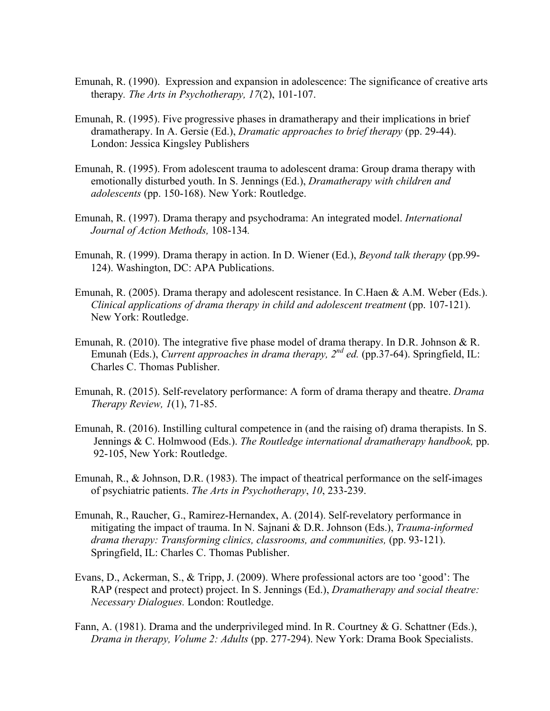- Emunah, R. (1990). Expression and expansion in adolescence: The significance of creative arts therapy*. The Arts in Psychotherapy, 17*(2), 101-107.
- Emunah, R. (1995). Five progressive phases in dramatherapy and their implications in brief dramatherapy. In A. Gersie (Ed.), *Dramatic approaches to brief therapy* (pp. 29-44). London: Jessica Kingsley Publishers
- Emunah, R. (1995). From adolescent trauma to adolescent drama: Group drama therapy with emotionally disturbed youth. In S. Jennings (Ed.), *Dramatherapy with children and adolescents* (pp. 150-168). New York: Routledge.
- Emunah, R. (1997). Drama therapy and psychodrama: An integrated model. *International Journal of Action Methods,* 108-134*.*
- Emunah, R. (1999). Drama therapy in action. In D. Wiener (Ed.), *Beyond talk therapy* (pp.99- 124). Washington, DC: APA Publications.
- Emunah, R. (2005). Drama therapy and adolescent resistance. In C.Haen & A.M. Weber (Eds.). *Clinical applications of drama therapy in child and adolescent treatment* (pp. 107-121). New York: Routledge.
- Emunah, R. (2010). The integrative five phase model of drama therapy. In D.R. Johnson & R. Emunah (Eds.), *Current approaches in drama therapy, 2<sup>nd</sup> ed.* (pp.37-64). Springfield, IL: Charles C. Thomas Publisher.
- Emunah, R. (2015). Self-revelatory performance: A form of drama therapy and theatre. *Drama Therapy Review, 1*(1), 71-85.
- Emunah, R. (2016). Instilling cultural competence in (and the raising of) drama therapists. In S. Jennings & C. Holmwood (Eds.). *The Routledge international dramatherapy handbook,* pp. 92-105, New York: Routledge.
- Emunah, R., & Johnson, D.R. (1983). The impact of theatrical performance on the self-images of psychiatric patients. *The Arts in Psychotherapy*, *10*, 233-239.
- Emunah, R., Raucher, G., Ramirez-Hernandex, A. (2014). Self-revelatory performance in mitigating the impact of trauma. In N. Sajnani & D.R. Johnson (Eds.), *Trauma-informed drama therapy: Transforming clinics, classrooms, and communities,* (pp. 93-121). Springfield, IL: Charles C. Thomas Publisher.
- Evans, D., Ackerman, S., & Tripp, J. (2009). Where professional actors are too 'good': The RAP (respect and protect) project. In S. Jennings (Ed.), *Dramatherapy and social theatre: Necessary Dialogues.* London: Routledge.
- Fann, A. (1981). Drama and the underprivileged mind. In R. Courtney & G. Schattner (Eds.), *Drama in therapy, Volume 2: Adults* (pp. 277-294). New York: Drama Book Specialists.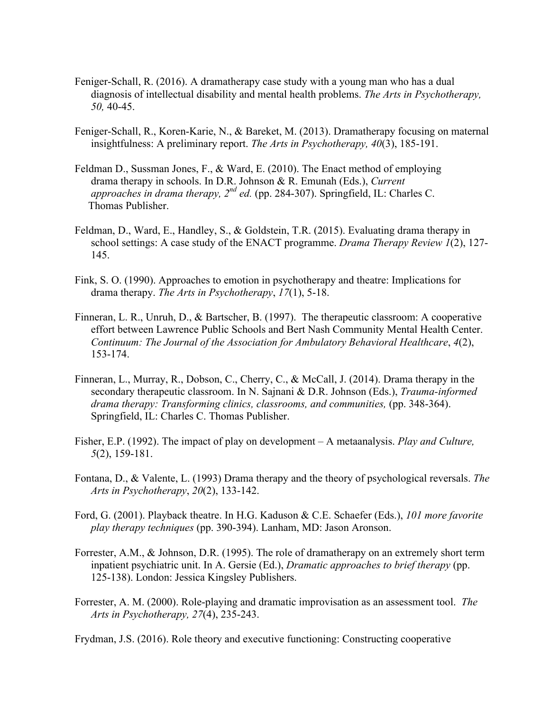- Feniger-Schall, R. (2016). A dramatherapy case study with a young man who has a dual diagnosis of intellectual disability and mental health problems. *The Arts in Psychotherapy, 50,* 40-45.
- Feniger-Schall, R., Koren-Karie, N., & Bareket, M. (2013). Dramatherapy focusing on maternal insightfulness: A preliminary report. *The Arts in Psychotherapy, 40*(3), 185-191.
- Feldman D., Sussman Jones, F., & Ward, E. (2010). The Enact method of employing drama therapy in schools. In D.R. Johnson & R. Emunah (Eds.), *Current approaches in drama therapy, 2nd ed.* (pp. 284-307). Springfield, IL: Charles C. Thomas Publisher.
- Feldman, D., Ward, E., Handley, S., & Goldstein, T.R. (2015). Evaluating drama therapy in school settings: A case study of the ENACT programme. *Drama Therapy Review 1*(2), 127- 145.
- Fink, S. O. (1990). Approaches to emotion in psychotherapy and theatre: Implications for drama therapy. *The Arts in Psychotherapy*, *17*(1), 5-18.
- Finneran, L. R., Unruh, D., & Bartscher, B. (1997). The therapeutic classroom: A cooperative effort between Lawrence Public Schools and Bert Nash Community Mental Health Center. *Continuum: The Journal of the Association for Ambulatory Behavioral Healthcare*, *4*(2), 153-174.
- Finneran, L., Murray, R., Dobson, C., Cherry, C., & McCall, J. (2014). Drama therapy in the secondary therapeutic classroom. In N. Sajnani & D.R. Johnson (Eds.), *Trauma-informed*  drama therapy: Transforming clinics, classrooms, and communities, (pp. 348-364). Springfield, IL: Charles C. Thomas Publisher.
- Fisher, E.P. (1992). The impact of play on development A metaanalysis. *Play and Culture, 5*(2), 159-181.
- Fontana, D., & Valente, L. (1993) Drama therapy and the theory of psychological reversals. *The Arts in Psychotherapy*, *20*(2), 133-142.
- Ford, G. (2001). Playback theatre. In H.G. Kaduson & C.E. Schaefer (Eds.), *101 more favorite play therapy techniques* (pp. 390-394). Lanham, MD: Jason Aronson.
- Forrester, A.M., & Johnson, D.R. (1995). The role of dramatherapy on an extremely short term inpatient psychiatric unit. In A. Gersie (Ed.), *Dramatic approaches to brief therapy* (pp. 125-138). London: Jessica Kingsley Publishers.
- Forrester, A. M. (2000). Role-playing and dramatic improvisation as an assessment tool. *The Arts in Psychotherapy, 27*(4), 235-243.

Frydman, J.S. (2016). Role theory and executive functioning: Constructing cooperative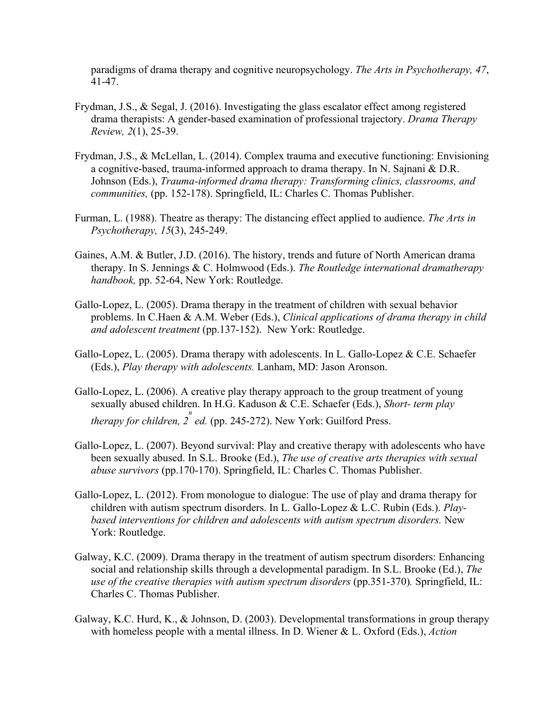paradigms of drama therapy and cognitive neuropsychology. *The Arts in Psychotherapy, 47*, 41-47.

- Frydman, J.S., & Segal, J. (2016). Investigating the glass escalator effect among registered drama therapists: A gender-based examination of professional trajectory. *Drama Therapy Review, 2*(1), 25-39.
- Frydman, J.S., & McLellan, L. (2014). Complex trauma and executive functioning: Envisioning a cognitive-based, trauma-informed approach to drama therapy. In N. Sajnani & D.R. Johnson (Eds.), *Trauma-informed drama therapy: Transforming clinics, classrooms, and communities,* (pp. 152-178). Springfield, IL: Charles C. Thomas Publisher.
- Furman, L. (1988). Theatre as therapy: The distancing effect applied to audience. *The Arts in Psychotherapy, 15*(3), 245-249.
- Gaines, A.M. & Butler, J.D. (2016). The history, trends and future of North American drama therapy. In S. Jennings & C. Holmwood (Eds.). *The Routledge international dramatherapy handbook,* pp. 52-64, New York: Routledge.
- Gallo-Lopez, L. (2005). Drama therapy in the treatment of children with sexual behavior problems. In C.Haen & A.M. Weber (Eds.), *Clinical applications of drama therapy in child and adolescent treatment* (pp.137-152). New York: Routledge.
- Gallo-Lopez, L. (2005). Drama therapy with adolescents. In L. Gallo-Lopez  $\&$  C.E. Schaefer (Eds.), *Play therapy with adolescents.* Lanham, MD: Jason Aronson.
- Gallo-Lopez, L. (2006). A creative play therapy approach to the group treatment of young sexually abused children. In H.G. Kaduson & C.E. Schaefer (Eds.), *Short- term play therapy for children, 2<sup>n</sup> ed.* (pp. 245-272). New York: Guilford Press.
- Gallo-Lopez, L. (2007). Beyond survival: Play and creative therapy with adolescents who have been sexually abused. In S.L. Brooke (Ed.), *The use of creative arts therapies with sexual abuse survivors* (pp.170-170). Springfield, IL: Charles C. Thomas Publisher.
- Gallo-Lopez, L. (2012). From monologue to dialogue: The use of play and drama therapy for children with autism spectrum disorders. In L. Gallo-Lopez & L.C. Rubin (Eds.). *Play based interventions for children and adolescents with autism spectrum disorders.* New York: Routledge.
- Galway, K.C. (2009). Drama therapy in the treatment of autism spectrum disorders: Enhancing social and relationship skills through a developmental paradigm. In S.L. Brooke (Ed.), *The use of the creative therapies with autism spectrum disorders* (pp.351-370)*.* Springfield, IL: Charles C. Thomas Publisher.
- Galway, K.C. Hurd, K., & Johnson, D. (2003). Developmental transformations in group therapy with homeless people with a mental illness. In D. Wiener & L. Oxford (Eds.), *Action*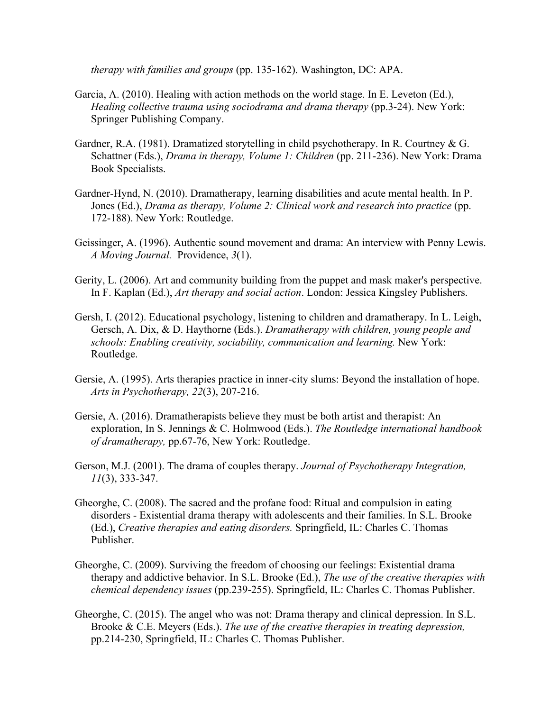*therapy with families and groups* (pp. 135-162). Washington, DC: APA.

- Garcia, A. (2010). Healing with action methods on the world stage. In E. Leveton (Ed.), *Healing collective trauma using sociodrama and drama therapy (pp.3-24).* New York: Springer Publishing Company.
- Gardner, R.A. (1981). Dramatized storytelling in child psychotherapy. In R. Courtney & G. Schattner (Eds.), *Drama in therapy, Volume 1: Children* (pp. 211-236). New York: Drama Book Specialists.
- Gardner-Hynd, N. (2010). Dramatherapy, learning disabilities and acute mental health. In P. Jones (Ed.), *Drama as therapy, Volume 2: Clinical work and research into practice* (pp. 172-188). New York: Routledge.
- Geissinger, A. (1996). Authentic sound movement and drama: An interview with Penny Lewis. *A Moving Journal.* Providence, *3*(1).
- Gerity, L. (2006). Art and community building from the puppet and mask maker's perspective. In F. Kaplan (Ed.), *Art therapy and social action*. London: Jessica Kingsley Publishers.
- Gersh, I. (2012). Educational psychology, listening to children and dramatherapy. In L. Leigh, Gersch, A. Dix, & D. Haythorne (Eds.). *Dramatherapy with children, young people and schools: Enabling creativity, sociability, communication and learning.* New York: Routledge.
- Gersie, A. (1995). Arts therapies practice in inner-city slums: Beyond the installation of hope. *Arts in Psychotherapy, 22*(3), 207-216.
- Gersie, A. (2016). Dramatherapists believe they must be both artist and therapist: An exploration, In S. Jennings & C. Holmwood (Eds.). *The Routledge international handbook of dramatherapy,* pp.67-76, New York: Routledge.
- Gerson, M.J. (2001). The drama of couples therapy. *Journal of Psychotherapy Integration, 11*(3), 333-347.
- Gheorghe, C. (2008). The sacred and the profane food: Ritual and compulsion in eating disorders - Existential drama therapy with adolescents and their families. In S.L. Brooke (Ed.), *Creative therapies and eating disorders.* Springfield, IL: Charles C. Thomas Publisher.
- Gheorghe, C. (2009). Surviving the freedom of choosing our feelings: Existential drama therapy and addictive behavior. In S.L. Brooke (Ed.), *The use of the creative therapies with chemical dependency issues* (pp.239-255). Springfield, IL: Charles C. Thomas Publisher.
- Gheorghe, C. (2015). The angel who was not: Drama therapy and clinical depression. In S.L. Brooke & C.E. Meyers (Eds.). *The use of the creative therapies in treating depression,*  pp.214-230, Springfield, IL: Charles C. Thomas Publisher.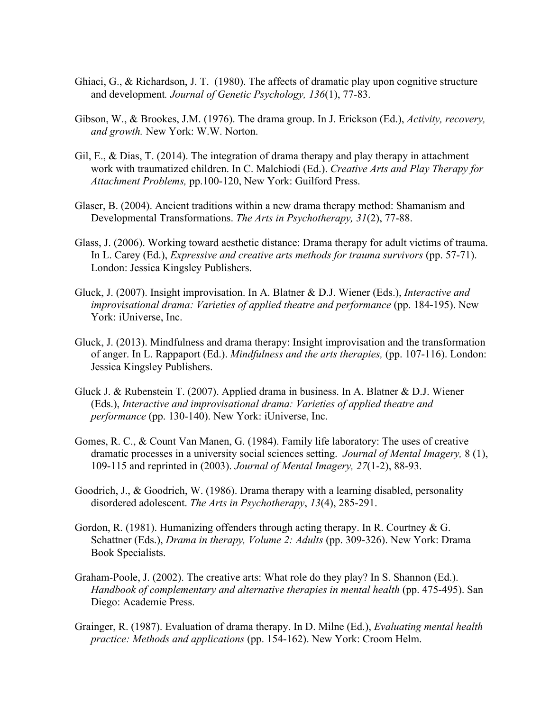- Ghiaci, G., & Richardson, J. T. (1980). The affects of dramatic play upon cognitive structure and development*. Journal of Genetic Psychology, 136*(1), 77-83.
- Gibson, W., & Brookes, J.M. (1976). The drama group. In J. Erickson (Ed.), *Activity, recovery, and growth.* New York: W.W. Norton.
- Gil, E., & Dias, T. (2014). The integration of drama therapy and play therapy in attachment work with traumatized children. In C. Malchiodi (Ed.). *Creative Arts and Play Therapy for Attachment Problems,* pp.100-120, New York: Guilford Press.
- Glaser, B. (2004). Ancient traditions within a new drama therapy method: Shamanism and Developmental Transformations. *The Arts in Psychotherapy, 31*(2), 77-88.
- Glass, J. (2006). Working toward aesthetic distance: Drama therapy for adult victims of trauma. In L. Carey (Ed.), *Expressive and creative arts methods for trauma survivors* (pp. 57-71). London: Jessica Kingsley Publishers.
- Gluck, J. (2007). Insight improvisation. In A. Blatner & D.J. Wiener (Eds.), *Interactive and improvisational drama: Varieties of applied theatre and performance* (pp. 184-195). New York: iUniverse, Inc.
- Gluck, J. (2013). Mindfulness and drama therapy: Insight improvisation and the transformation of anger. In L. Rappaport (Ed.). *Mindfulness and the arts therapies,* (pp. 107-116). London: Jessica Kingsley Publishers.
- Gluck J. & Rubenstein T. (2007). Applied drama in business. In A. Blatner & D.J. Wiener (Eds.), *Interactive and improvisational drama: Varieties of applied theatre and performance* (pp. 130-140). New York: iUniverse, Inc.
- Gomes, R. C., & Count Van Manen, G. (1984). Family life laboratory: The uses of creative dramatic processes in a university social sciences setting. *Journal of Mental Imagery,* 8 (1), 109-115 and reprinted in (2003). *Journal of Mental Imagery, 27*(1-2), 88-93.
- Goodrich, J., & Goodrich, W. (1986). Drama therapy with a learning disabled, personality disordered adolescent. *The Arts in Psychotherapy*, *13*(4), 285-291.
- Gordon, R. (1981). Humanizing offenders through acting therapy. In R. Courtney  $\& G$ . Schattner (Eds.), *Drama in therapy, Volume 2: Adults* (pp. 309-326). New York: Drama Book Specialists.
- Graham-Poole, J. (2002). The creative arts: What role do they play? In S. Shannon (Ed.). *Handbook of complementary and alternative therapies in mental health* (pp. 475-495). San Diego: Academie Press.
- Grainger, R. (1987). Evaluation of drama therapy. In D. Milne (Ed.), *Evaluating mental health practice: Methods and applications* (pp. 154-162). New York: Croom Helm.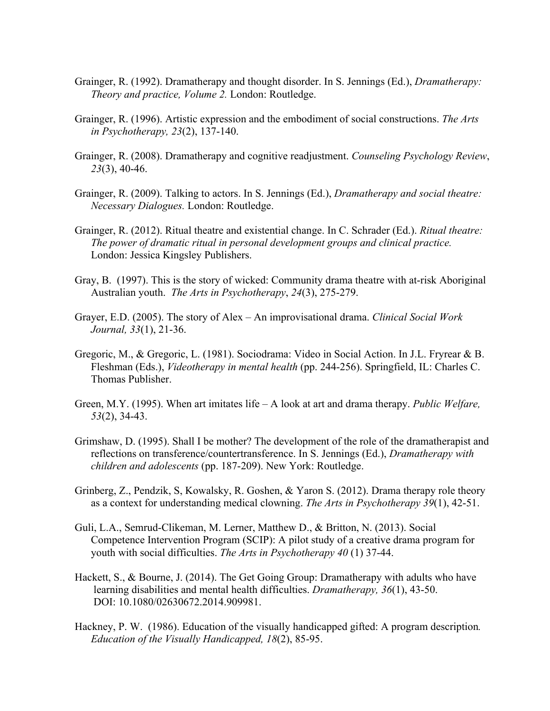- Grainger, R. (1992). Dramatherapy and thought disorder. In S. Jennings (Ed.), *Dramatherapy: Theory and practice, Volume 2.* London: Routledge.
- Grainger, R. (1996). Artistic expression and the embodiment of social constructions. *The Arts in Psychotherapy, 23*(2), 137-140.
- Grainger, R. (2008). Dramatherapy and cognitive readjustment. *Counseling Psychology Review*, *23*(3), 40-46.
- Grainger, R. (2009). Talking to actors. In S. Jennings (Ed.), *Dramatherapy and social theatre: Necessary Dialogues.* London: Routledge.
- Grainger, R. (2012). Ritual theatre and existential change. In C. Schrader (Ed.). *Ritual theatre: The power of dramatic ritual in personal development groups and clinical practice.* London: Jessica Kingsley Publishers.
- Gray, B. (1997). This is the story of wicked: Community drama theatre with at-risk Aboriginal Australian youth. *The Arts in Psychotherapy*, *24*(3), 275-279.
- Grayer, E.D. (2005). The story of Alex An improvisational drama. *Clinical Social Work Journal, 33*(1), 21-36.
- Gregoric, M., & Gregoric, L. (1981). Sociodrama: Video in Social Action. In J.L. Fryrear & B. Fleshman (Eds.), *Videotherapy in mental health* (pp. 244-256). Springfield, IL: Charles C. Thomas Publisher.
- Green, M.Y. (1995). When art imitates life A look at art and drama therapy. *Public Welfare, 53*(2), 34-43.
- Grimshaw, D. (1995). Shall I be mother? The development of the role of the dramatherapist and reflections on transference/countertransference. In S. Jennings (Ed.), *Dramatherapy with children and adolescents* (pp. 187-209). New York: Routledge.
- Grinberg, Z., Pendzik, S, Kowalsky, R. Goshen, & Yaron S. (2012). Drama therapy role theory as a context for understanding medical clowning. *The Arts in Psychotherapy 39*(1), 42-51.
- Guli, L.A., Semrud-Clikeman, M. Lerner, Matthew D., & Britton, N. (2013). Social Competence Intervention Program (SCIP): A pilot study of a creative drama program for youth with social difficulties. *The Arts in Psychotherapy 40* (1) 37-44.
- Hackett, S., & Bourne, J. (2014). The Get Going Group: Dramatherapy with adults who have learning disabilities and mental health difficulties. *Dramatherapy, 36*(1), 43-50. DOI: 10.1080/02630672.2014.909981.
- Hackney, P. W. (1986). Education of the visually handicapped gifted: A program description*. Education of the Visually Handicapped, 18*(2), 85-95.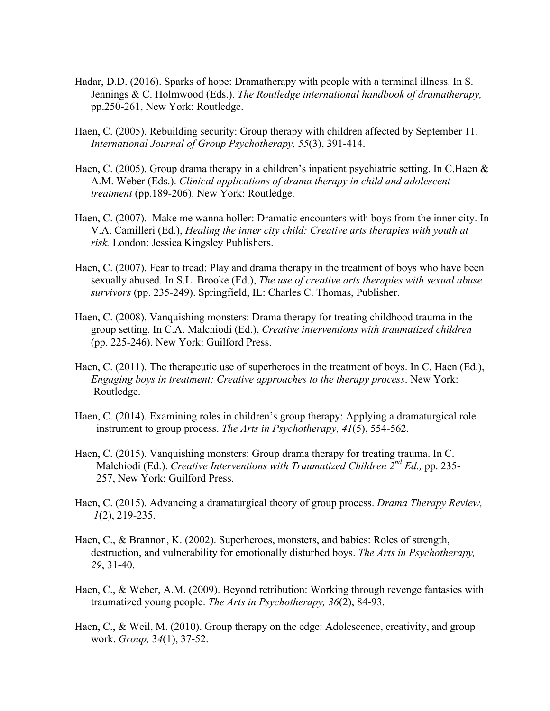- Hadar, D.D. (2016). Sparks of hope: Dramatherapy with people with a terminal illness. In S. Jennings & C. Holmwood (Eds.). *The Routledge international handbook of dramatherapy,*  pp.250-261, New York: Routledge.
- Haen, C. (2005). Rebuilding security: Group therapy with children affected by September 11. *International Journal of Group Psychotherapy, 55*(3), 391-414.
- Haen, C. (2005). Group drama therapy in a children's inpatient psychiatric setting. In C.Haen & A.M. Weber (Eds.). *Clinical applications of drama therapy in child and adolescent treatment* (pp.189-206). New York: Routledge.
- Haen, C. (2007). Make me wanna holler: Dramatic encounters with boys from the inner city. In V.A. Camilleri (Ed.), *Healing the inner city child: Creative arts therapies with youth at risk.* London: Jessica Kingsley Publishers.
- Haen, C. (2007). Fear to tread: Play and drama therapy in the treatment of boys who have been sexually abused. In S.L. Brooke (Ed.), *The use of creative arts therapies with sexual abuse survivors* (pp. 235-249). Springfield, IL: Charles C. Thomas, Publisher.
- Haen, C. (2008). Vanquishing monsters: Drama therapy for treating childhood trauma in the group setting. In C.A. Malchiodi (Ed.), *Creative interventions with traumatized children*  (pp. 225-246). New York: Guilford Press.
- Haen, C. (2011). The therapeutic use of superheroes in the treatment of boys. In C. Haen (Ed.), *Engaging boys in treatment: Creative approaches to the therapy process*. New York: Routledge.
- Haen, C. (2014). Examining roles in children's group therapy: Applying a dramaturgical role instrument to group process. *The Arts in Psychotherapy, 41*(5), 554-562.
- Haen, C. (2015). Vanquishing monsters: Group drama therapy for treating trauma. In C. Malchiodi (Ed.). *Creative Interventions with Traumatized Children 2nd Ed.,* pp. 235- 257, New York: Guilford Press.
- Haen, C. (2015). Advancing a dramaturgical theory of group process. *Drama Therapy Review, 1*(2), 219-235.
- Haen, C., & Brannon, K. (2002). Superheroes, monsters, and babies: Roles of strength, destruction, and vulnerability for emotionally disturbed boys. *The Arts in Psychotherapy, 29*, 31-40.
- Haen, C., & Weber, A.M. (2009). Beyond retribution: Working through revenge fantasies with traumatized young people. *The Arts in Psychotherapy, 36*(2), 84-93.
- Haen, C., & Weil, M. (2010). Group therapy on the edge: Adolescence, creativity, and group work. *Group,* 3*4*(1), 37-52.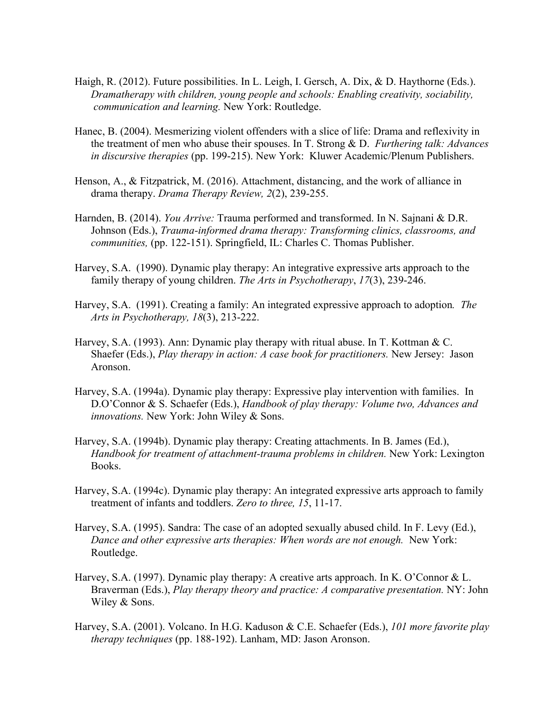- Haigh, R. (2012). Future possibilities. In L. Leigh, I. Gersch, A. Dix, & D. Haythorne (Eds.). *Dramatherapy with children, young people and schools: Enabling creativity, sociability, communication and learning.* New York: Routledge.
- Hanec, B. (2004). Mesmerizing violent offenders with a slice of life: Drama and reflexivity in the treatment of men who abuse their spouses. In T. Strong & D. *Furthering talk: Advances in discursive therapies* (pp. 199-215). New York: Kluwer Academic/Plenum Publishers.
- Henson, A., & Fitzpatrick, M. (2016). Attachment, distancing, and the work of alliance in drama therapy. *Drama Therapy Review, 2*(2), 239-255.
- Harnden, B. (2014). *You Arrive:* Trauma performed and transformed. In N. Sajnani & D.R. Johnson (Eds.), *Trauma-informed drama therapy: Transforming clinics, classrooms, and communities,* (pp. 122-151). Springfield, IL: Charles C. Thomas Publisher.
- Harvey, S.A. (1990). Dynamic play therapy: An integrative expressive arts approach to the family therapy of young children. *The Arts in Psychotherapy*, *17*(3), 239-246.
- Harvey, S.A. (1991). Creating a family: An integrated expressive approach to adoption*. The Arts in Psychotherapy, 18*(3), 213-222.
- Harvey, S.A. (1993). Ann: Dynamic play therapy with ritual abuse. In T. Kottman & C. Shaefer (Eds.), *Play therapy in action: A case book for practitioners.* New Jersey: Jason Aronson.
- Harvey, S.A. (1994a). Dynamic play therapy: Expressive play intervention with families. In D.O'Connor & S. Schaefer (Eds.), *Handbook of play therapy: Volume two, Advances and innovations.* New York: John Wiley & Sons.
- Harvey, S.A. (1994b). Dynamic play therapy: Creating attachments. In B. James (Ed.), *Handbook for treatment of attachment-trauma problems in children.* New York: Lexington Books.
- Harvey, S.A. (1994c). Dynamic play therapy: An integrated expressive arts approach to family treatment of infants and toddlers. *Zero to three, 15*, 11-17.
- Harvey, S.A. (1995). Sandra: The case of an adopted sexually abused child. In F. Levy (Ed.), *Dance and other expressive arts therapies: When words are not enough.* New York: Routledge.
- Harvey, S.A. (1997). Dynamic play therapy: A creative arts approach. In K. O'Connor & L. Braverman (Eds.), *Play therapy theory and practice: A comparative presentation.* NY: John Wiley & Sons.
- Harvey, S.A. (2001). Volcano. In H.G. Kaduson & C.E. Schaefer (Eds.), *101 more favorite play therapy techniques* (pp. 188-192). Lanham, MD: Jason Aronson.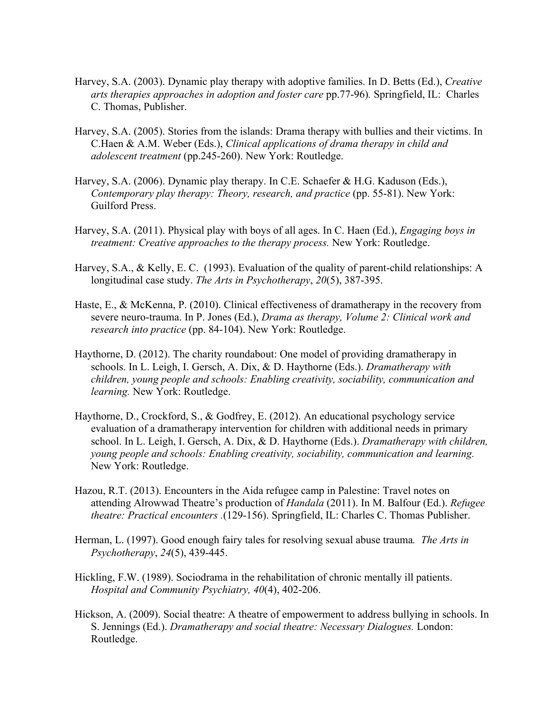- Harvey, S.A. (2003). Dynamic play therapy with adoptive families. In D. Betts (Ed.), *Creative arts therapies approaches in adoption and foster care* pp.77-96)*.* Springfield, IL: Charles C. Thomas, Publisher.
- Harvey, S.A. (2005). Stories from the islands: Drama therapy with bullies and their victims. In C.Haen & A.M. Weber (Eds.), *Clinical applications of drama therapy in child and adolescent treatment* (pp.245-260). New York: Routledge.
- Harvey, S.A. (2006). Dynamic play therapy. In C.E. Schaefer & H.G. Kaduson (Eds.), *Contemporary play therapy: Theory, research, and practice* (pp. 55-81). New York: Guilford Press.
- Harvey, S.A. (2011). Physical play with boys of all ages. In C. Haen (Ed.), *Engaging boys in treatment: Creative approaches to the therapy process.* New York: Routledge.
- Harvey, S.A., & Kelly, E. C. (1993). Evaluation of the quality of parent-child relationships: A longitudinal case study. *The Arts in Psychotherapy*, *20*(5), 387-395.
- Haste, E., & McKenna, P. (2010). Clinical effectiveness of dramatherapy in the recovery from severe neuro-trauma. In P. Jones (Ed.), *Drama as therapy, Volume 2: Clinical work and research into practice* (pp. 84-104). New York: Routledge.
- Haythorne, D. (2012). The charity roundabout: One model of providing dramatherapy in schools. In L. Leigh, I. Gersch, A. Dix, & D. Haythorne (Eds.). *Dramatherapy with children, young people and schools: Enabling creativity, sociability, communication and learning.* New York: Routledge.
- Haythorne, D., Crockford, S., & Godfrey, E. (2012). An educational psychology service evaluation of a dramatherapy intervention for children with additional needs in primary school. In L. Leigh, I. Gersch, A. Dix, & D. Haythorne (Eds.). *Dramatherapy with children, young people and schools: Enabling creativity, sociability, communication and learning.*  New York: Routledge.
- Hazou, R.T. (2013). Encounters in the Aida refugee camp in Palestine: Travel notes on attending Alrowwad Theatre's production of *Handala* (2011). In M. Balfour (Ed.). *Refugee theatre: Practical encounters .*(129-156). Springfield, IL: Charles C. Thomas Publisher.
- Herman, L. (1997). Good enough fairy tales for resolving sexual abuse trauma*. The Arts in Psychotherapy*, *24*(5), 439-445.
- Hickling, F.W. (1989). Sociodrama in the rehabilitation of chronic mentally ill patients. *Hospital and Community Psychiatry, 40*(4), 402-206.
- Hickson, A. (2009). Social theatre: A theatre of empowerment to address bullying in schools. In S. Jennings (Ed.). *Dramatherapy and social theatre: Necessary Dialogues.* London: Routledge.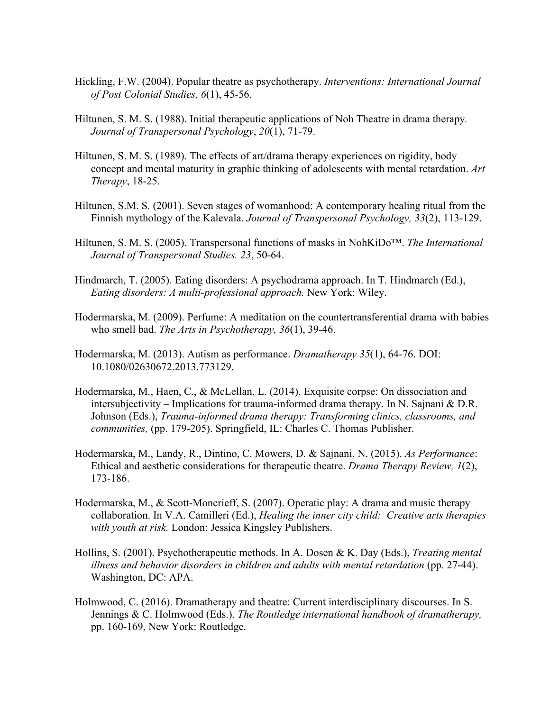- Hickling, F.W. (2004). Popular theatre as psychotherapy. *Interventions: International Journal of Post Colonial Studies, 6*(1), 45-56.
- Hiltunen, S. M. S. (1988). Initial therapeutic applications of Noh Theatre in drama therapy*. Journal of Transpersonal Psychology*, *20*(1), 71-79.
- Hiltunen, S. M. S. (1989). The effects of art/drama therapy experiences on rigidity, body concept and mental maturity in graphic thinking of adolescents with mental retardation. *Art Therapy*, 18-25.
- Hiltunen, S.M. S. (2001). Seven stages of womanhood: A contemporary healing ritual from the Finnish mythology of the Kalevala. *Journal of Transpersonal Psychology, 33*(2), 113-129.
- Hiltunen, S. M. S. (2005). Transpersonal functions of masks in NohKiDo™. *The International Journal of Transpersonal Studies. 23*, 50-64.
- Hindmarch, T. (2005). Eating disorders: A psychodrama approach. In T. Hindmarch (Ed.), *Eating disorders: A multi-professional approach.* New York: Wiley.
- Hodermarska, M. (2009). Perfume: A meditation on the countertransferential drama with babies who smell bad. *The Arts in Psychotherapy, 36*(1), 39-46.
- Hodermarska, M. (2013). Autism as performance. *Dramatherapy 35*(1), 64-76. DOI: 10.1080/02630672.2013.773129.
- Hodermarska, M., Haen, C., & McLellan, L. (2014). Exquisite corpse: On dissociation and intersubjectivity – Implications for trauma-informed drama therapy. In N. Sajnani & D.R. Johnson (Eds.), *Trauma-informed drama therapy: Transforming clinics, classrooms, and communities,* (pp. 179-205). Springfield, IL: Charles C. Thomas Publisher.
- Hodermarska, M., Landy, R., Dintino, C. Mowers, D. & Sajnani, N. (2015). *As Performance*: Ethical and aesthetic considerations for therapeutic theatre. *Drama Therapy Review, 1*(2), 173-186.
- Hodermarska, M., & Scott-Moncrieff, S. (2007). Operatic play: A drama and music therapy collaboration. In V.A. Camilleri (Ed.), *Healing the inner city child: Creative arts therapies with youth at risk.* London: Jessica Kingsley Publishers.
- Hollins, S. (2001). Psychotherapeutic methods. In A. Dosen & K. Day (Eds.), *Treating mental illness and behavior disorders in children and adults with mental retardation* (pp. 27-44). Washington, DC: APA.
- Holmwood, C. (2016). Dramatherapy and theatre: Current interdisciplinary discourses. In S. Jennings & C. Holmwood (Eds.). *The Routledge international handbook of dramatherapy,*  pp. 160-169, New York: Routledge.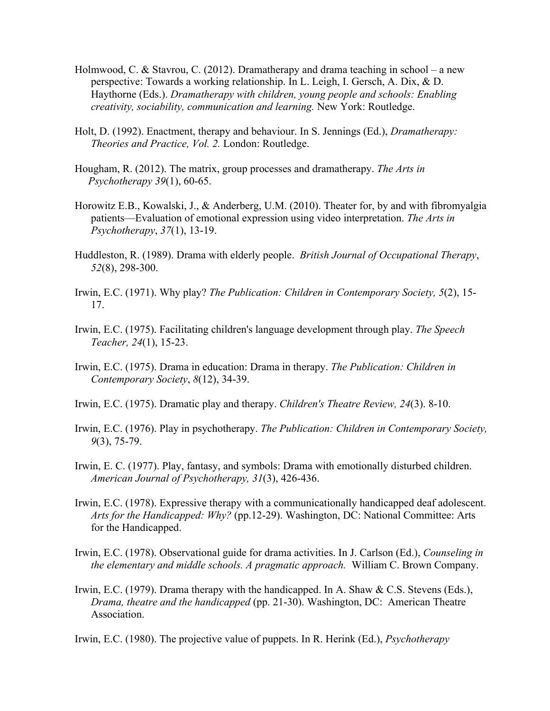- Holmwood, C. & Stavrou, C. (2012). Dramatherapy and drama teaching in school a new perspective: Towards a working relationship. In L. Leigh, I. Gersch, A. Dix, & D. Haythorne (Eds.). *Dramatherapy with children, young people and schools: Enabling creativity, sociability, communication and learning.* New York: Routledge.
- Holt, D. (1992). Enactment, therapy and behaviour. In S. Jennings (Ed.), *Dramatherapy: Theories and Practice, Vol. 2.* London: Routledge.
- Hougham, R. (2012). The matrix, group processes and dramatherapy. *The Arts in Psychotherapy 39*(1), 60-65.
- Horowitz E.B., Kowalski, J., & Anderberg, U.M. (2010). Theater for, by and with fibromyalgia patients—Evaluation of emotional expression using video interpretation. *The Arts in Psychotherapy*, *37*(1), 13-19.
- Huddleston, R. (1989). Drama with elderly people. *British Journal of Occupational Therapy*, *52*(8), 298-300.
- Irwin, E.C. (1971). Why play? *The Publication: Children in Contemporary Society, 5*(2), 15- 17.
- Irwin, E.C. (1975). Facilitating children's language development through play. *The Speech Teacher, 24*(1), 15-23.
- Irwin, E.C. (1975). Drama in education: Drama in therapy. *The Publication: Children in Contemporary Society*, *8*(12), 34-39.
- Irwin, E.C. (1975). Dramatic play and therapy. *Children's Theatre Review, 24*(3). 8-10.
- Irwin, E.C. (1976). Play in psychotherapy. *The Publication: Children in Contemporary Society, 9*(3), 75-79.
- Irwin, E. C. (1977). Play, fantasy, and symbols: Drama with emotionally disturbed children. *American Journal of Psychotherapy, 31*(3), 426-436.
- Irwin, E.C. (1978). Expressive therapy with a communicationally handicapped deaf adolescent. *Arts for the Handicapped: Why?* (pp.12-29). Washington, DC: National Committee: Arts for the Handicapped.
- Irwin, E.C. (1978). Observational guide for drama activities. In J. Carlson (Ed.), *Counseling in the elementary and middle schools. A pragmatic approach.* William C. Brown Company.
- Irwin, E.C. (1979). Drama therapy with the handicapped. In A. Shaw & C.S. Stevens (Eds.), *Drama, theatre and the handicapped* (pp. 21-30). Washington, DC: American Theatre Association.
- Irwin, E.C. (1980). The projective value of puppets. In R. Herink (Ed.), *Psychotherapy*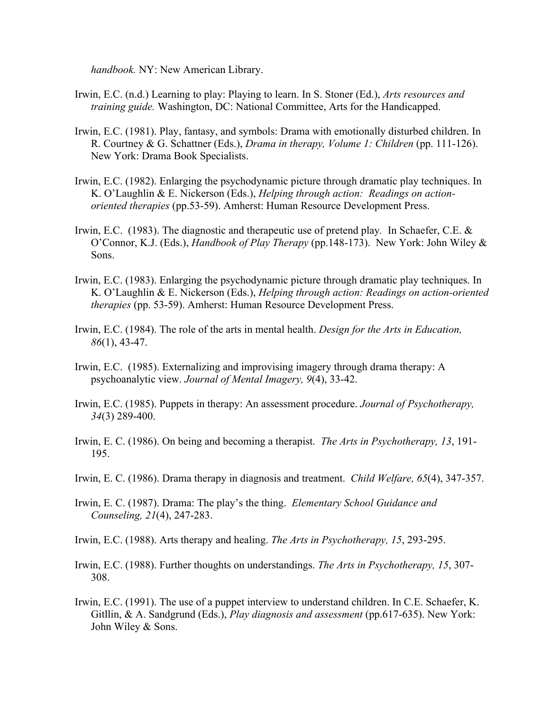*handbook.* NY: New American Library.

- Irwin, E.C. (n.d.) Learning to play: Playing to learn. In S. Stoner (Ed.), *Arts resources and training guide.* Washington, DC: National Committee, Arts for the Handicapped.
- Irwin, E.C. (1981). Play, fantasy, and symbols: Drama with emotionally disturbed children. In R. Courtney & G. Schattner (Eds.), *Drama in therapy, Volume 1: Children* (pp. 111-126). New York: Drama Book Specialists.
- Irwin, E.C. (1982). Enlarging the psychodynamic picture through dramatic play techniques. In K. O'Laughlin & E. Nickerson (Eds.), *Helping through action: Readings on actionoriented therapies* (pp.53-59). Amherst: Human Resource Development Press.
- Irwin, E.C. (1983). The diagnostic and therapeutic use of pretend play*.* In Schaefer, C.E. & O'Connor, K.J. (Eds.), *Handbook of Play Therapy* (pp.148-173). New York: John Wiley & Sons.
- Irwin, E.C. (1983). Enlarging the psychodynamic picture through dramatic play techniques. In K. O'Laughlin & E. Nickerson (Eds.), *Helping through action: Readings on action-oriented therapies* (pp. 53-59). Amherst: Human Resource Development Press.
- Irwin, E.C. (1984). The role of the arts in mental health. *Design for the Arts in Education, 86*(1), 43-47.
- Irwin, E.C. (1985). Externalizing and improvising imagery through drama therapy: A psychoanalytic view. *Journal of Mental Imagery, 9*(4), 33-42.
- Irwin, E.C. (1985). Puppets in therapy: An assessment procedure. *Journal of Psychotherapy, 34*(3) 289-400.
- Irwin, E. C. (1986). On being and becoming a therapist. *The Arts in Psychotherapy, 13*, 191- 195.
- Irwin, E. C. (1986). Drama therapy in diagnosis and treatment. *Child Welfare, 65*(4), 347-357.
- Irwin, E. C. (1987). Drama: The play's the thing. *Elementary School Guidance and Counseling, 21*(4), 247-283.

Irwin, E.C. (1988). Arts therapy and healing. *The Arts in Psychotherapy, 15*, 293-295.

- Irwin, E.C. (1988). Further thoughts on understandings. *The Arts in Psychotherapy, 15*, 307- 308.
- Irwin, E.C. (1991). The use of a puppet interview to understand children. In C.E. Schaefer, K. Gitllin, & A. Sandgrund (Eds.), *Play diagnosis and assessment* (pp.617-635). New York: John Wiley & Sons.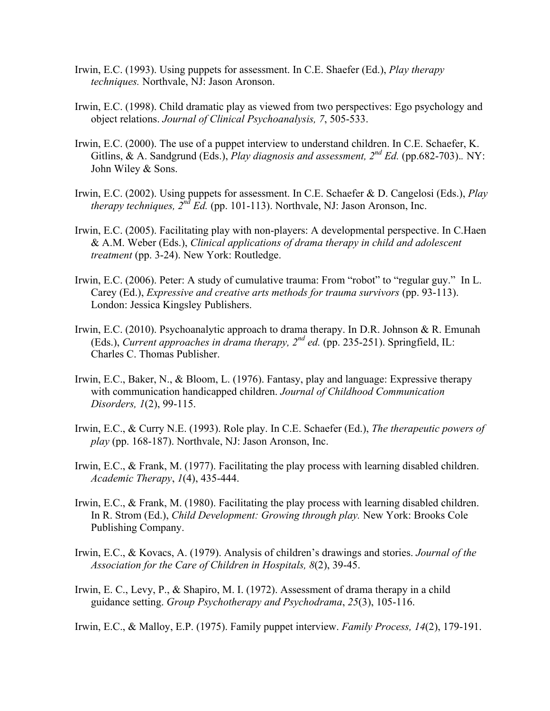- Irwin, E.C. (1993). Using puppets for assessment. In C.E. Shaefer (Ed.), *Play therapy techniques.* Northvale, NJ: Jason Aronson.
- Irwin, E.C. (1998). Child dramatic play as viewed from two perspectives: Ego psychology and object relations. *Journal of Clinical Psychoanalysis, 7*, 505-533.
- Irwin, E.C. (2000). The use of a puppet interview to understand children. In C.E. Schaefer, K. Gitlins, & A. Sandgrund (Eds.), *Play diagnosis and assessment, 2nd Ed.* (pp.682-703).*.* NY: John Wiley & Sons.
- Irwin, E.C. (2002). Using puppets for assessment. In C.E. Schaefer & D. Cangelosi (Eds.), *Play therapy techniques, 2nd Ed.* (pp. 101-113). Northvale, NJ: Jason Aronson, Inc.
- Irwin, E.C. (2005). Facilitating play with non-players: A developmental perspective. In C.Haen & A.M. Weber (Eds.), *Clinical applications of drama therapy in child and adolescent treatment* (pp. 3-24). New York: Routledge.
- Irwin, E.C. (2006). Peter: A study of cumulative trauma: From "robot" to "regular guy." In L. Carey (Ed.), *Expressive and creative arts methods for trauma survivors* (pp. 93-113). London: Jessica Kingsley Publishers.
- Irwin, E.C. (2010). Psychoanalytic approach to drama therapy. In D.R. Johnson & R. Emunah (Eds.), *Current approaches in drama therapy, 2nd ed.* (pp. 235-251). Springfield, IL: Charles C. Thomas Publisher.
- Irwin, E.C., Baker, N., & Bloom, L. (1976). Fantasy, play and language: Expressive therapy with communication handicapped children. *Journal of Childhood Communication Disorders, 1*(2), 99-115.
- Irwin, E.C., & Curry N.E. (1993). Role play. In C.E. Schaefer (Ed.), *The therapeutic powers of play* (pp. 168-187). Northvale, NJ: Jason Aronson, Inc.
- Irwin, E.C., & Frank, M. (1977). Facilitating the play process with learning disabled children. *Academic Therapy*, *1*(4), 435-444.
- Irwin, E.C., & Frank, M. (1980). Facilitating the play process with learning disabled children. In R. Strom (Ed.), *Child Development: Growing through play.* New York: Brooks Cole Publishing Company.
- Irwin, E.C., & Kovacs, A. (1979). Analysis of children's drawings and stories. *Journal of the Association for the Care of Children in Hospitals, 8*(2), 39-45.
- Irwin, E. C., Levy, P., & Shapiro, M. I. (1972). Assessment of drama therapy in a child guidance setting. *Group Psychotherapy and Psychodrama*, *25*(3), 105-116.

Irwin, E.C., & Malloy, E.P. (1975). Family puppet interview. *Family Process, 14*(2), 179-191.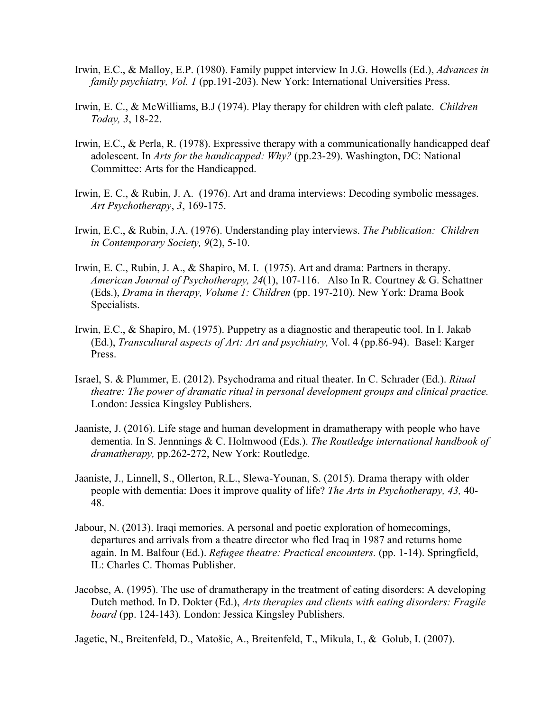- Irwin, E.C., & Malloy, E.P. (1980). Family puppet interview In J.G. Howells (Ed.), *Advances in family psychiatry, Vol. 1* (pp.191-203). New York: International Universities Press.
- Irwin, E. C., & McWilliams, B.J (1974). Play therapy for children with cleft palate. *Children Today, 3*, 18-22.
- Irwin, E.C., & Perla, R. (1978). Expressive therapy with a communicationally handicapped deaf adolescent. In *Arts for the handicapped: Why?* (pp.23-29). Washington, DC: National Committee: Arts for the Handicapped.
- Irwin, E. C., & Rubin, J. A. (1976). Art and drama interviews: Decoding symbolic messages. *Art Psychotherapy*, *3*, 169-175.
- Irwin, E.C., & Rubin, J.A. (1976). Understanding play interviews. *The Publication: Children in Contemporary Society, 9*(2), 5-10.
- Irwin, E. C., Rubin, J. A., & Shapiro, M. I. (1975). Art and drama: Partners in therapy. *American Journal of Psychotherapy, 24*(1), 107-116. Also In R. Courtney & G. Schattner (Eds.), *Drama in therapy, Volume 1: Children* (pp. 197-210). New York: Drama Book Specialists.
- Irwin, E.C., & Shapiro, M. (1975). Puppetry as a diagnostic and therapeutic tool. In I. Jakab (Ed.), *Transcultural aspects of Art: Art and psychiatry,* Vol. 4 (pp.86-94). Basel: Karger Press.
- Israel, S. & Plummer, E. (2012). Psychodrama and ritual theater. In C. Schrader (Ed.). *Ritual theatre: The power of dramatic ritual in personal development groups and clinical practice.* London: Jessica Kingsley Publishers.
- Jaaniste, J. (2016). Life stage and human development in dramatherapy with people who have dementia. In S. Jennnings & C. Holmwood (Eds.). *The Routledge international handbook of dramatherapy,* pp.262-272, New York: Routledge.
- Jaaniste, J., Linnell, S., Ollerton, R.L., Slewa-Younan, S. (2015). Drama therapy with older people with dementia: Does it improve quality of life? *The Arts in Psychotherapy, 43,* 40- 48.
- Jabour, N. (2013). Iraqi memories. A personal and poetic exploration of homecomings, departures and arrivals from a theatre director who fled Iraq in 1987 and returns home again. In M. Balfour (Ed.). *Refugee theatre: Practical encounters.* (pp. 1-14). Springfield, IL: Charles C. Thomas Publisher.
- Jacobse, A. (1995). The use of dramatherapy in the treatment of eating disorders: A developing Dutch method. In D. Dokter (Ed.), *Arts therapies and clients with eating disorders: Fragile board* (pp. 124-143)*.* London: Jessica Kingsley Publishers.

Jagetic, N., Breitenfeld, D., Matošic, A., Breitenfeld, T., Mikula, I., & Golub, I. (2007).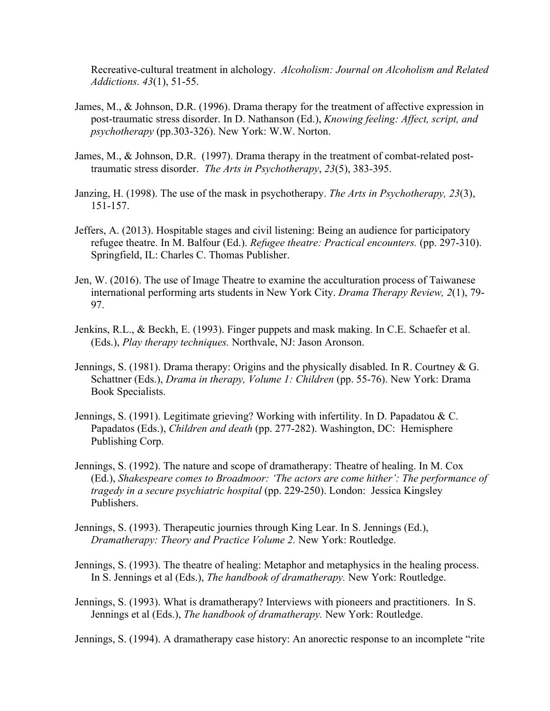Recreative-cultural treatment in alchology. *Alcoholism: Journal on Alcoholism and Related Addictions. 43*(1), 51-55.

- James, M., & Johnson, D.R. (1996). Drama therapy for the treatment of affective expression in post-traumatic stress disorder. In D. Nathanson (Ed.), *Knowing feeling: Affect, script, and psychotherapy* (pp.303-326). New York: W.W. Norton.
- James, M., & Johnson, D.R. (1997). Drama therapy in the treatment of combat-related posttraumatic stress disorder. *The Arts in Psychotherapy*, *23*(5), 383-395.
- Janzing, H. (1998). The use of the mask in psychotherapy. *The Arts in Psychotherapy, 23*(3), 151-157.
- Jeffers, A. (2013). Hospitable stages and civil listening: Being an audience for participatory refugee theatre. In M. Balfour (Ed.). *Refugee theatre: Practical encounters.* (pp. 297-310). Springfield, IL: Charles C. Thomas Publisher.
- Jen, W. (2016). The use of Image Theatre to examine the acculturation process of Taiwanese international performing arts students in New York City. *Drama Therapy Review, 2*(1), 79- 97.
- Jenkins, R.L., & Beckh, E. (1993). Finger puppets and mask making. In C.E. Schaefer et al. (Eds.), *Play therapy techniques.* Northvale, NJ: Jason Aronson.
- Jennings, S. (1981). Drama therapy: Origins and the physically disabled. In R. Courtney & G. Schattner (Eds.), *Drama in therapy, Volume 1: Children* (pp. 55-76). New York: Drama Book Specialists.
- Jennings, S. (1991). Legitimate grieving? Working with infertility. In D. Papadatou & C. Papadatos (Eds.), *Children and death* (pp. 277-282). Washington, DC: Hemisphere Publishing Corp.
- Jennings, S. (1992). The nature and scope of dramatherapy: Theatre of healing. In M. Cox (Ed.), *Shakespeare comes to Broadmoor: 'The actors are come hither': The performance of tragedy in a secure psychiatric hospital* (pp. 229-250). London: Jessica Kingsley Publishers.
- Jennings, S. (1993). Therapeutic journies through King Lear. In S. Jennings (Ed.), *Dramatherapy: Theory and Practice Volume 2.* New York: Routledge.
- Jennings, S. (1993). The theatre of healing: Metaphor and metaphysics in the healing process. In S. Jennings et al (Eds.), *The handbook of dramatherapy.* New York: Routledge.
- Jennings, S. (1993). What is dramatherapy? Interviews with pioneers and practitioners. In S. Jennings et al (Eds.), *The handbook of dramatherapy.* New York: Routledge.

Jennings, S. (1994). A dramatherapy case history: An anorectic response to an incomplete "rite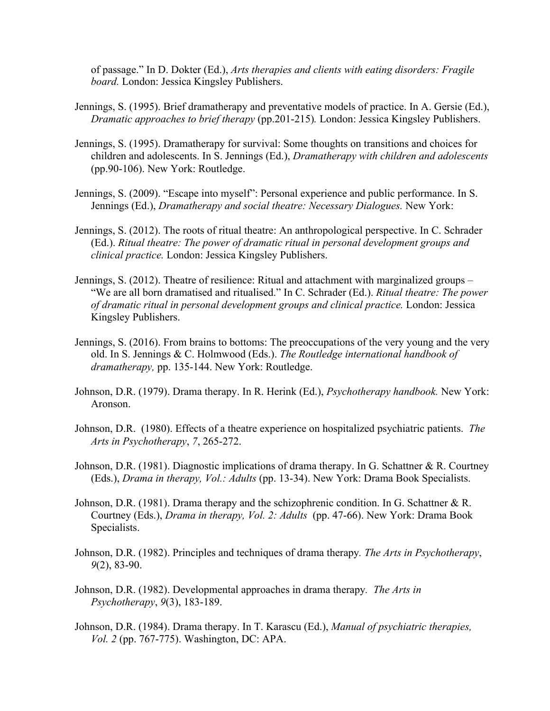of passage." In D. Dokter (Ed.), *Arts therapies and clients with eating disorders: Fragile board.* London: Jessica Kingsley Publishers.

- Jennings, S. (1995). Brief dramatherapy and preventative models of practice. In A. Gersie (Ed.), *Dramatic approaches to brief therapy* (pp.201-215)*.* London: Jessica Kingsley Publishers.
- Jennings, S. (1995). Dramatherapy for survival: Some thoughts on transitions and choices for children and adolescents. In S. Jennings (Ed.), *Dramatherapy with children and adolescents* (pp.90-106). New York: Routledge.
- Jennings, S. (2009). "Escape into myself": Personal experience and public performance. In S. Jennings (Ed.), *Dramatherapy and social theatre: Necessary Dialogues.* New York:
- Jennings, S. (2012). The roots of ritual theatre: An anthropological perspective. In C. Schrader (Ed.). *Ritual theatre: The power of dramatic ritual in personal development groups and clinical practice.* London: Jessica Kingsley Publishers.
- Jennings, S. (2012). Theatre of resilience: Ritual and attachment with marginalized groups "We are all born dramatised and ritualised." In C. Schrader (Ed.). *Ritual theatre: The power of dramatic ritual in personal development groups and clinical practice.* London: Jessica Kingsley Publishers.
- Jennings, S. (2016). From brains to bottoms: The preoccupations of the very young and the very old. In S. Jennings & C. Holmwood (Eds.). *The Routledge international handbook of dramatherapy,* pp. 135-144. New York: Routledge.
- Johnson, D.R. (1979). Drama therapy. In R. Herink (Ed.), *Psychotherapy handbook.* New York: Aronson.
- Johnson, D.R. (1980). Effects of a theatre experience on hospitalized psychiatric patients. *The Arts in Psychotherapy*, *7*, 265-272.
- Johnson, D.R. (1981). Diagnostic implications of drama therapy. In G. Schattner & R. Courtney (Eds.), *Drama in therapy, Vol.: Adults* (pp. 13-34). New York: Drama Book Specialists.
- Johnson, D.R. (1981). Drama therapy and the schizophrenic condition. In G. Schattner & R. Courtney (Eds.), *Drama in therapy, Vol. 2: Adults* (pp. 47-66). New York: Drama Book Specialists.
- Johnson, D.R. (1982). Principles and techniques of drama therapy*. The Arts in Psychotherapy*, *9*(2), 83-90.
- Johnson, D.R. (1982). Developmental approaches in drama therapy*. The Arts in Psychotherapy*, *9*(3), 183-189.
- Johnson, D.R. (1984). Drama therapy. In T. Karascu (Ed.), *Manual of psychiatric therapies, Vol. 2* (pp. 767-775). Washington, DC: APA.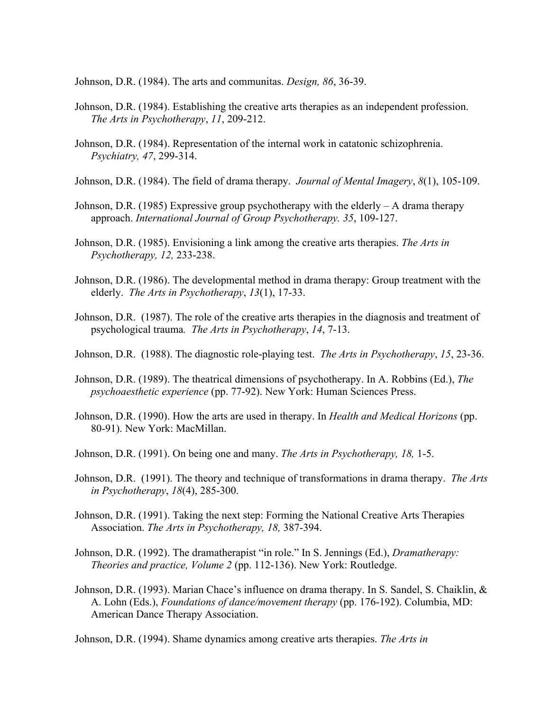Johnson, D.R. (1984). The arts and communitas. *Design, 86*, 36-39.

- Johnson, D.R. (1984). Establishing the creative arts therapies as an independent profession. *The Arts in Psychotherapy*, *11*, 209-212.
- Johnson, D.R. (1984). Representation of the internal work in catatonic schizophrenia. *Psychiatry, 47*, 299-314.
- Johnson, D.R. (1984). The field of drama therapy. *Journal of Mental Imagery*, *8*(1), 105-109.
- Johnson, D.R. (1985) Expressive group psychotherapy with the elderly  $-A$  drama therapy approach. *International Journal of Group Psychotherapy. 35*, 109-127.
- Johnson, D.R. (1985). Envisioning a link among the creative arts therapies. *The Arts in Psychotherapy, 12,* 233-238.
- Johnson, D.R. (1986). The developmental method in drama therapy: Group treatment with the elderly. *The Arts in Psychotherapy*, *13*(1), 17-33.
- Johnson, D.R. (1987). The role of the creative arts therapies in the diagnosis and treatment of psychological trauma*. The Arts in Psychotherapy*, *14*, 7-13.
- Johnson, D.R. (1988). The diagnostic role-playing test. *The Arts in Psychotherapy*, *15*, 23-36.
- Johnson, D.R. (1989). The theatrical dimensions of psychotherapy. In A. Robbins (Ed.), *The psychoaesthetic experience* (pp. 77-92). New York: Human Sciences Press.
- Johnson, D.R. (1990). How the arts are used in therapy. In *Health and Medical Horizons* (pp. 80-91). New York: MacMillan.
- Johnson, D.R. (1991). On being one and many. *The Arts in Psychotherapy, 18,* 1-5.
- Johnson, D.R. (1991). The theory and technique of transformations in drama therapy. *The Arts in Psychotherapy*, *18*(4), 285-300.
- Johnson, D.R. (1991). Taking the next step: Forming the National Creative Arts Therapies Association. *The Arts in Psychotherapy, 18,* 387-394.
- Johnson, D.R. (1992). The dramatherapist "in role." In S. Jennings (Ed.), *Dramatherapy: Theories and practice, Volume 2* (pp. 112-136). New York: Routledge.
- Johnson, D.R. (1993). Marian Chace's influence on drama therapy. In S. Sandel, S. Chaiklin, & A. Lohn (Eds.), *Foundations of dance/movement therapy* (pp. 176-192). Columbia, MD: American Dance Therapy Association.

Johnson, D.R. (1994). Shame dynamics among creative arts therapies. *The Arts in*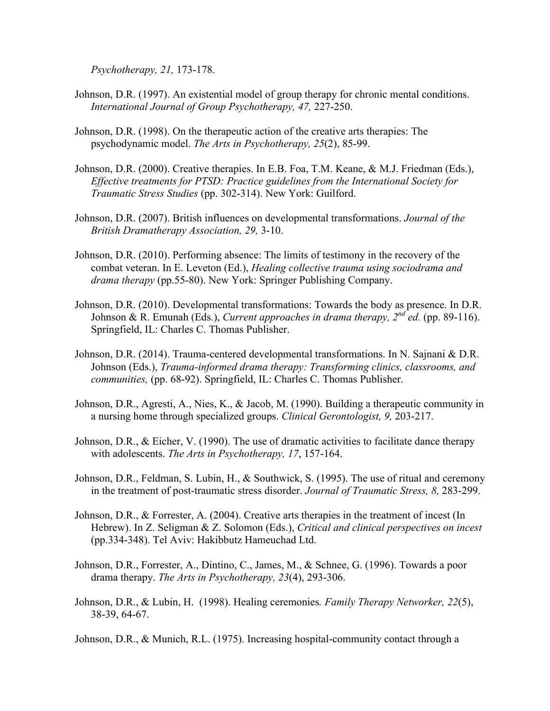*Psychotherapy, 21,* 173-178.

- Johnson, D.R. (1997). An existential model of group therapy for chronic mental conditions. *International Journal of Group Psychotherapy, 47,* 227-250.
- Johnson, D.R. (1998). On the therapeutic action of the creative arts therapies: The psychodynamic model. *The Arts in Psychotherapy, 25*(2), 85-99.
- Johnson, D.R. (2000). Creative therapies. In E.B. Foa, T.M. Keane, & M.J. Friedman (Eds.), *Effective treatments for PTSD: Practice guidelines from the International Society for Traumatic Stress Studies* (pp. 302-314). New York: Guilford.
- Johnson, D.R. (2007). British influences on developmental transformations. *Journal of the British Dramatherapy Association, 29,* 3-10.
- Johnson, D.R. (2010). Performing absence: The limits of testimony in the recovery of the combat veteran. In E. Leveton (Ed.), *Healing collective trauma using sociodrama and drama therapy* (pp.55-80). New York: Springer Publishing Company.
- Johnson, D.R. (2010). Developmental transformations: Towards the body as presence. In D.R. Johnson & R. Emunah (Eds.), *Current approaches in drama therapy, 2nd ed.* (pp. 89-116). Springfield, IL: Charles C. Thomas Publisher.
- Johnson, D.R. (2014). Trauma-centered developmental transformations. In N. Sajnani & D.R. Johnson (Eds.), *Trauma-informed drama therapy: Transforming clinics, classrooms, and communities,* (pp. 68-92). Springfield, IL: Charles C. Thomas Publisher.
- Johnson, D.R., Agresti, A., Nies, K., & Jacob, M. (1990). Building a therapeutic community in a nursing home through specialized groups. *Clinical Gerontologist, 9,* 203-217.
- Johnson, D.R., & Eicher, V. (1990). The use of dramatic activities to facilitate dance therapy with adolescents. *The Arts in Psychotherapy, 17*, 157-164.
- Johnson, D.R., Feldman, S. Lubin, H., & Southwick, S. (1995). The use of ritual and ceremony in the treatment of post-traumatic stress disorder. *Journal of Traumatic Stress, 8,* 283-299.
- Johnson, D.R., & Forrester, A. (2004). Creative arts therapies in the treatment of incest (In Hebrew). In Z. Seligman & Z. Solomon (Eds.), *Critical and clinical perspectives on incest*  (pp.334-348). Tel Aviv: Hakibbutz Hameuchad Ltd.
- Johnson, D.R., Forrester, A., Dintino, C., James, M., & Schnee, G. (1996). Towards a poor drama therapy. *The Arts in Psychotherapy, 23*(4), 293-306.
- Johnson, D.R., & Lubin, H. (1998). Healing ceremonies*. Family Therapy Networker, 22*(5), 38-39, 64-67.
- Johnson, D.R., & Munich, R.L. (1975). Increasing hospital-community contact through a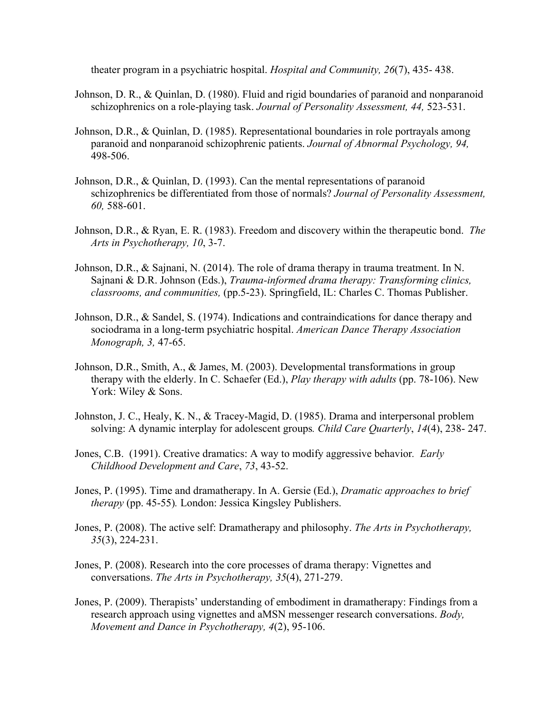theater program in a psychiatric hospital. *Hospital and Community, 26*(7), 435- 438.

- Johnson, D. R., & Quinlan, D. (1980). Fluid and rigid boundaries of paranoid and nonparanoid schizophrenics on a role-playing task. *Journal of Personality Assessment, 44,* 523-531.
- Johnson, D.R., & Quinlan, D. (1985). Representational boundaries in role portrayals among paranoid and nonparanoid schizophrenic patients. *Journal of Abnormal Psychology, 94,*  498-506.
- Johnson, D.R., & Quinlan, D. (1993). Can the mental representations of paranoid schizophrenics be differentiated from those of normals? *Journal of Personality Assessment, 60,* 588-601.
- Johnson, D.R., & Ryan, E. R. (1983). Freedom and discovery within the therapeutic bond. *The Arts in Psychotherapy, 10*, 3-7.
- Johnson, D.R., & Sajnani, N. (2014). The role of drama therapy in trauma treatment. In N. Sajnani & D.R. Johnson (Eds.), *Trauma-informed drama therapy: Transforming clinics, classrooms, and communities,* (pp.5-23). Springfield, IL: Charles C. Thomas Publisher.
- Johnson, D.R., & Sandel, S. (1974). Indications and contraindications for dance therapy and sociodrama in a long-term psychiatric hospital. *American Dance Therapy Association Monograph, 3,* 47-65.
- Johnson, D.R., Smith, A., & James, M. (2003). Developmental transformations in group therapy with the elderly. In C. Schaefer (Ed.), *Play therapy with adults* (pp. 78-106). New York: Wiley & Sons.
- Johnston, J. C., Healy, K. N., & Tracey-Magid, D. (1985). Drama and interpersonal problem solving: A dynamic interplay for adolescent groups*. Child Care Quarterly*, *14*(4), 238- 247.
- Jones, C.B. (1991). Creative dramatics: A way to modify aggressive behavior*. Early Childhood Development and Care*, *73*, 43-52.
- Jones, P. (1995). Time and dramatherapy. In A. Gersie (Ed.), *Dramatic approaches to brief therapy* (pp. 45-55)*.* London: Jessica Kingsley Publishers.
- Jones, P. (2008). The active self: Dramatherapy and philosophy. *The Arts in Psychotherapy, 35*(3), 224-231.
- Jones, P. (2008). Research into the core processes of drama therapy: Vignettes and conversations. *The Arts in Psychotherapy, 35*(4), 271-279.
- Jones, P. (2009). Therapists' understanding of embodiment in dramatherapy: Findings from a research approach using vignettes and aMSN messenger research conversations. *Body, Movement and Dance in Psychotherapy, 4*(2), 95-106.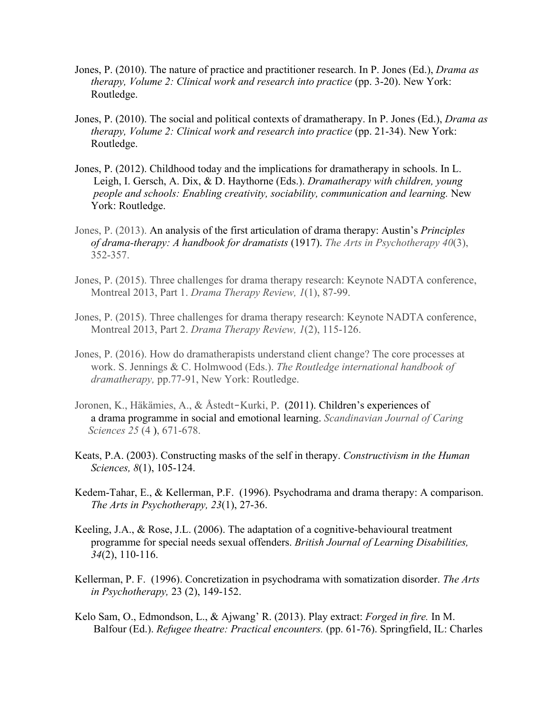- Jones, P. (2010). The nature of practice and practitioner research. In P. Jones (Ed.), *Drama as therapy, Volume 2: Clinical work and research into practice* (pp. 3-20). New York: Routledge.
- Jones, P. (2010). The social and political contexts of dramatherapy. In P. Jones (Ed.), *Drama as therapy, Volume 2: Clinical work and research into practice* (pp. 21-34). New York: Routledge.
- Jones, P. (2012). Childhood today and the implications for dramatherapy in schools. In L. Leigh, I. Gersch, A. Dix, & D. Haythorne (Eds.). *Dramatherapy with children, young people and schools: Enabling creativity, sociability, communication and learning.* New York: Routledge.
- Jones, P. (2013). An analysis of the first articulation of drama therapy: Austin's *Principles of drama-therapy: A handbook for dramatists* (1917). *The Arts in Psychotherapy 40*(3), 352-357.
- Jones, P. (2015). Three challenges for drama therapy research: Keynote NADTA conference, Montreal 2013, Part 1. *Drama Therapy Review, 1*(1), 87-99.
- Jones, P. (2015). Three challenges for drama therapy research: Keynote NADTA conference, Montreal 2013, Part 2. *Drama Therapy Review, 1*(2), 115-126.
- Jones, P. (2016). How do dramatherapists understand client change? The core processes at work. S. Jennings & C. Holmwood (Eds.). *The Routledge international handbook of dramatherapy,* pp.77-91, New York: Routledge.
- Joronen, K., Häkämies, A., & Åstedt‐Kurki, P. (2011). Children's experiences of a drama programme in social and emotional learning. *Scandinavian Journal of Caring Sciences 25* (4 ), 671-678.
- Keats, P.A. (2003). Constructing masks of the self in therapy. *Constructivism in the Human Sciences, 8*(1), 105-124.
- Kedem-Tahar, E., & Kellerman, P.F. (1996). Psychodrama and drama therapy: A comparison. *The Arts in Psychotherapy, 23*(1), 27-36.
- Keeling, J.A., & Rose, J.L. (2006). The adaptation of a cognitive-behavioural treatment programme for special needs sexual offenders. *British Journal of Learning Disabilities, 34*(2), 110-116.
- Kellerman, P. F. (1996). Concretization in psychodrama with somatization disorder. *The Arts in Psychotherapy,* 23 (2), 149-152.
- Kelo Sam, O., Edmondson, L., & Ajwang' R. (2013). Play extract: *Forged in fire.* In M. Balfour (Ed.). *Refugee theatre: Practical encounters.* (pp. 61-76). Springfield, IL: Charles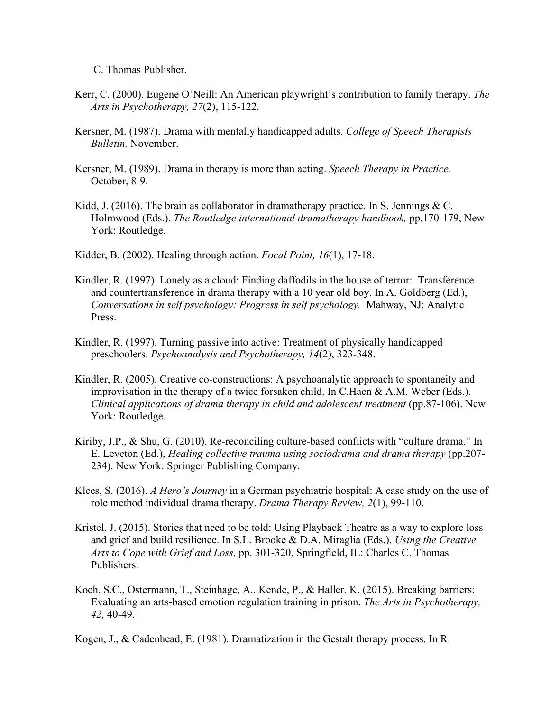C. Thomas Publisher.

- Kerr, C. (2000). Eugene O'Neill: An American playwright's contribution to family therapy. *The Arts in Psychotherapy, 27*(2), 115-122.
- Kersner, M. (1987). Drama with mentally handicapped adults. *College of Speech Therapists Bulletin.* November.
- Kersner, M. (1989). Drama in therapy is more than acting. *Speech Therapy in Practice.* October, 8-9.
- Kidd, J. (2016). The brain as collaborator in dramatherapy practice. In S. Jennings  $&C$ . Holmwood (Eds.). *The Routledge international dramatherapy handbook,* pp.170-179, New York: Routledge.
- Kidder, B. (2002). Healing through action. *Focal Point, 16*(1), 17-18.
- Kindler, R. (1997). Lonely as a cloud: Finding daffodils in the house of terror: Transference and countertransference in drama therapy with a 10 year old boy. In A. Goldberg (Ed.), *Conversations in self psychology: Progress in self psychology.* Mahway, NJ: Analytic Press.
- Kindler, R. (1997). Turning passive into active: Treatment of physically handicapped preschoolers. *Psychoanalysis and Psychotherapy, 14*(2), 323-348.
- Kindler, R. (2005). Creative co-constructions: A psychoanalytic approach to spontaneity and improvisation in the therapy of a twice forsaken child. In C.Haen & A.M. Weber (Eds.). *Clinical applications of drama therapy in child and adolescent treatment* (pp.87-106). New York: Routledge.
- Kiriby, J.P., & Shu, G. (2010). Re-reconciling culture-based conflicts with "culture drama." In E. Leveton (Ed.), *Healing collective trauma using sociodrama and drama therapy* (pp.207- 234). New York: Springer Publishing Company.
- Klees, S. (2016). *A Hero's Journey* in a German psychiatric hospital: A case study on the use of role method individual drama therapy. *Drama Therapy Review, 2*(1), 99-110.
- Kristel, J. (2015). Stories that need to be told: Using Playback Theatre as a way to explore loss and grief and build resilience. In S.L. Brooke & D.A. Miraglia (Eds.). *Using the Creative Arts to Cope with Grief and Loss,* pp. 301-320, Springfield, IL: Charles C. Thomas Publishers.
- Koch, S.C., Ostermann, T., Steinhage, A., Kende, P., & Haller, K. (2015). Breaking barriers: Evaluating an arts-based emotion regulation training in prison. *The Arts in Psychotherapy, 42,* 40-49.

Kogen, J., & Cadenhead, E. (1981). Dramatization in the Gestalt therapy process. In R.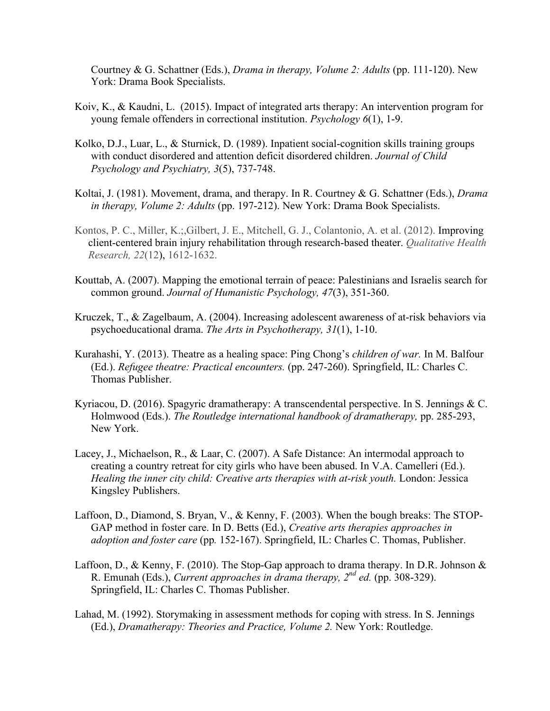Courtney & G. Schattner (Eds.), *Drama in therapy, Volume 2: Adults* (pp. 111-120). New York: Drama Book Specialists.

- Koiv, K., & Kaudni, L. (2015). Impact of integrated arts therapy: An intervention program for young female offenders in correctional institution. *Psychology 6*(1), 1-9.
- Kolko, D.J., Luar, L., & Sturnick, D. (1989). Inpatient social-cognition skills training groups with conduct disordered and attention deficit disordered children. *Journal of Child Psychology and Psychiatry, 3*(5), 737-748.
- Koltai, J. (1981). Movement, drama, and therapy. In R. Courtney & G. Schattner (Eds.), *Drama in therapy, Volume 2: Adults* (pp. 197-212). New York: Drama Book Specialists.
- Kontos, P. C., Miller, K.;,Gilbert, J. E., Mitchell, G. J., Colantonio, A. et al. (2012). Improving client-centered brain injury rehabilitation through research-based theater. *Qualitative Health Research, 22*(12), 1612-1632.
- Kouttab, A. (2007). Mapping the emotional terrain of peace: Palestinians and Israelis search for common ground. *Journal of Humanistic Psychology, 47*(3), 351-360.
- Kruczek, T., & Zagelbaum, A. (2004). Increasing adolescent awareness of at-risk behaviors via psychoeducational drama. *The Arts in Psychotherapy, 31*(1), 1-10.
- Kurahashi, Y. (2013). Theatre as a healing space: Ping Chong's *children of war.* In M. Balfour (Ed.). *Refugee theatre: Practical encounters.* (pp. 247-260). Springfield, IL: Charles C. Thomas Publisher.
- Kyriacou, D. (2016). Spagyric dramatherapy: A transcendental perspective. In S. Jennings & C. Holmwood (Eds.). *The Routledge international handbook of dramatherapy,* pp. 285-293, New York.
- Lacey, J., Michaelson, R., & Laar, C. (2007). A Safe Distance: An intermodal approach to creating a country retreat for city girls who have been abused. In V.A. Camelleri (Ed.). *Healing the inner city child: Creative arts therapies with at-risk youth.* London: Jessica Kingsley Publishers.
- Laffoon, D., Diamond, S. Bryan, V., & Kenny, F. (2003). When the bough breaks: The STOP-GAP method in foster care. In D. Betts (Ed.), *Creative arts therapies approaches in adoption and foster care* (pp*.* 152-167). Springfield, IL: Charles C. Thomas, Publisher.
- Laffoon, D., & Kenny, F. (2010). The Stop-Gap approach to drama therapy. In D.R. Johnson & R. Emunah (Eds.), *Current approaches in drama therapy, 2nd ed.* (pp. 308-329). Springfield, IL: Charles C. Thomas Publisher.
- Lahad, M. (1992). Storymaking in assessment methods for coping with stress. In S. Jennings (Ed.), *Dramatherapy: Theories and Practice, Volume 2.* New York: Routledge.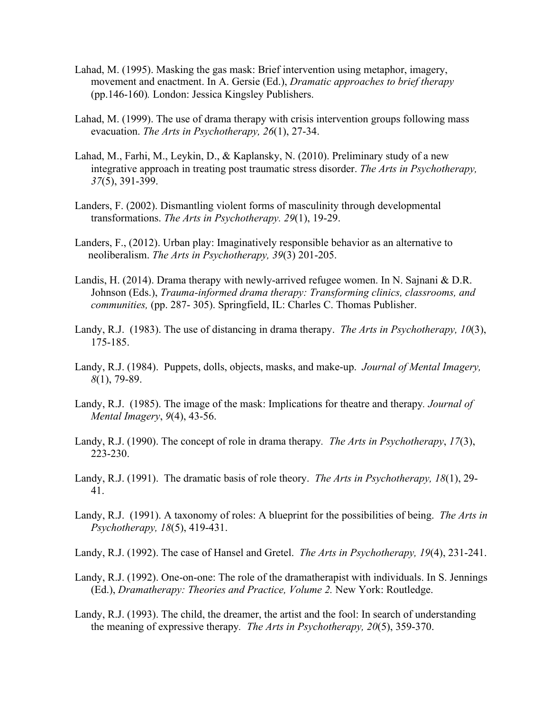- Lahad, M. (1995). Masking the gas mask: Brief intervention using metaphor, imagery, movement and enactment. In A. Gersie (Ed.), *Dramatic approaches to brief therapy* (pp.146-160)*.* London: Jessica Kingsley Publishers.
- Lahad, M. (1999). The use of drama therapy with crisis intervention groups following mass evacuation. *The Arts in Psychotherapy, 26*(1), 27-34.
- Lahad, M., Farhi, M., Leykin, D., & Kaplansky, N. (2010). Preliminary study of a new integrative approach in treating post traumatic stress disorder. *The Arts in Psychotherapy, 37*(5), 391-399.
- Landers, F. (2002). Dismantling violent forms of masculinity through developmental transformations. *The Arts in Psychotherapy. 29*(1), 19-29.
- Landers, F., (2012). Urban play: Imaginatively responsible behavior as an alternative to neoliberalism. *The Arts in Psychotherapy, 39*(3) 201-205.
- Landis, H. (2014). Drama therapy with newly-arrived refugee women. In N. Sajnani & D.R. Johnson (Eds.), *Trauma-informed drama therapy: Transforming clinics, classrooms, and communities,* (pp. 287- 305). Springfield, IL: Charles C. Thomas Publisher.
- Landy, R.J. (1983). The use of distancing in drama therapy. *The Arts in Psychotherapy, 10*(3), 175-185.
- Landy, R.J. (1984). Puppets, dolls, objects, masks, and make-up. *Journal of Mental Imagery, 8*(1), 79-89.
- Landy, R.J. (1985). The image of the mask: Implications for theatre and therapy*. Journal of Mental Imagery*, *9*(4), 43-56.
- Landy, R.J. (1990). The concept of role in drama therapy*. The Arts in Psychotherapy*, *17*(3), 223-230.
- Landy, R.J. (1991). The dramatic basis of role theory. *The Arts in Psychotherapy, 18*(1), 29- 41.
- Landy, R.J. (1991). A taxonomy of roles: A blueprint for the possibilities of being. *The Arts in Psychotherapy, 18*(5), 419-431.
- Landy, R.J. (1992). The case of Hansel and Gretel. *The Arts in Psychotherapy, 19*(4), 231-241.
- Landy, R.J. (1992). One-on-one: The role of the dramatherapist with individuals. In S. Jennings (Ed.), *Dramatherapy: Theories and Practice, Volume 2.* New York: Routledge.
- Landy, R.J. (1993). The child, the dreamer, the artist and the fool: In search of understanding the meaning of expressive therapy*. The Arts in Psychotherapy, 20*(5), 359-370.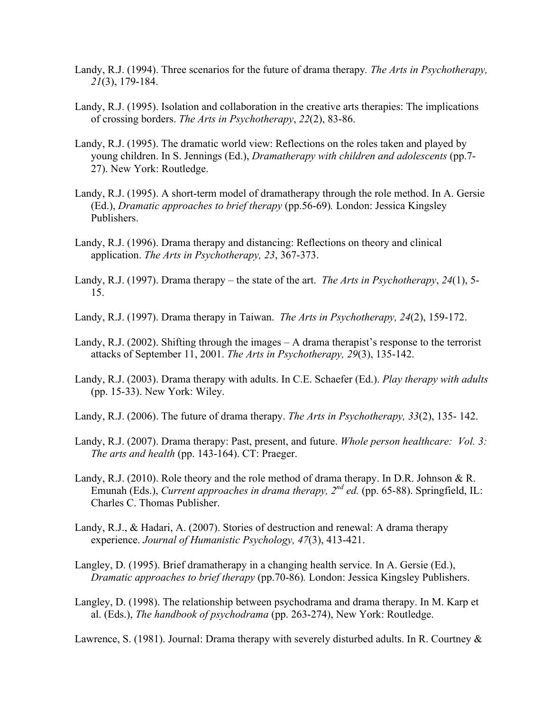- Landy, R.J. (1994). Three scenarios for the future of drama therapy*. The Arts in Psychotherapy, 21*(3), 179-184.
- Landy, R.J. (1995). Isolation and collaboration in the creative arts therapies: The implications of crossing borders. *The Arts in Psychotherapy*, *22*(2), 83-86.
- Landy, R.J. (1995). The dramatic world view: Reflections on the roles taken and played by young children. In S. Jennings (Ed.), *Dramatherapy with children and adolescents* (pp.7- 27). New York: Routledge.
- Landy, R.J. (1995). A short-term model of dramatherapy through the role method. In A. Gersie (Ed.), *Dramatic approaches to brief therapy* (pp.56-69)*.* London: Jessica Kingsley Publishers.
- Landy, R.J. (1996). Drama therapy and distancing: Reflections on theory and clinical application. *The Arts in Psychotherapy, 23*, 367-373.
- Landy, R.J. (1997). Drama therapy the state of the art. *The Arts in Psychotherapy*, *24*(1), 5- 15.
- Landy, R.J. (1997). Drama therapy in Taiwan. *The Arts in Psychotherapy, 24*(2), 159-172.
- Landy, R.J. (2002). Shifting through the images  $-A$  drama therapist's response to the terrorist attacks of September 11, 2001. *The Arts in Psychotherapy, 29*(3), 135-142.
- Landy, R.J. (2003). Drama therapy with adults. In C.E. Schaefer (Ed.). *Play therapy with adults*  (pp. 15-33). New York: Wiley.
- Landy, R.J. (2006). The future of drama therapy. *The Arts in Psychotherapy, 33*(2), 135- 142.
- Landy, R.J. (2007). Drama therapy: Past, present, and future. *Whole person healthcare: Vol. 3: The arts and health* (pp. 143-164). CT: Praeger.
- Landy, R.J. (2010). Role theory and the role method of drama therapy. In D.R. Johnson & R. Emunah (Eds.), *Current approaches in drama therapy, 2<sup>nd</sup> ed.* (pp. 65-88). Springfield, IL: Charles C. Thomas Publisher.
- Landy, R.J., & Hadari, A. (2007). Stories of destruction and renewal: A drama therapy experience. *Journal of Humanistic Psychology, 47*(3), 413-421.
- Langley, D. (1995). Brief dramatherapy in a changing health service. In A. Gersie (Ed.), *Dramatic approaches to brief therapy* (pp.70-86)*.* London: Jessica Kingsley Publishers.
- Langley, D. (1998). The relationship between psychodrama and drama therapy. In M. Karp et al. (Eds.), *The handbook of psychodrama* (pp. 263-274), New York: Routledge.

Lawrence, S. (1981). Journal: Drama therapy with severely disturbed adults. In R. Courtney &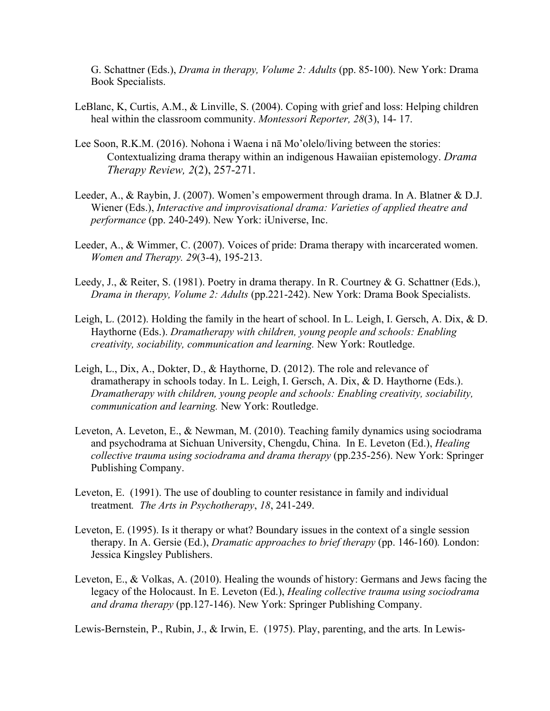G. Schattner (Eds.), *Drama in therapy, Volume 2: Adults* (pp. 85-100). New York: Drama Book Specialists.

- LeBlanc, K, Curtis, A.M., & Linville, S. (2004). Coping with grief and loss: Helping children heal within the classroom community. *Montessori Reporter, 28*(3), 14- 17.
- Lee Soon, R.K.M. (2016). Nohona i Waena i nā Mo'olelo/living between the stories: Contextualizing drama therapy within an indigenous Hawaiian epistemology. *Drama Therapy Review, 2*(2), 257-271.
- Leeder, A., & Raybin, J. (2007). Women's empowerment through drama. In A. Blatner & D.J. Wiener (Eds.), *Interactive and improvisational drama: Varieties of applied theatre and performance* (pp. 240-249). New York: iUniverse, Inc.
- Leeder, A., & Wimmer, C. (2007). Voices of pride: Drama therapy with incarcerated women. *Women and Therapy. 29*(3-4), 195-213.
- Leedy, J., & Reiter, S. (1981). Poetry in drama therapy. In R. Courtney & G. Schattner (Eds.), *Drama in therapy, Volume 2: Adults* (pp.221-242). New York: Drama Book Specialists.
- Leigh, L. (2012). Holding the family in the heart of school. In L. Leigh, I. Gersch, A. Dix, & D. Haythorne (Eds.). *Dramatherapy with children, young people and schools: Enabling creativity, sociability, communication and learning.* New York: Routledge.
- Leigh, L., Dix, A., Dokter, D., & Haythorne, D. (2012). The role and relevance of dramatherapy in schools today. In L. Leigh, I. Gersch, A. Dix, & D. Haythorne (Eds.). *Dramatherapy with children, young people and schools: Enabling creativity, sociability, communication and learning.* New York: Routledge.
- Leveton, A. Leveton, E., & Newman, M. (2010). Teaching family dynamics using sociodrama and psychodrama at Sichuan University, Chengdu, China. In E. Leveton (Ed.), *Healing collective trauma using sociodrama and drama therapy* (pp.235-256). New York: Springer Publishing Company.
- Leveton, E. (1991). The use of doubling to counter resistance in family and individual treatment*. The Arts in Psychotherapy*, *18*, 241-249.
- Leveton, E. (1995). Is it therapy or what? Boundary issues in the context of a single session therapy. In A. Gersie (Ed.), *Dramatic approaches to brief therapy* (pp. 146-160)*.* London: Jessica Kingsley Publishers.
- Leveton, E., & Volkas, A. (2010). Healing the wounds of history: Germans and Jews facing the legacy of the Holocaust. In E. Leveton (Ed.), *Healing collective trauma using sociodrama and drama therapy* (pp.127-146). New York: Springer Publishing Company.

Lewis-Bernstein, P., Rubin, J., & Irwin, E. (1975). Play, parenting, and the arts*.* In Lewis-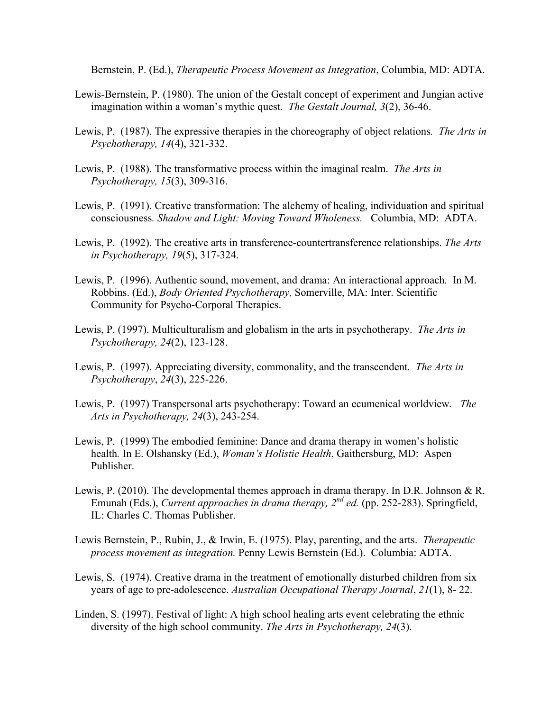Bernstein, P. (Ed.), *Therapeutic Process Movement as Integration*, Columbia, MD: ADTA.

- Lewis-Bernstein, P. (1980). The union of the Gestalt concept of experiment and Jungian active imagination within a woman's mythic quest*. The Gestalt Journal, 3*(2), 36-46.
- Lewis, P. (1987). The expressive therapies in the choreography of object relations*. The Arts in Psychotherapy, 14*(4), 321-332.
- Lewis, P. (1988). The transformative process within the imaginal realm. *The Arts in Psychotherapy, 15*(3), 309-316.
- Lewis, P. (1991). Creative transformation: The alchemy of healing, individuation and spiritual consciousness*. Shadow and Light: Moving Toward Wholeness.* Columbia, MD: ADTA.
- Lewis, P. (1992). The creative arts in transference-countertransference relationships. *The Arts in Psychotherapy, 19*(5), 317-324.
- Lewis, P. (1996). Authentic sound, movement, and drama: An interactional approach*.* In M. Robbins. (Ed.), *Body Oriented Psychotherapy,* Somerville, MA: Inter. Scientific Community for Psycho-Corporal Therapies.
- Lewis, P. (1997). Multiculturalism and globalism in the arts in psychotherapy. *The Arts in Psychotherapy, 24*(2), 123-128.
- Lewis, P. (1997). Appreciating diversity, commonality, and the transcendent*. The Arts in Psychotherapy*, *24*(3), 225-226.
- Lewis, P. (1997) Transpersonal arts psychotherapy: Toward an ecumenical worldview*. The Arts in Psychotherapy, 24*(3), 243-254.
- Lewis, P. (1999) The embodied feminine: Dance and drama therapy in women's holistic health*.* In E. Olshansky (Ed.), *Woman's Holistic Health*, Gaithersburg, MD: Aspen Publisher.
- Lewis, P. (2010). The developmental themes approach in drama therapy. In D.R. Johnson & R. Emunah (Eds.), *Current approaches in drama therapy*,  $2^{nd}$  *ed.* (pp. 252-283). Springfield, IL: Charles C. Thomas Publisher.
- Lewis Bernstein, P., Rubin, J., & Irwin, E. (1975). Play, parenting, and the arts. *Therapeutic process movement as integration.* Penny Lewis Bernstein (Ed.). Columbia: ADTA.
- Lewis, S. (1974). Creative drama in the treatment of emotionally disturbed children from six years of age to pre-adolescence. *Australian Occupational Therapy Journal*, *21*(1), 8- 22.
- Linden, S. (1997). Festival of light: A high school healing arts event celebrating the ethnic diversity of the high school community. *The Arts in Psychotherapy, 24*(3).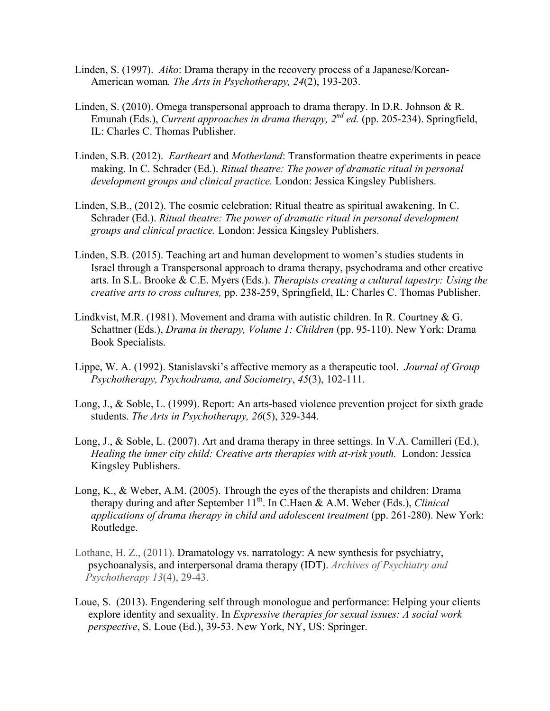- Linden, S. (1997). *Aiko*: Drama therapy in the recovery process of a Japanese/Korean-American woman*. The Arts in Psychotherapy, 24*(2), 193-203.
- Linden, S. (2010). Omega transpersonal approach to drama therapy. In D.R. Johnson & R. Emunah (Eds.), *Current approaches in drama therapy, 2nd ed.* (pp. 205-234). Springfield, IL: Charles C. Thomas Publisher.
- Linden, S.B. (2012). *Eartheart* and *Motherland*: Transformation theatre experiments in peace making. In C. Schrader (Ed.). *Ritual theatre: The power of dramatic ritual in personal development groups and clinical practice.* London: Jessica Kingsley Publishers.
- Linden, S.B., (2012). The cosmic celebration: Ritual theatre as spiritual awakening. In C. Schrader (Ed.). *Ritual theatre: The power of dramatic ritual in personal development groups and clinical practice.* London: Jessica Kingsley Publishers.
- Linden, S.B. (2015). Teaching art and human development to women's studies students in Israel through a Transpersonal approach to drama therapy, psychodrama and other creative arts. In S.L. Brooke & C.E. Myers (Eds.). *Therapists creating a cultural tapestry: Using the creative arts to cross cultures,* pp. 238-259, Springfield, IL: Charles C. Thomas Publisher.
- Lindkvist, M.R. (1981). Movement and drama with autistic children. In R. Courtney  $\& G$ . Schattner (Eds.), *Drama in therapy, Volume 1: Children* (pp. 95-110). New York: Drama Book Specialists.
- Lippe, W. A. (1992). Stanislavski's affective memory as a therapeutic tool. *Journal of Group Psychotherapy, Psychodrama, and Sociometry*, *45*(3), 102-111.
- Long, J., & Soble, L. (1999). Report: An arts-based violence prevention project for sixth grade students. *The Arts in Psychotherapy, 26*(5), 329-344.
- Long, J., & Soble, L. (2007). Art and drama therapy in three settings. In V.A. Camilleri (Ed.), *Healing the inner city child: Creative arts therapies with at-risk youth.* London: Jessica Kingsley Publishers.
- Long, K., & Weber, A.M. (2005). Through the eyes of the therapists and children: Drama therapy during and after September 11<sup>th</sup>. In C.Haen & A.M. Weber (Eds.), *Clinical applications of drama therapy in child and adolescent treatment* (pp. 261-280). New York: Routledge.
- Lothane, H. Z., (2011). Dramatology vs. narratology: A new synthesis for psychiatry, psychoanalysis, and interpersonal drama therapy (IDT). *Archives of Psychiatry and Psychotherapy 13*(4), 29-43.
- Loue, S. (2013). Engendering self through monologue and performance: Helping your clients explore identity and sexuality. In *Expressive therapies for sexual issues: A social work perspective*, S. Loue (Ed.), 39-53. New York, NY, US: Springer.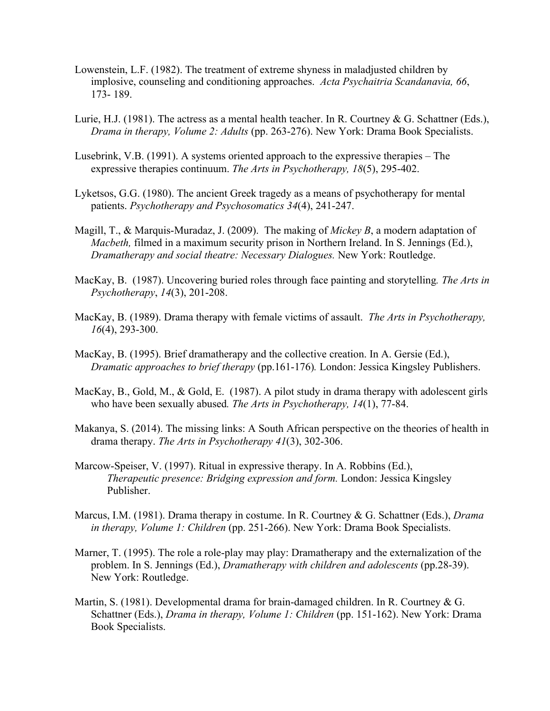- Lowenstein, L.F. (1982). The treatment of extreme shyness in maladjusted children by implosive, counseling and conditioning approaches. *Acta Psychaitria Scandanavia, 66*, 173- 189.
- Lurie, H.J. (1981). The actress as a mental health teacher. In R. Courtney & G. Schattner (Eds.), *Drama in therapy, Volume 2: Adults* (pp. 263-276). New York: Drama Book Specialists.
- Lusebrink, V.B. (1991). A systems oriented approach to the expressive therapies The expressive therapies continuum. *The Arts in Psychotherapy, 18*(5), 295-402.
- Lyketsos, G.G. (1980). The ancient Greek tragedy as a means of psychotherapy for mental patients. *Psychotherapy and Psychosomatics 34*(4), 241-247.
- Magill, T., & Marquis-Muradaz, J. (2009). The making of *Mickey B*, a modern adaptation of *Macbeth,* filmed in a maximum security prison in Northern Ireland. In S. Jennings (Ed.), *Dramatherapy and social theatre: Necessary Dialogues.* New York: Routledge.
- MacKay, B.(1987). Uncovering buried roles through face painting and storytelling*. The Arts in Psychotherapy*, *14*(3), 201-208.
- MacKay, B. (1989). Drama therapy with female victims of assault. *The Arts in Psychotherapy, 16*(4), 293-300.
- MacKay, B. (1995). Brief dramatherapy and the collective creation. In A. Gersie (Ed.), *Dramatic approaches to brief therapy* (pp.161-176)*.* London: Jessica Kingsley Publishers.
- MacKay, B., Gold, M., & Gold, E. (1987). A pilot study in drama therapy with adolescent girls who have been sexually abused*. The Arts in Psychotherapy, 14*(1), 77-84.
- Makanya, S. (2014). The missing links: A South African perspective on the theories of health in drama therapy. *The Arts in Psychotherapy 41*(3), 302-306.
- Marcow-Speiser, V. (1997). Ritual in expressive therapy. In A. Robbins (Ed.), *Therapeutic presence: Bridging expression and form.* London: Jessica Kingsley Publisher.
- Marcus, I.M. (1981). Drama therapy in costume. In R. Courtney & G. Schattner (Eds.), *Drama in therapy, Volume 1: Children* (pp. 251-266). New York: Drama Book Specialists.
- Marner, T. (1995). The role a role-play may play: Dramatherapy and the externalization of the problem. In S. Jennings (Ed.), *Dramatherapy with children and adolescents* (pp.28-39). New York: Routledge.
- Martin, S. (1981). Developmental drama for brain-damaged children. In R. Courtney & G. Schattner (Eds.), *Drama in therapy, Volume 1: Children* (pp. 151-162). New York: Drama Book Specialists.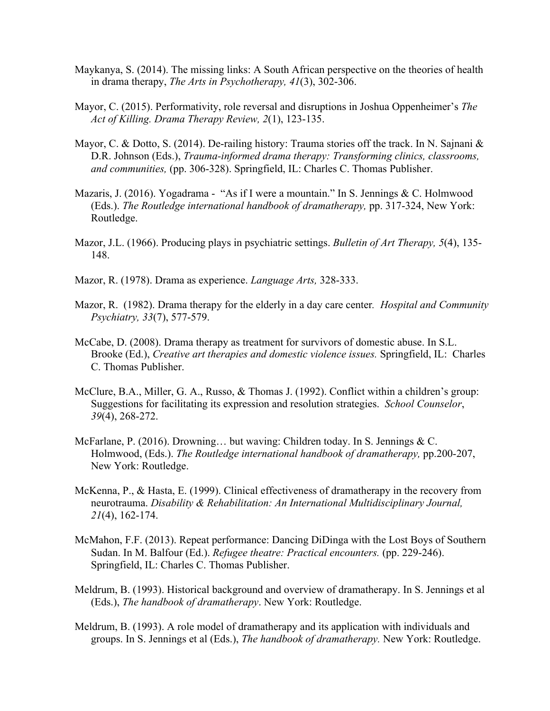- Maykanya, S. (2014). The missing links: A South African perspective on the theories of health in drama therapy, *The Arts in Psychotherapy, 41*(3), 302-306.
- Mayor, C. (2015). Performativity, role reversal and disruptions in Joshua Oppenheimer's *The Act of Killing. Drama Therapy Review, 2*(1), 123-135.
- Mayor, C. & Dotto, S. (2014). De-railing history: Trauma stories off the track. In N. Sajnani & D.R. Johnson (Eds.), *Trauma-informed drama therapy: Transforming clinics, classrooms, and communities,* (pp. 306-328). Springfield, IL: Charles C. Thomas Publisher.
- Mazaris, J. (2016). Yogadrama "As if I were a mountain." In S. Jennings & C. Holmwood (Eds.). *The Routledge international handbook of dramatherapy,* pp. 317-324, New York: Routledge.
- Mazor, J.L. (1966). Producing plays in psychiatric settings. *Bulletin of Art Therapy, 5*(4), 135- 148.
- Mazor, R. (1978). Drama as experience. *Language Arts,* 328-333.
- Mazor, R. (1982). Drama therapy for the elderly in a day care center*. Hospital and Community Psychiatry, 33*(7), 577-579.
- McCabe, D. (2008). Drama therapy as treatment for survivors of domestic abuse. In S.L. Brooke (Ed.), *Creative art therapies and domestic violence issues.* Springfield, IL: Charles C. Thomas Publisher.
- McClure, B.A., Miller, G. A., Russo, & Thomas J. (1992). Conflict within a children's group: Suggestions for facilitating its expression and resolution strategies. *School Counselor*, *39*(4), 268-272.
- McFarlane, P. (2016). Drowning... but waving: Children today. In S. Jennings & C. Holmwood, (Eds.). *The Routledge international handbook of dramatherapy,* pp.200-207, New York: Routledge.
- McKenna, P., & Hasta, E. (1999). Clinical effectiveness of dramatherapy in the recovery from neurotrauma. *Disability & Rehabilitation: An International Multidisciplinary Journal, 21*(4), 162-174.
- McMahon, F.F. (2013). Repeat performance: Dancing DiDinga with the Lost Boys of Southern Sudan. In M. Balfour (Ed.). *Refugee theatre: Practical encounters.* (pp. 229-246). Springfield, IL: Charles C. Thomas Publisher.
- Meldrum, B. (1993). Historical background and overview of dramatherapy. In S. Jennings et al (Eds.), *The handbook of dramatherapy*. New York: Routledge.
- Meldrum, B. (1993). A role model of dramatherapy and its application with individuals and groups. In S. Jennings et al (Eds.), *The handbook of dramatherapy.* New York: Routledge.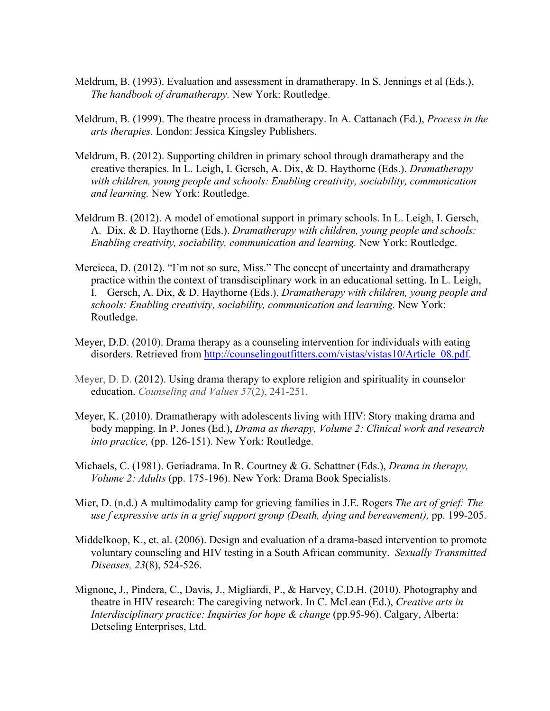- Meldrum, B. (1993). Evaluation and assessment in dramatherapy. In S. Jennings et al (Eds.), *The handbook of dramatherapy.* New York: Routledge.
- Meldrum, B. (1999). The theatre process in dramatherapy. In A. Cattanach (Ed.), *Process in the arts therapies.* London: Jessica Kingsley Publishers.
- Meldrum, B. (2012). Supporting children in primary school through dramatherapy and the creative therapies. In L. Leigh, I. Gersch, A. Dix, & D. Haythorne (Eds.). *Dramatherapy with children, young people and schools: Enabling creativity, sociability, communication and learning.* New York: Routledge.
- Meldrum B. (2012). A model of emotional support in primary schools. In L. Leigh, I. Gersch, A. Dix, & D. Haythorne (Eds.). *Dramatherapy with children, young people and schools: Enabling creativity, sociability, communication and learning.* New York: Routledge.
- Mercieca, D. (2012). "I'm not so sure, Miss." The concept of uncertainty and dramatherapy practice within the context of transdisciplinary work in an educational setting. In L. Leigh, I. Gersch, A. Dix, & D. Haythorne (Eds.). *Dramatherapy with children, young people and schools: Enabling creativity, sociability, communication and learning.* New York: Routledge.
- Meyer, D.D. (2010). Drama therapy as a counseling intervention for individuals with eating disorders. Retrieved from http://counselingoutfitters.com/vistas/vistas10/Article\_08.pdf.
- Meyer, D. D. (2012). Using drama therapy to explore religion and spirituality in counselor education. *Counseling and Values 57*(2), 241-251.
- Meyer, K. (2010). Dramatherapy with adolescents living with HIV: Story making drama and body mapping. In P. Jones (Ed.), *Drama as therapy, Volume 2: Clinical work and research into practice,* (pp. 126-151). New York: Routledge.
- Michaels, C. (1981). Geriadrama. In R. Courtney & G. Schattner (Eds.), *Drama in therapy, Volume 2: Adults* (pp. 175-196). New York: Drama Book Specialists.
- Mier, D. (n.d.) A multimodality camp for grieving families in J.E. Rogers *The art of grief: The use f expressive arts in a grief support group (Death, dying and bereavement),* pp. 199-205.
- Middelkoop, K., et. al. (2006). Design and evaluation of a drama-based intervention to promote voluntary counseling and HIV testing in a South African community. *Sexually Transmitted Diseases, 23*(8), 524-526.
- Mignone, J., Pindera, C., Davis, J., Migliardi, P., & Harvey, C.D.H. (2010). Photography and theatre in HIV research: The caregiving network. In C. McLean (Ed.), *Creative arts in Interdisciplinary practice: Inquiries for hope & change* (pp.95-96). Calgary, Alberta: Detseling Enterprises, Ltd.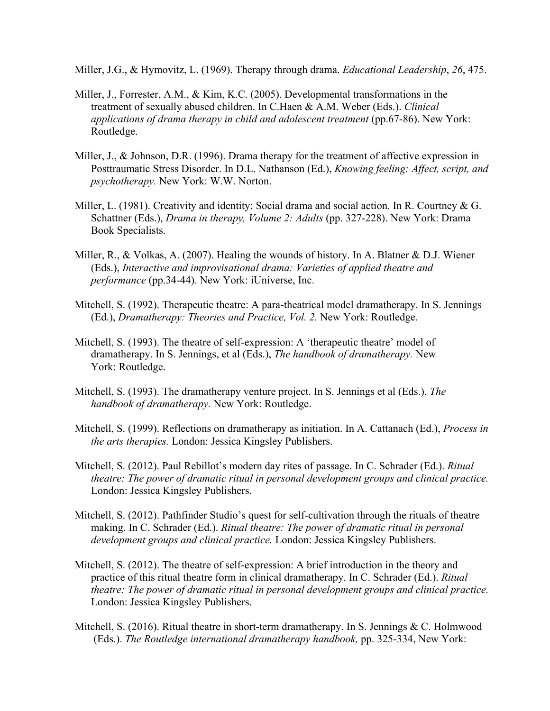Miller, J.G., & Hymovitz, L. (1969). Therapy through drama. *Educational Leadership*, *26*, 475.

- Miller, J., Forrester, A.M., & Kim, K.C. (2005). Developmental transformations in the treatment of sexually abused children. In C.Haen & A.M. Weber (Eds.). *Clinical applications of drama therapy in child and adolescent treatment* (pp.67-86). New York: Routledge.
- Miller, J., & Johnson, D.R. (1996). Drama therapy for the treatment of affective expression in Posttraumatic Stress Disorder. In D.L. Nathanson (Ed.), *Knowing feeling: Affect, script, and psychotherapy.* New York: W.W. Norton.
- Miller, L. (1981). Creativity and identity: Social drama and social action. In R. Courtney  $\&$  G. Schattner (Eds.), *Drama in therapy, Volume 2: Adults* (pp. 327-228). New York: Drama Book Specialists.
- Miller, R., & Volkas, A. (2007). Healing the wounds of history. In A. Blatner & D.J. Wiener (Eds.), *Interactive and improvisational drama: Varieties of applied theatre and performance* (pp.34-44). New York: iUniverse, Inc.
- Mitchell, S. (1992). Therapeutic theatre: A para-theatrical model dramatherapy. In S. Jennings (Ed.), *Dramatherapy: Theories and Practice, Vol. 2.* New York: Routledge.
- Mitchell, S. (1993). The theatre of self-expression: A 'therapeutic theatre' model of dramatherapy. In S. Jennings, et al (Eds.), *The handbook of dramatherapy.* New York: Routledge.
- Mitchell, S. (1993). The dramatherapy venture project. In S. Jennings et al (Eds.), *The handbook of dramatherapy.* New York: Routledge.
- Mitchell, S. (1999). Reflections on dramatherapy as initiation. In A. Cattanach (Ed.), *Process in the arts therapies.* London: Jessica Kingsley Publishers.
- Mitchell, S. (2012). Paul Rebillot's modern day rites of passage. In C. Schrader (Ed.). *Ritual theatre: The power of dramatic ritual in personal development groups and clinical practice.* London: Jessica Kingsley Publishers.
- Mitchell, S. (2012). Pathfinder Studio's quest for self-cultivation through the rituals of theatre making. In C. Schrader (Ed.). *Ritual theatre: The power of dramatic ritual in personal development groups and clinical practice.* London: Jessica Kingsley Publishers.
- Mitchell, S. (2012). The theatre of self-expression: A brief introduction in the theory and practice of this ritual theatre form in clinical dramatherapy. In C. Schrader (Ed.). *Ritual theatre: The power of dramatic ritual in personal development groups and clinical practice.* London: Jessica Kingsley Publishers.
- Mitchell, S. (2016). Ritual theatre in short-term dramatherapy. In S. Jennings & C. Holmwood (Eds.). *The Routledge international dramatherapy handbook,* pp. 325-334, New York: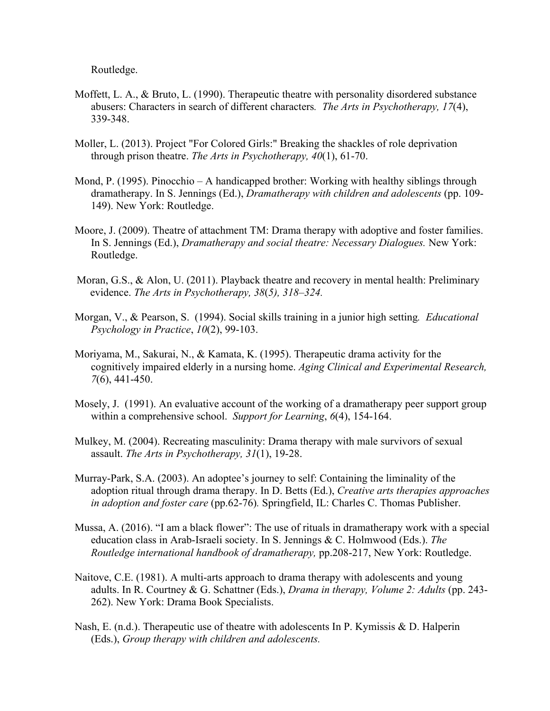Routledge.

- Moffett, L. A., & Bruto, L. (1990). Therapeutic theatre with personality disordered substance abusers: Characters in search of different characters*. The Arts in Psychotherapy, 17*(4), 339-348.
- Moller, L. (2013). Project "For Colored Girls:" Breaking the shackles of role deprivation through prison theatre. *The Arts in Psychotherapy, 40*(1), 61-70.
- Mond, P. (1995). Pinocchio A handicapped brother: Working with healthy siblings through dramatherapy. In S. Jennings (Ed.), *Dramatherapy with children and adolescents* (pp. 109- 149). New York: Routledge.
- Moore, J. (2009). Theatre of attachment TM: Drama therapy with adoptive and foster families. In S. Jennings (Ed.), *Dramatherapy and social theatre: Necessary Dialogues.* New York: Routledge.
- Moran, G.S., & Alon, U. (2011). Playback theatre and recovery in mental health: Preliminary evidence. *The Arts in Psychotherapy, 38*(*5), 318–324.*
- Morgan, V., & Pearson, S. (1994). Social skills training in a junior high setting*. Educational Psychology in Practice*, *10*(2), 99-103.
- Moriyama, M., Sakurai, N., & Kamata, K. (1995). Therapeutic drama activity for the cognitively impaired elderly in a nursing home. *Aging Clinical and Experimental Research, 7*(6), 441-450.
- Mosely, J. (1991). An evaluative account of the working of a dramatherapy peer support group within a comprehensive school. *Support for Learning*, *6*(4), 154-164.
- Mulkey, M. (2004). Recreating masculinity: Drama therapy with male survivors of sexual assault. *The Arts in Psychotherapy, 31*(1), 19-28.
- Murray-Park, S.A. (2003). An adoptee's journey to self: Containing the liminality of the adoption ritual through drama therapy. In D. Betts (Ed.), *Creative arts therapies approaches in adoption and foster care* (pp.62-76)*.* Springfield, IL: Charles C. Thomas Publisher.
- Mussa, A. (2016). "I am a black flower": The use of rituals in dramatherapy work with a special education class in Arab-Israeli society. In S. Jennings & C. Holmwood (Eds.). *The Routledge international handbook of dramatherapy,* pp.208-217, New York: Routledge.
- Naitove, C.E. (1981). A multi-arts approach to drama therapy with adolescents and young adults. In R. Courtney & G. Schattner (Eds.), *Drama in therapy, Volume 2: Adults* (pp. 243- 262). New York: Drama Book Specialists.
- Nash, E. (n.d.). Therapeutic use of theatre with adolescents In P. Kymissis & D. Halperin (Eds.), *Group therapy with children and adolescents.*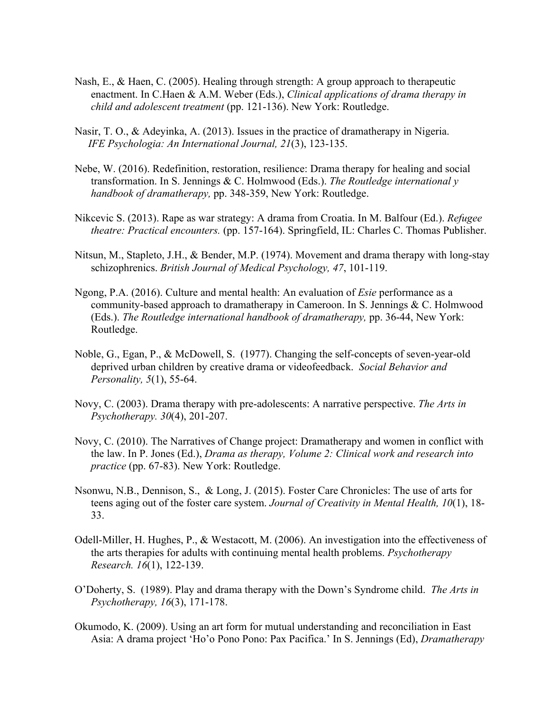- Nash, E., & Haen, C. (2005). Healing through strength: A group approach to therapeutic enactment. In C.Haen & A.M. Weber (Eds.), *Clinical applications of drama therapy in child and adolescent treatment* (pp. 121-136). New York: Routledge.
- Nasir, T. O., & Adeyinka, A. (2013). Issues in the practice of dramatherapy in Nigeria.  *IFE Psychologia: An International Journal, 21*(3), 123-135.
- Nebe, W. (2016). Redefinition, restoration, resilience: Drama therapy for healing and social transformation. In S. Jennings & C. Holmwood (Eds.). *The Routledge international y handbook of dramatherapy,* pp. 348-359, New York: Routledge.
- Nikcevic S. (2013). Rape as war strategy: A drama from Croatia. In M. Balfour (Ed.). *Refugee theatre: Practical encounters.* (pp. 157-164). Springfield, IL: Charles C. Thomas Publisher.
- Nitsun, M., Stapleto, J.H., & Bender, M.P. (1974). Movement and drama therapy with long-stay schizophrenics. *British Journal of Medical Psychology, 47*, 101-119.
- Ngong, P.A. (2016). Culture and mental health: An evaluation of *Esie* performance as a community-based approach to dramatherapy in Cameroon. In S. Jennings & C. Holmwood (Eds.). *The Routledge international handbook of dramatherapy,* pp. 36-44, New York: Routledge.
- Noble, G., Egan, P., & McDowell, S. (1977). Changing the self-concepts of seven-year-old deprived urban children by creative drama or videofeedback. *Social Behavior and Personality, 5*(1), 55-64.
- Novy, C. (2003). Drama therapy with pre-adolescents: A narrative perspective. *The Arts in Psychotherapy. 30*(4), 201-207.
- Novy, C. (2010). The Narratives of Change project: Dramatherapy and women in conflict with the law. In P. Jones (Ed.), *Drama as therapy, Volume 2: Clinical work and research into practice* (pp. 67-83). New York: Routledge.
- Nsonwu, N.B., Dennison, S., & Long, J. (2015). Foster Care Chronicles: The use of arts for teens aging out of the foster care system. *Journal of Creativity in Mental Health, 10*(1), 18- 33.
- Odell-Miller, H. Hughes, P., & Westacott, M. (2006). An investigation into the effectiveness of the arts therapies for adults with continuing mental health problems. *Psychotherapy Research. 16*(1), 122-139.
- O'Doherty, S. (1989). Play and drama therapy with the Down's Syndrome child. *The Arts in Psychotherapy, 16*(3), 171-178.
- Okumodo, K. (2009). Using an art form for mutual understanding and reconciliation in East Asia: A drama project 'Ho'o Pono Pono: Pax Pacifica.' In S. Jennings (Ed), *Dramatherapy*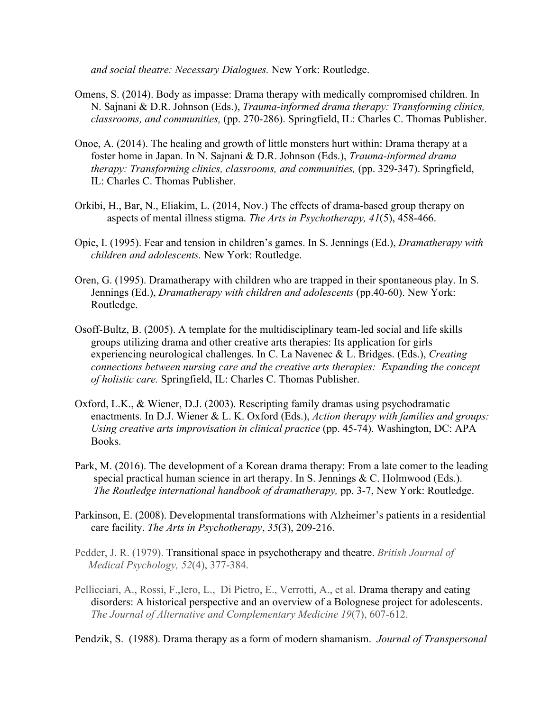*and social theatre: Necessary Dialogues.* New York: Routledge.

- Omens, S. (2014). Body as impasse: Drama therapy with medically compromised children. In N. Sajnani & D.R. Johnson (Eds.), *Trauma-informed drama therapy: Transforming clinics, classrooms, and communities,* (pp. 270-286). Springfield, IL: Charles C. Thomas Publisher.
- Onoe, A. (2014). The healing and growth of little monsters hurt within: Drama therapy at a foster home in Japan. In N. Sajnani & D.R. Johnson (Eds.), *Trauma-informed drama therapy: Transforming clinics, classrooms, and communities, (pp. 329-347). Springfield,* IL: Charles C. Thomas Publisher.
- Orkibi, H., Bar, N., Eliakim, L. (2014, Nov.) The effects of drama-based group therapy on aspects of mental illness stigma. *The Arts in Psychotherapy, 41*(5), 458-466.
- Opie, I. (1995). Fear and tension in children's games. In S. Jennings (Ed.), *Dramatherapy with children and adolescents.* New York: Routledge.
- Oren, G. (1995). Dramatherapy with children who are trapped in their spontaneous play. In S. Jennings (Ed.), *Dramatherapy with children and adolescents* (pp.40-60). New York: Routledge.
- Osoff-Bultz, B. (2005). A template for the multidisciplinary team-led social and life skills groups utilizing drama and other creative arts therapies: Its application for girls experiencing neurological challenges. In C. La Navenec & L. Bridges. (Eds.), *Creating connections between nursing care and the creative arts therapies: Expanding the concept of holistic care.* Springfield, IL: Charles C. Thomas Publisher.
- Oxford, L.K., & Wiener, D.J. (2003). Rescripting family dramas using psychodramatic enactments. In D.J. Wiener & L. K. Oxford (Eds.), *Action therapy with families and groups: Using creative arts improvisation in clinical practice* (pp. 45-74). Washington, DC: APA Books.
- Park, M. (2016). The development of a Korean drama therapy: From a late comer to the leading special practical human science in art therapy. In S. Jennings & C. Holmwood (Eds.). *The Routledge international handbook of dramatherapy,* pp. 3-7, New York: Routledge.
- Parkinson, E. (2008). Developmental transformations with Alzheimer's patients in a residential care facility. *The Arts in Psychotherapy*, *35*(3), 209-216.
- Pedder, J. R. (1979). Transitional space in psychotherapy and theatre. *British Journal of Medical Psychology, 52*(4), 377-384.
- Pellicciari, A., Rossi, F.,Iero, L., Di Pietro, E., Verrotti, A., et al. Drama therapy and eating disorders: A historical perspective and an overview of a Bolognese project for adolescents. *The Journal of Alternative and Complementary Medicine 19*(7), 607-612.

Pendzik, S. (1988). Drama therapy as a form of modern shamanism. *Journal of Transpersonal*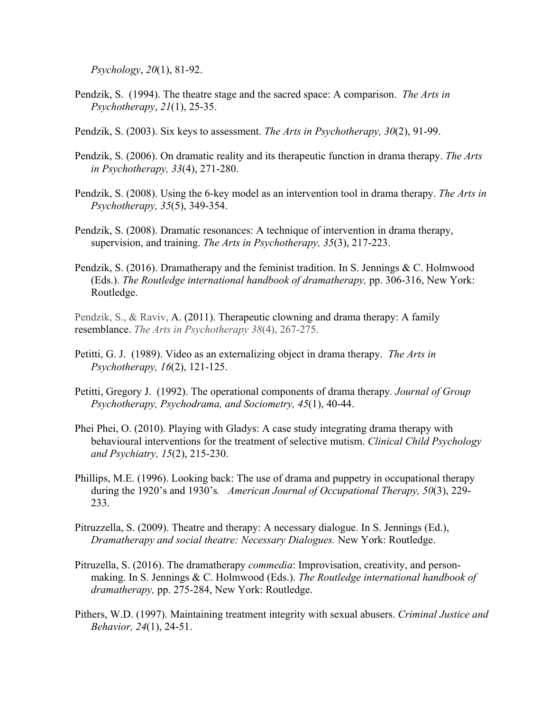*Psychology*, *20*(1), 81-92.

- Pendzik, S. (1994). The theatre stage and the sacred space: A comparison. *The Arts in Psychotherapy*, *21*(1), 25-35.
- Pendzik, S. (2003). Six keys to assessment. *The Arts in Psychotherapy, 30*(2), 91-99.
- Pendzik, S. (2006). On dramatic reality and its therapeutic function in drama therapy. *The Arts in Psychotherapy, 33*(4), 271-280.
- Pendzik, S. (2008). Using the 6-key model as an intervention tool in drama therapy. *The Arts in Psychotherapy, 35*(5), 349-354.
- Pendzik, S. (2008). Dramatic resonances: A technique of intervention in drama therapy, supervision, and training. *The Arts in Psychotherapy, 35*(3), 217-223.
- Pendzik, S. (2016). Dramatherapy and the feminist tradition. In S. Jennings & C. Holmwood (Eds.). *The Routledge international handbook of dramatherapy,* pp. 306-316, New York: Routledge.
- Pendzik, S., & Raviv, A. (2011). Therapeutic clowning and drama therapy: A family resemblance. *The Arts in Psychotherapy 38*(4), 267-275.
- Petitti, G. J. (1989). Video as an externalizing object in drama therapy. *The Arts in Psychotherapy, 16*(2), 121-125.
- Petitti, Gregory J. (1992). The operational components of drama therapy*. Journal of Group Psychotherapy, Psychodrama, and Sociometry, 45*(1), 40-44.
- Phei Phei, O. (2010). Playing with Gladys: A case study integrating drama therapy with behavioural interventions for the treatment of selective mutism. *Clinical Child Psychology and Psychiatry, 15*(2), 215-230.
- Phillips, M.E. (1996). Looking back: The use of drama and puppetry in occupational therapy during the 1920's and 1930's*. American Journal of Occupational Therapy, 50*(3), 229- 233.
- Pitruzzella, S. (2009). Theatre and therapy: A necessary dialogue. In S. Jennings (Ed.), *Dramatherapy and social theatre: Necessary Dialogues.* New York: Routledge.
- Pitruzella, S. (2016). The dramatherapy *commedia*: Improvisation, creativity, and personmaking. In S. Jennings & C. Holmwood (Eds.). *The Routledge international handbook of dramatherapy,* pp. 275-284, New York: Routledge.
- Pithers, W.D. (1997). Maintaining treatment integrity with sexual abusers. *Criminal Justice and Behavior, 24*(1), 24-51.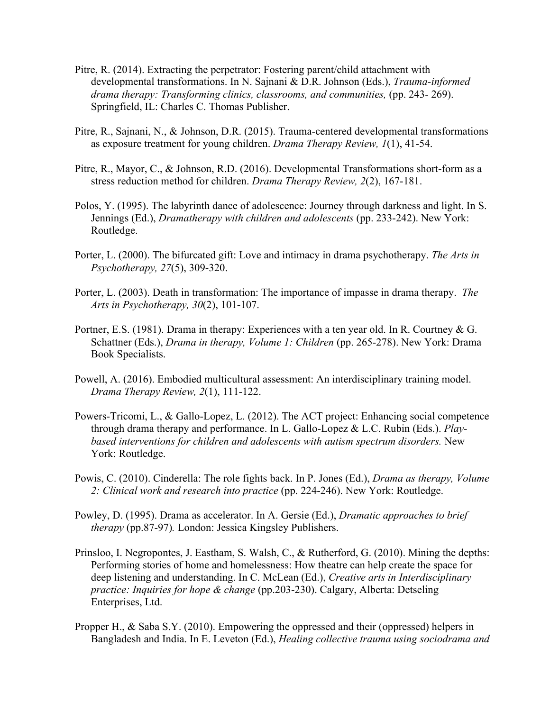- Pitre, R. (2014). Extracting the perpetrator: Fostering parent/child attachment with developmental transformations. In N. Sajnani & D.R. Johnson (Eds.), *Trauma-informed drama therapy: Transforming clinics, classrooms, and communities,* (pp. 243- 269). Springfield, IL: Charles C. Thomas Publisher.
- Pitre, R., Sajnani, N., & Johnson, D.R. (2015). Trauma-centered developmental transformations as exposure treatment for young children. *Drama Therapy Review, 1*(1), 41-54.
- Pitre, R., Mayor, C., & Johnson, R.D. (2016). Developmental Transformations short-form as a stress reduction method for children. *Drama Therapy Review, 2*(2), 167-181.
- Polos, Y. (1995). The labyrinth dance of adolescence: Journey through darkness and light. In S. Jennings (Ed.), *Dramatherapy with children and adolescents* (pp. 233-242). New York: Routledge.
- Porter, L. (2000). The bifurcated gift: Love and intimacy in drama psychotherapy. *The Arts in Psychotherapy, 27*(5), 309-320.
- Porter, L. (2003). Death in transformation: The importance of impasse in drama therapy. *The Arts in Psychotherapy, 30*(2), 101-107.
- Portner, E.S. (1981). Drama in therapy: Experiences with a ten year old. In R. Courtney & G. Schattner (Eds.), *Drama in therapy, Volume 1: Children* (pp. 265-278). New York: Drama Book Specialists.
- Powell, A. (2016). Embodied multicultural assessment: An interdisciplinary training model. *Drama Therapy Review, 2*(1), 111-122.
- Powers-Tricomi, L., & Gallo-Lopez, L. (2012). The ACT project: Enhancing social competence through drama therapy and performance. In L. Gallo-Lopez & L.C. Rubin (Eds.). *Play based interventions for children and adolescents with autism spectrum disorders.* New York: Routledge.
- Powis, C. (2010). Cinderella: The role fights back. In P. Jones (Ed.), *Drama as therapy, Volume 2: Clinical work and research into practice* (pp. 224-246). New York: Routledge.
- Powley, D. (1995). Drama as accelerator. In A. Gersie (Ed.), *Dramatic approaches to brief therapy* (pp.87-97)*.* London: Jessica Kingsley Publishers.
- Prinsloo, I. Negropontes, J. Eastham, S. Walsh, C., & Rutherford, G. (2010). Mining the depths: Performing stories of home and homelessness: How theatre can help create the space for deep listening and understanding. In C. McLean (Ed.), *Creative arts in Interdisciplinary practice: Inquiries for hope & change* (pp.203-230). Calgary, Alberta: Detseling Enterprises, Ltd.
- Propper H., & Saba S.Y. (2010). Empowering the oppressed and their (oppressed) helpers in Bangladesh and India. In E. Leveton (Ed.), *Healing collective trauma using sociodrama and*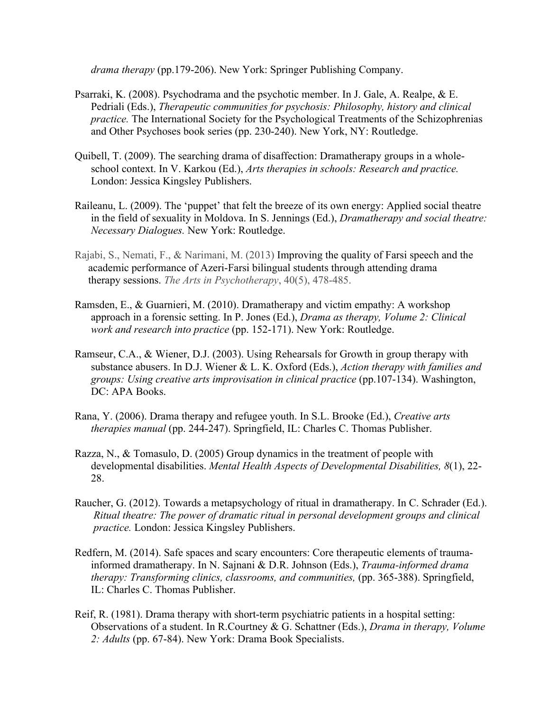*drama therapy* (pp.179-206). New York: Springer Publishing Company.

- Psarraki, K. (2008). Psychodrama and the psychotic member. In J. Gale, A. Realpe, & E. Pedriali (Eds.), *Therapeutic communities for psychosis: Philosophy, history and clinical practice.* The International Society for the Psychological Treatments of the Schizophrenias and Other Psychoses book series (pp. 230-240). New York, NY: Routledge.
- Quibell, T. (2009). The searching drama of disaffection: Dramatherapy groups in a wholeschool context. In V. Karkou (Ed.), *Arts therapies in schools: Research and practice.*  London: Jessica Kingsley Publishers.
- Raileanu, L. (2009). The 'puppet' that felt the breeze of its own energy: Applied social theatre in the field of sexuality in Moldova. In S. Jennings (Ed.), *Dramatherapy and social theatre: Necessary Dialogues.* New York: Routledge.
- Rajabi, S., Nemati, F., & Narimani, M. (2013) Improving the quality of Farsi speech and the academic performance of Azeri-Farsi bilingual students through attending drama therapy sessions. *The Arts in Psychotherapy*, 40(5), 478-485.
- Ramsden, E., & Guarnieri, M. (2010). Dramatherapy and victim empathy: A workshop approach in a forensic setting. In P. Jones (Ed.), *Drama as therapy, Volume 2: Clinical work and research into practice* (pp. 152-171). New York: Routledge.
- Ramseur, C.A., & Wiener, D.J. (2003). Using Rehearsals for Growth in group therapy with substance abusers. In D.J. Wiener & L. K. Oxford (Eds.), *Action therapy with families and groups: Using creative arts improvisation in clinical practice* (pp.107-134). Washington, DC: APA Books
- Rana, Y. (2006). Drama therapy and refugee youth. In S.L. Brooke (Ed.), *Creative arts therapies manual* (pp. 244-247). Springfield, IL: Charles C. Thomas Publisher.
- Razza, N., & Tomasulo, D. (2005) Group dynamics in the treatment of people with developmental disabilities. *Mental Health Aspects of Developmental Disabilities, 8*(1), 22- 28.
- Raucher, G. (2012). Towards a metapsychology of ritual in dramatherapy. In C. Schrader (Ed.). *Ritual theatre: The power of dramatic ritual in personal development groups and clinical practice.* London: Jessica Kingsley Publishers.
- Redfern, M. (2014). Safe spaces and scary encounters: Core therapeutic elements of traumainformed dramatherapy. In N. Sajnani & D.R. Johnson (Eds.), *Trauma-informed drama therapy: Transforming clinics, classrooms, and communities, (pp. 365-388). Springfield,* IL: Charles C. Thomas Publisher.
- Reif, R. (1981). Drama therapy with short-term psychiatric patients in a hospital setting: Observations of a student. In R.Courtney & G. Schattner (Eds.), *Drama in therapy, Volume 2: Adults* (pp. 67-84). New York: Drama Book Specialists.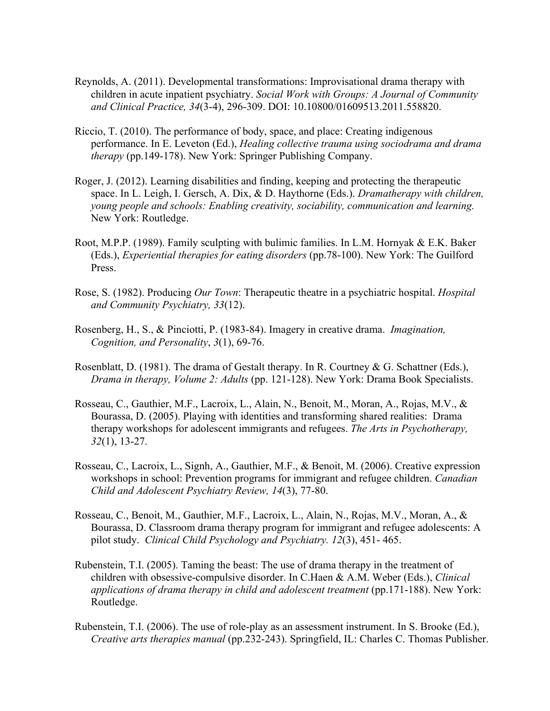- Reynolds, A. (2011). Developmental transformations: Improvisational drama therapy with children in acute inpatient psychiatry. *Social Work with Groups: A Journal of Community and Clinical Practice, 34*(3-4), 296-309. DOI: 10.10800/01609513.2011.558820.
- Riccio, T. (2010). The performance of body, space, and place: Creating indigenous performance. In E. Leveton (Ed.), *Healing collective trauma using sociodrama and drama therapy* (pp.149-178). New York: Springer Publishing Company.
- Roger, J. (2012). Learning disabilities and finding, keeping and protecting the therapeutic space. In L. Leigh, I. Gersch, A. Dix, & D. Haythorne (Eds.). *Dramatherapy with children, young people and schools: Enabling creativity, sociability, communication and learning.* New York: Routledge.
- Root, M.P.P. (1989). Family sculpting with bulimic families. In L.M. Hornyak & E.K. Baker (Eds.), *Experiential therapies for eating disorders* (pp.78-100). New York: The Guilford Press.
- Rose, S. (1982). Producing *Our Town*: Therapeutic theatre in a psychiatric hospital. *Hospital and Community Psychiatry, 33*(12).
- Rosenberg, H., S., & Pinciotti, P. (1983-84). Imagery in creative drama. *Imagination, Cognition, and Personality*, *3*(1), 69-76.
- Rosenblatt, D. (1981). The drama of Gestalt therapy. In R. Courtney & G. Schattner (Eds.), *Drama in therapy, Volume 2: Adults* (pp. 121-128). New York: Drama Book Specialists.
- Rosseau, C., Gauthier, M.F., Lacroix, L., Alain, N., Benoit, M., Moran, A., Rojas, M.V., & Bourassa, D. (2005). Playing with identities and transforming shared realities: Drama therapy workshops for adolescent immigrants and refugees. *The Arts in Psychotherapy, 32*(1), 13-27.
- Rosseau, C., Lacroix, L., Signh, A., Gauthier, M.F., & Benoit, M. (2006). Creative expression workshops in school: Prevention programs for immigrant and refugee children. *Canadian Child and Adolescent Psychiatry Review, 14*(3), 77-80.
- Rosseau, C., Benoit, M., Gauthier, M.F., Lacroix, L., Alain, N., Rojas, M.V., Moran, A., & Bourassa, D. Classroom drama therapy program for immigrant and refugee adolescents: A pilot study. *Clinical Child Psychology and Psychiatry. 12*(3), 451- 465.
- Rubenstein, T.I. (2005). Taming the beast: The use of drama therapy in the treatment of children with obsessive-compulsive disorder. In C.Haen & A.M. Weber (Eds.), *Clinical applications of drama therapy in child and adolescent treatment* (pp.171-188). New York: Routledge.
- Rubenstein, T.I. (2006). The use of role-play as an assessment instrument. In S. Brooke (Ed.), *Creative arts therapies manual* (pp.232-243). Springfield, IL: Charles C. Thomas Publisher.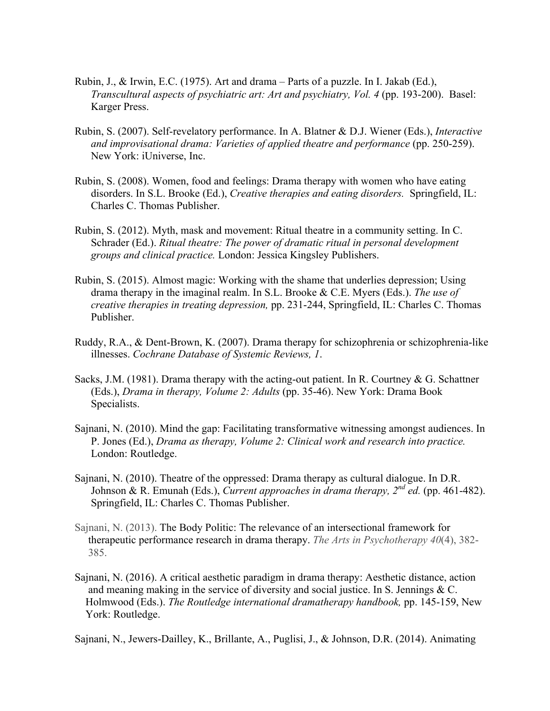- Rubin, J., & Irwin, E.C. (1975). Art and drama Parts of a puzzle. In I. Jakab (Ed.), *Transcultural aspects of psychiatric art: Art and psychiatry, Vol. 4* (pp. 193-200). Basel: Karger Press.
- Rubin, S. (2007). Self-revelatory performance. In A. Blatner & D.J. Wiener (Eds.), *Interactive and improvisational drama: Varieties of applied theatre and performance* (pp. 250-259). New York: iUniverse, Inc.
- Rubin, S. (2008). Women, food and feelings: Drama therapy with women who have eating disorders. In S.L. Brooke (Ed.), *Creative therapies and eating disorders.* Springfield, IL: Charles C. Thomas Publisher.
- Rubin, S. (2012). Myth, mask and movement: Ritual theatre in a community setting. In C. Schrader (Ed.). *Ritual theatre: The power of dramatic ritual in personal development groups and clinical practice.* London: Jessica Kingsley Publishers.
- Rubin, S. (2015). Almost magic: Working with the shame that underlies depression; Using drama therapy in the imaginal realm. In S.L. Brooke & C.E. Myers (Eds.). *The use of creative therapies in treating depression,* pp. 231-244, Springfield, IL: Charles C. Thomas Publisher.
- Ruddy, R.A., & Dent-Brown, K. (2007). Drama therapy for schizophrenia or schizophrenia-like illnesses. *Cochrane Database of Systemic Reviews, 1*.
- Sacks, J.M. (1981). Drama therapy with the acting-out patient. In R. Courtney  $\&$  G. Schattner (Eds.), *Drama in therapy, Volume 2: Adults* (pp. 35-46). New York: Drama Book Specialists.
- Sajnani, N. (2010). Mind the gap: Facilitating transformative witnessing amongst audiences. In P. Jones (Ed.), *Drama as therapy, Volume 2: Clinical work and research into practice.* London: Routledge.
- Sajnani, N. (2010). Theatre of the oppressed: Drama therapy as cultural dialogue. In D.R. Johnson & R. Emunah (Eds.), *Current approaches in drama therapy, 2nd ed.* (pp. 461-482). Springfield, IL: Charles C. Thomas Publisher.
- Sajnani, N. (2013). The Body Politic: The relevance of an intersectional framework for therapeutic performance research in drama therapy. *The Arts in Psychotherapy 40*(4), 382- 385.
- Sajnani, N. (2016). A critical aesthetic paradigm in drama therapy: Aesthetic distance, action and meaning making in the service of diversity and social justice. In S. Jennings & C. Holmwood (Eds.). *The Routledge international dramatherapy handbook,* pp. 145-159, New York: Routledge.

Sajnani, N., Jewers-Dailley, K., Brillante, A., Puglisi, J., & Johnson, D.R. (2014). Animating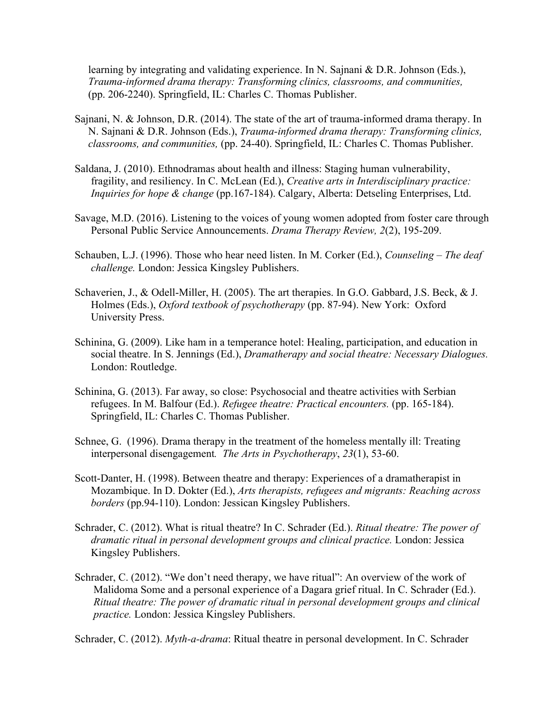learning by integrating and validating experience. In N. Sajnani & D.R. Johnson (Eds.), *Trauma-informed drama therapy: Transforming clinics, classrooms, and communities,* (pp. 206-2240). Springfield, IL: Charles C. Thomas Publisher.

- Sajnani, N. & Johnson, D.R. (2014). The state of the art of trauma-informed drama therapy. In N. Sajnani & D.R. Johnson (Eds.), *Trauma-informed drama therapy: Transforming clinics, classrooms, and communities,* (pp. 24-40). Springfield, IL: Charles C. Thomas Publisher.
- Saldana, J. (2010). Ethnodramas about health and illness: Staging human vulnerability, fragility, and resiliency. In C. McLean (Ed.), *Creative arts in Interdisciplinary practice: Inquiries for hope & change* (pp.167-184). Calgary, Alberta: Detseling Enterprises, Ltd.
- Savage, M.D. (2016). Listening to the voices of young women adopted from foster care through Personal Public Service Announcements. *Drama Therapy Review, 2*(2), 195-209.
- Schauben, L.J. (1996). Those who hear need listen. In M. Corker (Ed.), *Counseling – The deaf challenge.* London: Jessica Kingsley Publishers.
- Schaverien, J., & Odell-Miller, H. (2005). The art therapies. In G.O. Gabbard, J.S. Beck, & J. Holmes (Eds.), *Oxford textbook of psychotherapy* (pp. 87-94). New York: Oxford University Press.
- Schinina, G. (2009). Like ham in a temperance hotel: Healing, participation, and education in social theatre. In S. Jennings (Ed.), *Dramatherapy and social theatre: Necessary Dialogues.*  London: Routledge.
- Schinina, G. (2013). Far away, so close: Psychosocial and theatre activities with Serbian refugees. In M. Balfour (Ed.). *Refugee theatre: Practical encounters.* (pp. 165-184). Springfield, IL: Charles C. Thomas Publisher.
- Schnee, G. (1996). Drama therapy in the treatment of the homeless mentally ill: Treating interpersonal disengagement*. The Arts in Psychotherapy*, *23*(1), 53-60.
- Scott-Danter, H. (1998). Between theatre and therapy: Experiences of a dramatherapist in Mozambique. In D. Dokter (Ed.), *Arts therapists, refugees and migrants: Reaching across borders* (pp.94-110). London: Jessican Kingsley Publishers.
- Schrader, C. (2012). What is ritual theatre? In C. Schrader (Ed.). *Ritual theatre: The power of dramatic ritual in personal development groups and clinical practice.* London: Jessica Kingsley Publishers.
- Schrader, C. (2012). "We don't need therapy, we have ritual": An overview of the work of Malidoma Some and a personal experience of a Dagara grief ritual. In C. Schrader (Ed.). *Ritual theatre: The power of dramatic ritual in personal development groups and clinical practice.* London: Jessica Kingsley Publishers.

Schrader, C. (2012). *Myth-a-drama*: Ritual theatre in personal development. In C. Schrader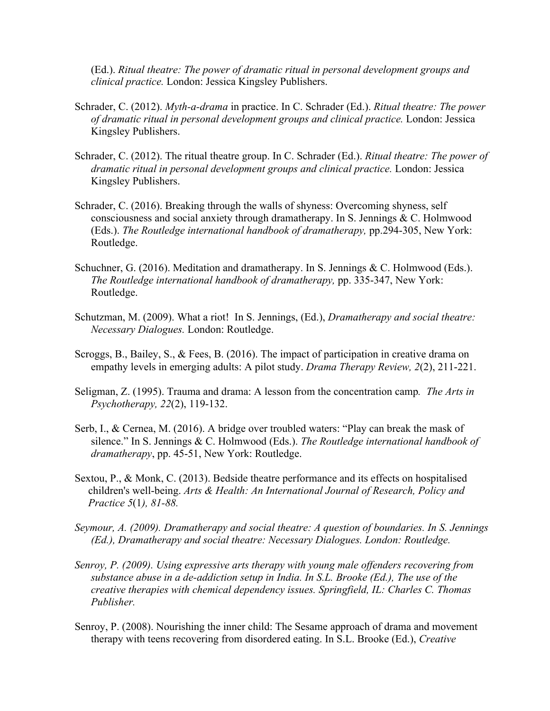(Ed.). *Ritual theatre: The power of dramatic ritual in personal development groups and clinical practice.* London: Jessica Kingsley Publishers.

- Schrader, C. (2012). *Myth-a-drama* in practice. In C. Schrader (Ed.). *Ritual theatre: The power of dramatic ritual in personal development groups and clinical practice.* London: Jessica Kingsley Publishers.
- Schrader, C. (2012). The ritual theatre group. In C. Schrader (Ed.). *Ritual theatre: The power of dramatic ritual in personal development groups and clinical practice.* London: Jessica Kingsley Publishers.
- Schrader, C. (2016). Breaking through the walls of shyness: Overcoming shyness, self consciousness and social anxiety through dramatherapy. In S. Jennings & C. Holmwood (Eds.). *The Routledge international handbook of dramatherapy,* pp.294-305, New York: Routledge.
- Schuchner, G. (2016). Meditation and dramatherapy. In S. Jennings & C. Holmwood (Eds.). *The Routledge international handbook of dramatherapy,* pp. 335-347, New York: Routledge.
- Schutzman, M. (2009). What a riot! In S. Jennings, (Ed.), *Dramatherapy and social theatre: Necessary Dialogues.* London: Routledge.
- Scroggs, B., Bailey, S., & Fees, B. (2016). The impact of participation in creative drama on empathy levels in emerging adults: A pilot study. *Drama Therapy Review, 2*(2), 211-221.
- Seligman, Z. (1995). Trauma and drama: A lesson from the concentration camp*. The Arts in Psychotherapy, 22*(2), 119-132.
- Serb, I., & Cernea, M. (2016). A bridge over troubled waters: "Play can break the mask of silence." In S. Jennings & C. Holmwood (Eds.). *The Routledge international handbook of dramatherapy*, pp. 45-51, New York: Routledge.
- Sextou, P., & Monk, C. (2013). Bedside theatre performance and its effects on hospitalised children's well-being. *Arts & Health: An International Journal of Research, Policy and Practice 5*(1*), 81-88.*
- *Seymour, A. (2009). Dramatherapy and social theatre: A question of boundaries. In S. Jennings (Ed.), Dramatherapy and social theatre: Necessary Dialogues. London: Routledge.*
- *Senroy, P. (2009). Using expressive arts therapy with young male offenders recovering from substance abuse in a de-addiction setup in India. In S.L. Brooke (Ed.), The use of the creative therapies with chemical dependency issues. Springfield, IL: Charles C. Thomas Publisher.*
- Senroy, P. (2008). Nourishing the inner child: The Sesame approach of drama and movement therapy with teens recovering from disordered eating. In S.L. Brooke (Ed.), *Creative*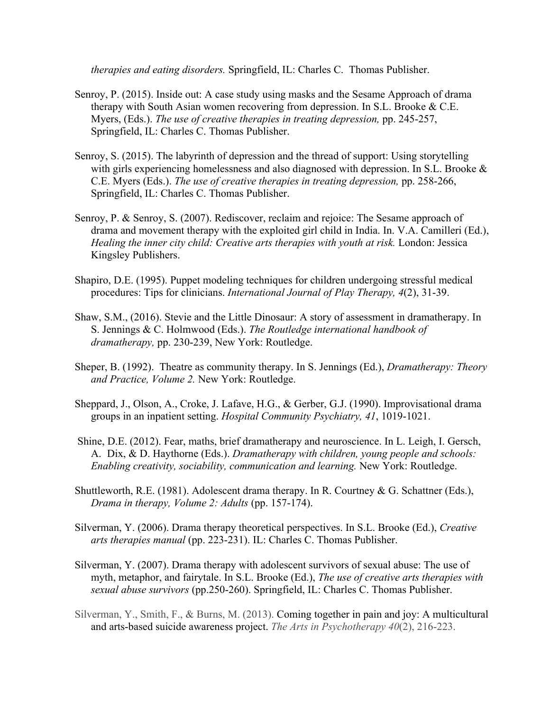*therapies and eating disorders.* Springfield, IL: Charles C. Thomas Publisher.

- Senroy, P. (2015). Inside out: A case study using masks and the Sesame Approach of drama therapy with South Asian women recovering from depression. In S.L. Brooke & C.E. Myers, (Eds.). *The use of creative therapies in treating depression,* pp. 245-257, Springfield, IL: Charles C. Thomas Publisher.
- Senroy, S. (2015). The labyrinth of depression and the thread of support: Using storytelling with girls experiencing homelessness and also diagnosed with depression. In S.L. Brooke  $\&$ C.E. Myers (Eds.). *The use of creative therapies in treating depression,* pp. 258-266, Springfield, IL: Charles C. Thomas Publisher.
- Senroy, P. & Senroy, S. (2007). Rediscover, reclaim and rejoice: The Sesame approach of drama and movement therapy with the exploited girl child in India. In. V.A. Camilleri (Ed.), *Healing the inner city child: Creative arts therapies with youth at risk.* London: Jessica Kingsley Publishers.
- Shapiro, D.E. (1995). Puppet modeling techniques for children undergoing stressful medical procedures: Tips for clinicians. *International Journal of Play Therapy, 4*(2), 31-39.
- Shaw, S.M., (2016). Stevie and the Little Dinosaur: A story of assessment in dramatherapy. In S. Jennings & C. Holmwood (Eds.). *The Routledge international handbook of dramatherapy,* pp. 230-239, New York: Routledge.
- Sheper, B. (1992). Theatre as community therapy. In S. Jennings (Ed.), *Dramatherapy: Theory and Practice, Volume 2.* New York: Routledge.
- Sheppard, J., Olson, A., Croke, J. Lafave, H.G., & Gerber, G.J. (1990). Improvisational drama groups in an inpatient setting. *Hospital Community Psychiatry, 41*, 1019-1021.
- Shine, D.E. (2012). Fear, maths, brief dramatherapy and neuroscience. In L. Leigh, I. Gersch, A. Dix, & D. Haythorne (Eds.). *Dramatherapy with children, young people and schools: Enabling creativity, sociability, communication and learning.* New York: Routledge.
- Shuttleworth, R.E. (1981). Adolescent drama therapy. In R. Courtney & G. Schattner (Eds.), *Drama in therapy, Volume 2: Adults* (pp. 157-174).
- Silverman, Y. (2006). Drama therapy theoretical perspectives. In S.L. Brooke (Ed.), *Creative arts therapies manual* (pp. 223-231). IL: Charles C. Thomas Publisher.
- Silverman, Y. (2007). Drama therapy with adolescent survivors of sexual abuse: The use of myth, metaphor, and fairytale. In S.L. Brooke (Ed.), *The use of creative arts therapies with sexual abuse survivors* (pp.250-260). Springfield, IL: Charles C. Thomas Publisher.
- Silverman, Y., Smith, F., & Burns, M. (2013). Coming together in pain and joy: A multicultural and arts-based suicide awareness project. *The Arts in Psychotherapy 40*(2), 216-223.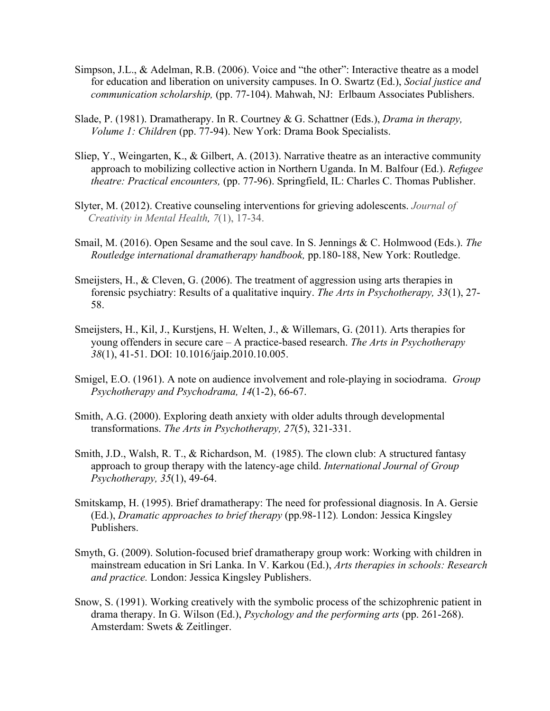- Simpson, J.L., & Adelman, R.B. (2006). Voice and "the other": Interactive theatre as a model for education and liberation on university campuses. In O. Swartz (Ed.), *Social justice and communication scholarship,* (pp. 77-104). Mahwah, NJ: Erlbaum Associates Publishers.
- Slade, P. (1981). Dramatherapy. In R. Courtney & G. Schattner (Eds.), *Drama in therapy, Volume 1: Children* (pp. 77-94). New York: Drama Book Specialists.
- Sliep, Y., Weingarten, K., & Gilbert, A. (2013). Narrative theatre as an interactive community approach to mobilizing collective action in Northern Uganda. In M. Balfour (Ed.). *Refugee theatre: Practical encounters,* (pp. 77-96). Springfield, IL: Charles C. Thomas Publisher.
- Slyter, M. (2012). Creative counseling interventions for grieving adolescents. *Journal of Creativity in Mental Health, 7*(1), 17-34.
- Smail, M. (2016). Open Sesame and the soul cave. In S. Jennings & C. Holmwood (Eds.). *The Routledge international dramatherapy handbook,* pp.180-188, New York: Routledge.
- Smeijsters, H., & Cleven, G. (2006). The treatment of aggression using arts therapies in forensic psychiatry: Results of a qualitative inquiry. *The Arts in Psychotherapy, 33*(1), 27- 58.
- Smeijsters, H., Kil, J., Kurstjens, H. Welten, J., & Willemars, G. (2011). Arts therapies for young offenders in secure care – A practice-based research. *The Arts in Psychotherapy 38*(1), 41-51. DOI: 10.1016/jaip.2010.10.005.
- Smigel, E.O. (1961). A note on audience involvement and role-playing in sociodrama. *Group Psychotherapy and Psychodrama, 14*(1-2), 66-67.
- Smith, A.G. (2000). Exploring death anxiety with older adults through developmental transformations. *The Arts in Psychotherapy, 27*(5), 321-331.
- Smith, J.D., Walsh, R. T., & Richardson, M. (1985). The clown club: A structured fantasy approach to group therapy with the latency-age child. *International Journal of Group Psychotherapy, 35*(1), 49-64.
- Smitskamp, H. (1995). Brief dramatherapy: The need for professional diagnosis. In A. Gersie (Ed.), *Dramatic approaches to brief therapy* (pp.98-112)*.* London: Jessica Kingsley Publishers.
- Smyth, G. (2009). Solution-focused brief dramatherapy group work: Working with children in mainstream education in Sri Lanka. In V. Karkou (Ed.), *Arts therapies in schools: Research and practice.* London: Jessica Kingsley Publishers.
- Snow, S. (1991). Working creatively with the symbolic process of the schizophrenic patient in drama therapy. In G. Wilson (Ed.), *Psychology and the performing arts* (pp. 261-268). Amsterdam: Swets & Zeitlinger.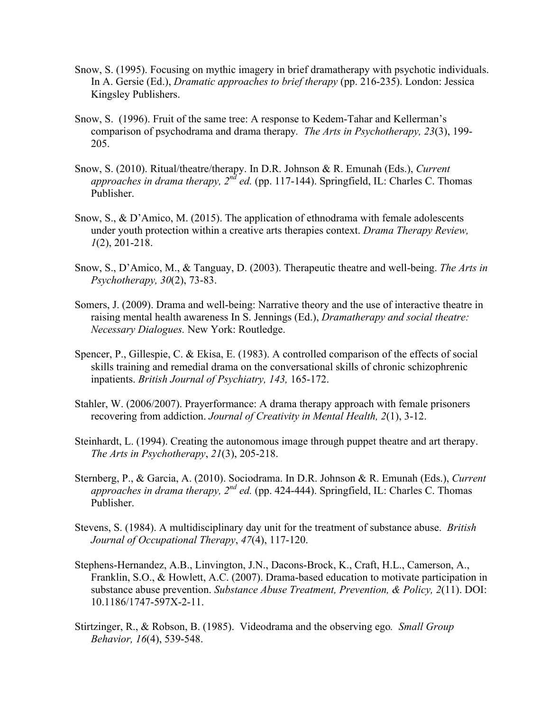- Snow, S. (1995). Focusing on mythic imagery in brief dramatherapy with psychotic individuals. In A. Gersie (Ed.), *Dramatic approaches to brief therapy* (pp. 216-235). London: Jessica Kingsley Publishers.
- Snow, S. (1996). Fruit of the same tree: A response to Kedem-Tahar and Kellerman's comparison of psychodrama and drama therapy*. The Arts in Psychotherapy, 23*(3), 199- 205.
- Snow, S. (2010). Ritual/theatre/therapy. In D.R. Johnson & R. Emunah (Eds.), *Current*  approaches in drama therapy, 2<sup>nd</sup> ed. (pp. 117-144). Springfield, IL: Charles C. Thomas Publisher.
- Snow, S., & D'Amico, M. (2015). The application of ethnodrama with female adolescents under youth protection within a creative arts therapies context. *Drama Therapy Review, 1*(2), 201-218.
- Snow, S., D'Amico, M., & Tanguay, D. (2003). Therapeutic theatre and well-being. *The Arts in Psychotherapy, 30*(2), 73-83.
- Somers, J. (2009). Drama and well-being: Narrative theory and the use of interactive theatre in raising mental health awareness In S. Jennings (Ed.), *Dramatherapy and social theatre: Necessary Dialogues.* New York: Routledge.
- Spencer, P., Gillespie, C. & Ekisa, E. (1983). A controlled comparison of the effects of social skills training and remedial drama on the conversational skills of chronic schizophrenic inpatients. *British Journal of Psychiatry, 143,* 165-172.
- Stahler, W. (2006/2007). Prayerformance: A drama therapy approach with female prisoners recovering from addiction. *Journal of Creativity in Mental Health, 2*(1), 3-12.
- Steinhardt, L. (1994). Creating the autonomous image through puppet theatre and art therapy. *The Arts in Psychotherapy*, *21*(3), 205-218.
- Sternberg, P., & Garcia, A. (2010). Sociodrama. In D.R. Johnson & R. Emunah (Eds.), *Current approaches in drama therapy, 2nd ed.* (pp. 424-444). Springfield, IL: Charles C. Thomas Publisher.
- Stevens, S. (1984). A multidisciplinary day unit for the treatment of substance abuse. *British Journal of Occupational Therapy*, *47*(4), 117-120.
- Stephens-Hernandez, A.B., Linvington, J.N., Dacons-Brock, K., Craft, H.L., Camerson, A., Franklin, S.O., & Howlett, A.C. (2007). Drama-based education to motivate participation in substance abuse prevention. *Substance Abuse Treatment, Prevention, & Policy, 2*(11). DOI: 10.1186/1747-597X-2-11.
- Stirtzinger, R., & Robson, B. (1985). Videodrama and the observing ego*. Small Group Behavior, 16*(4), 539-548.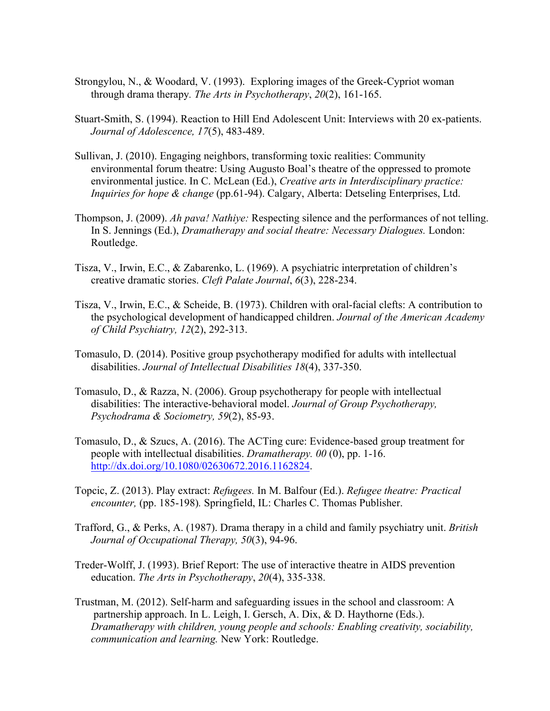- Strongylou, N., & Woodard, V. (1993). Exploring images of the Greek-Cypriot woman through drama therapy*. The Arts in Psychotherapy*, *20*(2), 161-165.
- Stuart-Smith, S. (1994). Reaction to Hill End Adolescent Unit: Interviews with 20 ex-patients. *Journal of Adolescence, 17*(5), 483-489.
- Sullivan, J. (2010). Engaging neighbors, transforming toxic realities: Community environmental forum theatre: Using Augusto Boal's theatre of the oppressed to promote environmental justice. In C. McLean (Ed.), *Creative arts in Interdisciplinary practice: Inquiries for hope & change* (pp.61-94). Calgary, Alberta: Detseling Enterprises, Ltd.
- Thompson, J. (2009). *Ah pava! Nathiye:* Respecting silence and the performances of not telling. In S. Jennings (Ed.), *Dramatherapy and social theatre: Necessary Dialogues.* London: Routledge.
- Tisza, V., Irwin, E.C., & Zabarenko, L. (1969). A psychiatric interpretation of children's creative dramatic stories. *Cleft Palate Journal*, *6*(3), 228-234.
- Tisza, V., Irwin, E.C., & Scheide, B. (1973). Children with oral-facial clefts: A contribution to the psychological development of handicapped children. *Journal of the American Academy of Child Psychiatry, 12*(2), 292-313.
- Tomasulo, D. (2014). Positive group psychotherapy modified for adults with intellectual disabilities. *Journal of Intellectual Disabilities 18*(4), 337-350.
- Tomasulo, D., & Razza, N. (2006). Group psychotherapy for people with intellectual disabilities: The interactive-behavioral model. *Journal of Group Psychotherapy, Psychodrama & Sociometry, 59*(2), 85-93.
- Tomasulo, D., & Szucs, A. (2016). The ACTing cure: Evidence-based group treatment for people with intellectual disabilities. *Dramatherapy. 00* (0), pp. 1-16. http://dx.doi.org/10.1080/02630672.2016.1162824.
- Topcic, Z. (2013). Play extract: *Refugees.* In M. Balfour (Ed.). *Refugee theatre: Practical encounter,* (pp. 185-198)*.* Springfield, IL: Charles C. Thomas Publisher.
- Trafford, G., & Perks, A. (1987). Drama therapy in a child and family psychiatry unit. *British Journal of Occupational Therapy, 50*(3), 94-96.
- Treder-Wolff, J. (1993). Brief Report: The use of interactive theatre in AIDS prevention education. *The Arts in Psychotherapy*, *20*(4), 335-338.
- Trustman, M. (2012). Self-harm and safeguarding issues in the school and classroom: A partnership approach. In L. Leigh, I. Gersch, A. Dix, & D. Haythorne (Eds.). *Dramatherapy with children, young people and schools: Enabling creativity, sociability, communication and learning.* New York: Routledge.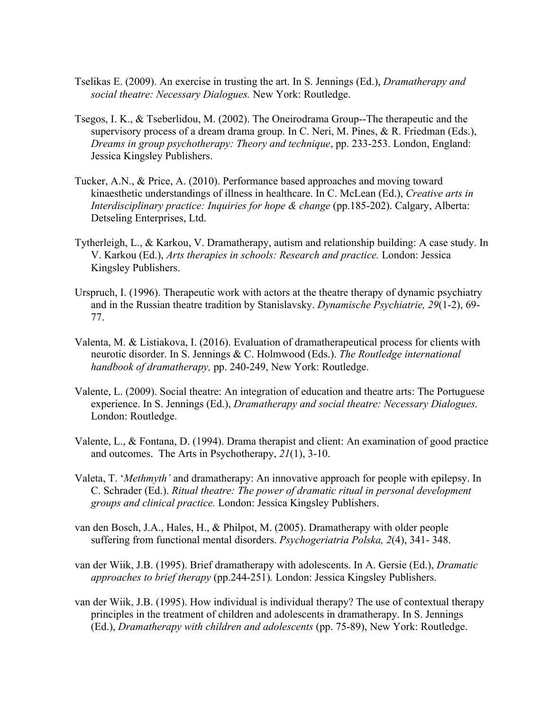- Tselikas E. (2009). An exercise in trusting the art. In S. Jennings (Ed.), *Dramatherapy and social theatre: Necessary Dialogues.* New York: Routledge.
- Tsegos, I. K., & Tseberlidou, M. (2002). The Oneirodrama Group--The therapeutic and the supervisory process of a dream drama group. In C. Neri, M. Pines, & R. Friedman (Eds.), *Dreams in group psychotherapy: Theory and technique*, pp. 233-253. London, England: Jessica Kingsley Publishers.
- Tucker, A.N., & Price, A. (2010). Performance based approaches and moving toward kinaesthetic understandings of illness in healthcare. In C. McLean (Ed.), *Creative arts in Interdisciplinary practice: Inquiries for hope & change* (pp.185-202). Calgary, Alberta: Detseling Enterprises, Ltd.
- Tytherleigh, L., & Karkou, V. Dramatherapy, autism and relationship building: A case study. In V. Karkou (Ed.), *Arts therapies in schools: Research and practice.* London: Jessica Kingsley Publishers.
- Urspruch, I. (1996). Therapeutic work with actors at the theatre therapy of dynamic psychiatry and in the Russian theatre tradition by Stanislavsky. *Dynamische Psychiatrie, 29*(1-2), 69- 77.
- Valenta, M. & Listiakova, I. (2016). Evaluation of dramatherapeutical process for clients with neurotic disorder. In S. Jennings & C. Holmwood (Eds.). *The Routledge international handbook of dramatherapy,* pp. 240-249, New York: Routledge.
- Valente, L. (2009). Social theatre: An integration of education and theatre arts: The Portuguese experience. In S. Jennings (Ed.), *Dramatherapy and social theatre: Necessary Dialogues.*  London: Routledge.
- Valente, L., & Fontana, D. (1994). Drama therapist and client: An examination of good practice and outcomes. The Arts in Psychotherapy, *21*(1), 3-10.
- Valeta, T. '*Methmyth'* and dramatherapy: An innovative approach for people with epilepsy. In C. Schrader (Ed.). *Ritual theatre: The power of dramatic ritual in personal development groups and clinical practice.* London: Jessica Kingsley Publishers.
- van den Bosch, J.A., Hales, H., & Philpot, M. (2005). Dramatherapy with older people suffering from functional mental disorders. *Psychogeriatria Polska, 2*(4), 341- 348.
- van der Wiik, J.B. (1995). Brief dramatherapy with adolescents. In A. Gersie (Ed.), *Dramatic approaches to brief therapy* (pp.244-251)*.* London: Jessica Kingsley Publishers.
- van der Wiik, J.B. (1995). How individual is individual therapy? The use of contextual therapy principles in the treatment of children and adolescents in dramatherapy. In S. Jennings (Ed.), *Dramatherapy with children and adolescents* (pp. 75-89), New York: Routledge.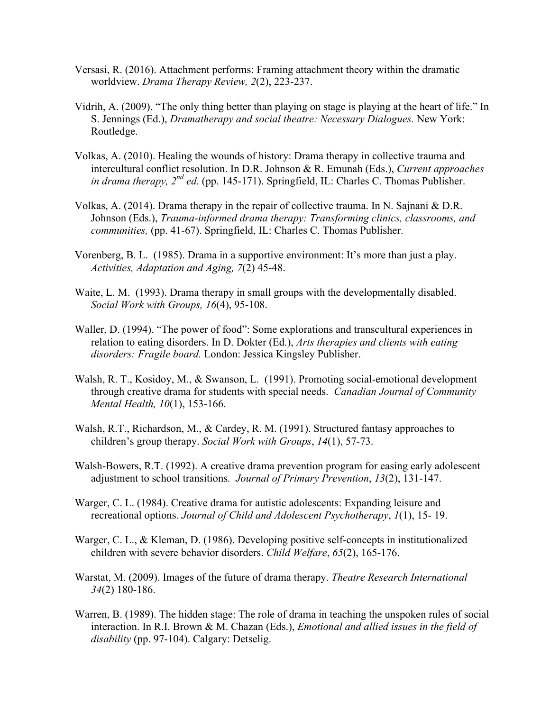- Versasi, R. (2016). Attachment performs: Framing attachment theory within the dramatic worldview. *Drama Therapy Review, 2*(2), 223-237.
- Vidrih, A. (2009). "The only thing better than playing on stage is playing at the heart of life." In S. Jennings (Ed.), *Dramatherapy and social theatre: Necessary Dialogues.* New York: Routledge.
- Volkas, A. (2010). Healing the wounds of history: Drama therapy in collective trauma and intercultural conflict resolution. In D.R. Johnson & R. Emunah (Eds.), *Current approaches in drama therapy, 2nd ed.* (pp. 145-171). Springfield, IL: Charles C. Thomas Publisher.
- Volkas, A. (2014). Drama therapy in the repair of collective trauma. In N. Sajnani & D.R. Johnson (Eds.), *Trauma-informed drama therapy: Transforming clinics, classrooms, and communities,* (pp. 41-67). Springfield, IL: Charles C. Thomas Publisher.
- Vorenberg, B. L. (1985). Drama in a supportive environment: It's more than just a play. *Activities, Adaptation and Aging, 7*(2) 45-48.
- Waite, L. M. (1993). Drama therapy in small groups with the developmentally disabled. *Social Work with Groups, 16*(4), 95-108.
- Waller, D. (1994). "The power of food": Some explorations and transcultural experiences in relation to eating disorders. In D. Dokter (Ed.), *Arts therapies and clients with eating disorders: Fragile board.* London: Jessica Kingsley Publisher.
- Walsh, R. T., Kosidoy, M., & Swanson, L. (1991). Promoting social-emotional development through creative drama for students with special needs. *Canadian Journal of Community Mental Health, 10*(1), 153-166.
- Walsh, R.T., Richardson, M., & Cardey, R. M. (1991). Structured fantasy approaches to children's group therapy. *Social Work with Groups*, *14*(1), 57-73.
- Walsh-Bowers, R.T. (1992). A creative drama prevention program for easing early adolescent adjustment to school transitions*. Journal of Primary Prevention*, *13*(2), 131-147.
- Warger, C. L. (1984). Creative drama for autistic adolescents: Expanding leisure and recreational options. *Journal of Child and Adolescent Psychotherapy*, *1*(1), 15- 19.
- Warger, C. L., & Kleman, D. (1986). Developing positive self-concepts in institutionalized children with severe behavior disorders. *Child Welfare*, *65*(2), 165-176.
- Warstat, M. (2009). Images of the future of drama therapy. *Theatre Research International 34*(2) 180-186.
- Warren, B. (1989). The hidden stage: The role of drama in teaching the unspoken rules of social interaction. In R.I. Brown & M. Chazan (Eds.), *Emotional and allied issues in the field of disability* (pp. 97-104). Calgary: Detselig.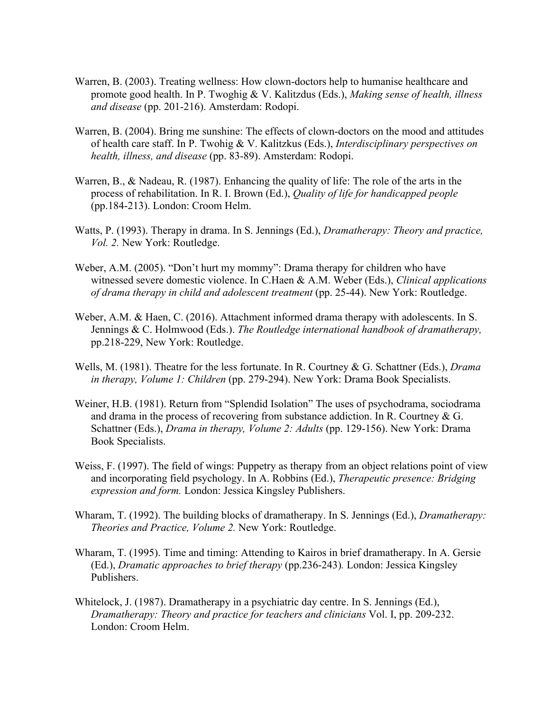- Warren, B. (2003). Treating wellness: How clown-doctors help to humanise healthcare and promote good health. In P. Twoghig & V. Kalitzdus (Eds.), *Making sense of health, illness and disease* (pp. 201-216). Amsterdam: Rodopi.
- Warren, B. (2004). Bring me sunshine: The effects of clown-doctors on the mood and attitudes of health care staff. In P. Twohig & V. Kalitzkus (Eds.), *Interdisciplinary perspectives on health, illness, and disease* (pp. 83-89). Amsterdam: Rodopi.
- Warren, B., & Nadeau, R. (1987). Enhancing the quality of life: The role of the arts in the process of rehabilitation. In R. I. Brown (Ed.), *Quality of life for handicapped people*  (pp.184-213). London: Croom Helm.
- Watts, P. (1993). Therapy in drama. In S. Jennings (Ed.), *Dramatherapy: Theory and practice, Vol. 2.* New York: Routledge.
- Weber, A.M. (2005). "Don't hurt my mommy": Drama therapy for children who have witnessed severe domestic violence. In C.Haen & A.M. Weber (Eds.), *Clinical applications of drama therapy in child and adolescent treatment* (pp. 25-44). New York: Routledge.
- Weber, A.M. & Haen, C. (2016). Attachment informed drama therapy with adolescents. In S. Jennings & C. Holmwood (Eds.). *The Routledge international handbook of dramatherapy,*  pp.218-229, New York: Routledge.
- Wells, M. (1981). Theatre for the less fortunate. In R. Courtney & G. Schattner (Eds.), *Drama in therapy, Volume 1: Children* (pp. 279-294). New York: Drama Book Specialists.
- Weiner, H.B. (1981). Return from "Splendid Isolation" The uses of psychodrama, sociodrama and drama in the process of recovering from substance addiction. In R. Courtney & G. Schattner (Eds.), *Drama in therapy, Volume 2: Adults* (pp. 129-156). New York: Drama Book Specialists.
- Weiss, F. (1997). The field of wings: Puppetry as therapy from an object relations point of view and incorporating field psychology. In A. Robbins (Ed.), *Therapeutic presence: Bridging expression and form.* London: Jessica Kingsley Publishers.
- Wharam, T. (1992). The building blocks of dramatherapy. In S. Jennings (Ed.), *Dramatherapy: Theories and Practice, Volume 2.* New York: Routledge.
- Wharam, T. (1995). Time and timing: Attending to Kairos in brief dramatherapy. In A. Gersie (Ed.), *Dramatic approaches to brief therapy* (pp.236-243)*.* London: Jessica Kingsley Publishers.
- Whitelock, J. (1987). Dramatherapy in a psychiatric day centre. In S. Jennings (Ed.), *Dramatherapy: Theory and practice for teachers and clinicians* Vol. I, pp. 209-232. London: Croom Helm.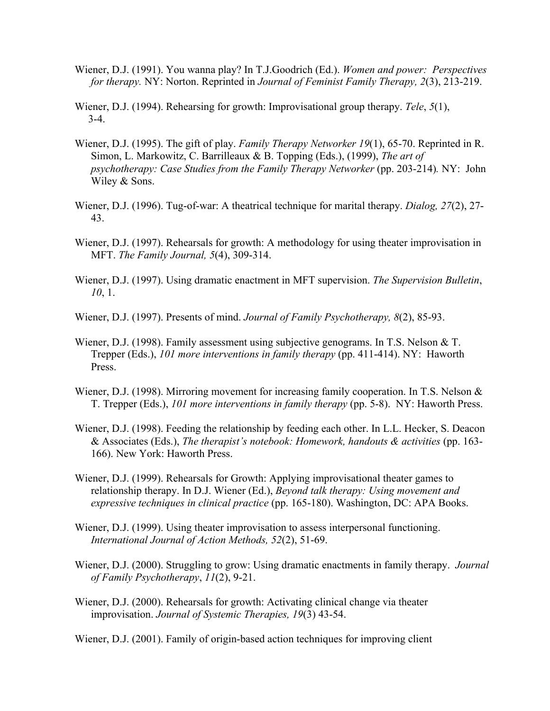- Wiener, D.J. (1991). You wanna play? In T.J.Goodrich (Ed.). *Women and power: Perspectives for therapy.* NY: Norton. Reprinted in *Journal of Feminist Family Therapy, 2*(3), 213-219.
- Wiener, D.J. (1994). Rehearsing for growth: Improvisational group therapy. *Tele*, *5*(1), 3-4.
- Wiener, D.J. (1995). The gift of play. *Family Therapy Networker 19*(1), 65-70. Reprinted in R. Simon, L. Markowitz, C. Barrilleaux & B. Topping (Eds.), (1999), *The art of psychotherapy: Case Studies from the Family Therapy Networker* (pp. 203-214)*.* NY: John Wiley & Sons.
- Wiener, D.J. (1996). Tug-of-war: A theatrical technique for marital therapy. *Dialog, 27*(2), 27- 43.
- Wiener, D.J. (1997). Rehearsals for growth: A methodology for using theater improvisation in MFT. *The Family Journal, 5*(4), 309-314.
- Wiener, D.J. (1997). Using dramatic enactment in MFT supervision. *The Supervision Bulletin*, *10*, 1.
- Wiener, D.J. (1997). Presents of mind. *Journal of Family Psychotherapy, 8*(2), 85-93.
- Wiener, D.J. (1998). Family assessment using subjective genograms. In T.S. Nelson & T. Trepper (Eds.), *101 more interventions in family therapy* (pp. 411-414). NY: Haworth Press.
- Wiener, D.J. (1998). Mirroring movement for increasing family cooperation. In T.S. Nelson & T. Trepper (Eds.), *101 more interventions in family therapy* (pp. 5-8). NY: Haworth Press.
- Wiener, D.J. (1998). Feeding the relationship by feeding each other. In L.L. Hecker, S. Deacon & Associates (Eds.), *The therapist's notebook: Homework, handouts & activities* (pp. 163- 166). New York: Haworth Press.
- Wiener, D.J. (1999). Rehearsals for Growth: Applying improvisational theater games to relationship therapy. In D.J. Wiener (Ed.), *Beyond talk therapy: Using movement and expressive techniques in clinical practice* (pp. 165-180). Washington, DC: APA Books.
- Wiener, D.J. (1999). Using theater improvisation to assess interpersonal functioning. *International Journal of Action Methods, 52*(2), 51-69.
- Wiener, D.J. (2000). Struggling to grow: Using dramatic enactments in family therapy. *Journal of Family Psychotherapy*, *11*(2), 9-21.
- Wiener, D.J. (2000). Rehearsals for growth: Activating clinical change via theater improvisation. *Journal of Systemic Therapies, 19*(3) 43-54.

Wiener, D.J. (2001). Family of origin-based action techniques for improving client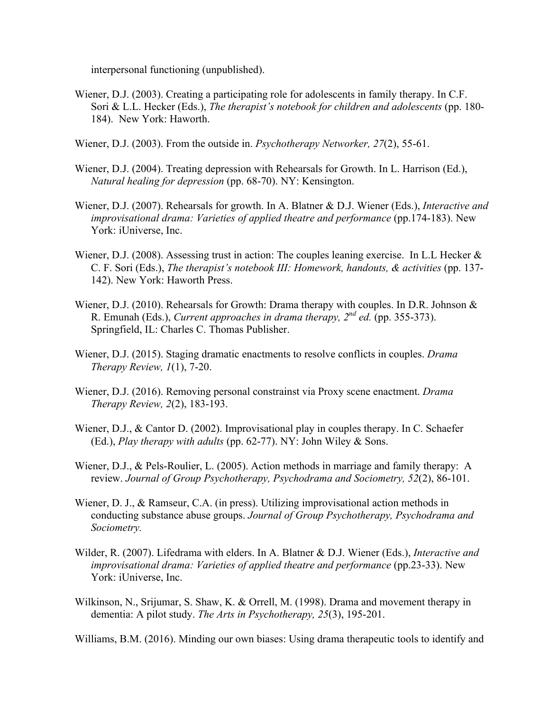interpersonal functioning (unpublished).

- Wiener, D.J. (2003). Creating a participating role for adolescents in family therapy. In C.F. Sori & L.L. Hecker (Eds.), *The therapist's notebook for children and adolescents* (pp. 180- 184). New York: Haworth.
- Wiener, D.J. (2003). From the outside in. *Psychotherapy Networker, 27*(2), 55-61.
- Wiener, D.J. (2004). Treating depression with Rehearsals for Growth. In L. Harrison (Ed.), *Natural healing for depression* (pp. 68-70). NY: Kensington.
- Wiener, D.J. (2007). Rehearsals for growth. In A. Blatner & D.J. Wiener (Eds.), *Interactive and improvisational drama: Varieties of applied theatre and performance* (pp.174-183). New York: iUniverse, Inc.
- Wiener, D.J. (2008). Assessing trust in action: The couples leaning exercise. In L.L Hecker & C. F. Sori (Eds.), *The therapist's notebook III: Homework, handouts, & activities* (pp. 137- 142). New York: Haworth Press.
- Wiener, D.J. (2010). Rehearsals for Growth: Drama therapy with couples. In D.R. Johnson & R. Emunah (Eds.), *Current approaches in drama therapy, 2nd ed.* (pp. 355-373). Springfield, IL: Charles C. Thomas Publisher.
- Wiener, D.J. (2015). Staging dramatic enactments to resolve conflicts in couples. *Drama Therapy Review, 1*(1), 7-20.
- Wiener, D.J. (2016). Removing personal constrainst via Proxy scene enactment. *Drama Therapy Review, 2*(2), 183-193.
- Wiener, D.J., & Cantor D. (2002). Improvisational play in couples therapy. In C. Schaefer (Ed.), *Play therapy with adults* (pp. 62-77). NY: John Wiley & Sons.
- Wiener, D.J., & Pels-Roulier, L. (2005). Action methods in marriage and family therapy: A review. *Journal of Group Psychotherapy, Psychodrama and Sociometry, 52*(2), 86-101.
- Wiener, D. J., & Ramseur, C.A. (in press). Utilizing improvisational action methods in conducting substance abuse groups. *Journal of Group Psychotherapy, Psychodrama and Sociometry.*
- Wilder, R. (2007). Lifedrama with elders. In A. Blatner & D.J. Wiener (Eds.), *Interactive and improvisational drama: Varieties of applied theatre and performance* (pp.23-33). New York: iUniverse, Inc.
- Wilkinson, N., Srijumar, S. Shaw, K. & Orrell, M. (1998). Drama and movement therapy in dementia: A pilot study. *The Arts in Psychotherapy, 25*(3), 195-201.

Williams, B.M. (2016). Minding our own biases: Using drama therapeutic tools to identify and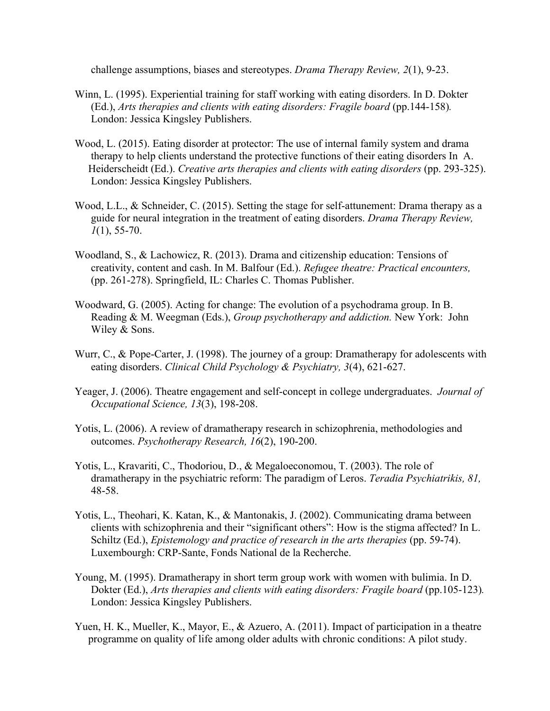challenge assumptions, biases and stereotypes. *Drama Therapy Review, 2*(1), 9-23.

- Winn, L. (1995). Experiential training for staff working with eating disorders. In D. Dokter (Ed.), *Arts therapies and clients with eating disorders: Fragile board* (pp.144-158)*.*  London: Jessica Kingsley Publishers.
- Wood, L. (2015). Eating disorder at protector: The use of internal family system and drama therapy to help clients understand the protective functions of their eating disorders In A. Heiderscheidt (Ed.). *Creative arts therapies and clients with eating disorders* (pp. 293-325). London: Jessica Kingsley Publishers.
- Wood, L.L., & Schneider, C. (2015). Setting the stage for self-attunement: Drama therapy as a guide for neural integration in the treatment of eating disorders. *Drama Therapy Review, 1*(1), 55-70.
- Woodland, S., & Lachowicz, R. (2013). Drama and citizenship education: Tensions of creativity, content and cash. In M. Balfour (Ed.). *Refugee theatre: Practical encounters,* (pp. 261-278). Springfield, IL: Charles C. Thomas Publisher.
- Woodward, G. (2005). Acting for change: The evolution of a psychodrama group. In B. Reading & M. Weegman (Eds.), *Group psychotherapy and addiction.* New York: John Wiley & Sons.
- Wurr, C., & Pope-Carter, J. (1998). The journey of a group: Dramatherapy for adolescents with eating disorders. *Clinical Child Psychology & Psychiatry, 3*(4), 621-627.
- Yeager, J. (2006). Theatre engagement and self-concept in college undergraduates. *Journal of Occupational Science, 13*(3), 198-208.
- Yotis, L. (2006). A review of dramatherapy research in schizophrenia, methodologies and outcomes. *Psychotherapy Research, 16*(2), 190-200.
- Yotis, L., Kravariti, C., Thodoriou, D., & Megaloeconomou, T. (2003). The role of dramatherapy in the psychiatric reform: The paradigm of Leros. *Teradia Psychiatrikis, 81,* 48-58.
- Yotis, L., Theohari, K. Katan, K., & Mantonakis, J. (2002). Communicating drama between clients with schizophrenia and their "significant others": How is the stigma affected? In L. Schiltz (Ed.), *Epistemology and practice of research in the arts therapies* (pp. 59-74). Luxembourgh: CRP-Sante, Fonds National de la Recherche.
- Young, M. (1995). Dramatherapy in short term group work with women with bulimia. In D. Dokter (Ed.), *Arts therapies and clients with eating disorders: Fragile board* (pp.105-123)*.*  London: Jessica Kingsley Publishers.
- Yuen, H. K., Mueller, K., Mayor, E., & Azuero, A. (2011). Impact of participation in a theatre programme on quality of life among older adults with chronic conditions: A pilot study.